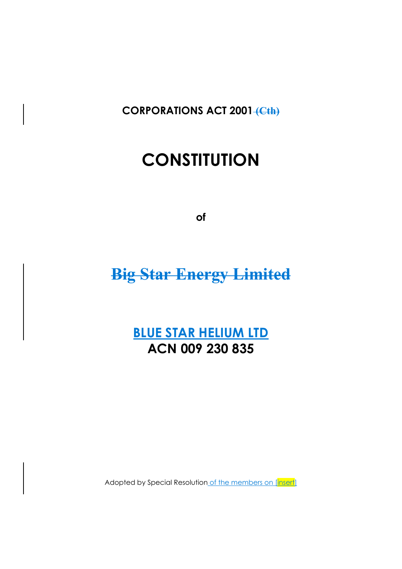**CORPORATIONS ACT 2001** (Cth)

# **CONSTITUTION**

**of** 

## **Big Star Energy Limited**

## **BLUE STAR HELIUM LTD ACN 009 230 835**

Adopted by Special Resolution of the members on [insert]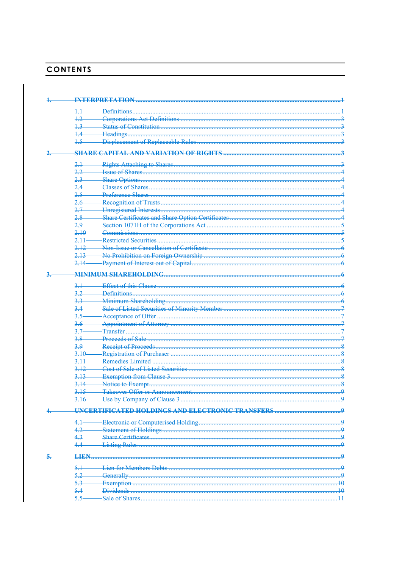## **CONTENTS**

|             | <b>INTERPRETATION</b>                            |          |
|-------------|--------------------------------------------------|----------|
|             | Definitions.                                     |          |
| $+2$        |                                                  |          |
| 1,3         |                                                  |          |
| 1.4         |                                                  |          |
|             |                                                  |          |
| $+5$        |                                                  |          |
|             |                                                  |          |
|             |                                                  |          |
|             | Rights Attaching to Shares                       |          |
| <u>າ າ.</u> |                                                  |          |
| 2.3         | Share Options                                    |          |
| 2.4         |                                                  |          |
| 2.5         | <b>Preference Shares</b>                         |          |
| 2.6         |                                                  |          |
| 2.7         |                                                  |          |
| $2.8 -$     |                                                  |          |
| 2.9         |                                                  |          |
| 2,10        |                                                  |          |
| 2.11        |                                                  |          |
| 2,12        |                                                  |          |
| 2,13        |                                                  |          |
| 2.14        |                                                  |          |
|             |                                                  |          |
|             |                                                  |          |
|             | Effect of this Clause                            |          |
| 32          | Definitions.                                     |          |
| 3,3         | <b>Minimum Shareholding</b>                      |          |
| 3.4         | Sale of Listed Securities of Minority Member     |          |
| 3.5         | Acceptance of Offer                              |          |
| 3.6         | Appointment of Attorney                          |          |
| 3.7         | <b>Transfer</b>                                  |          |
| 3.8         |                                                  |          |
| 3.9         |                                                  |          |
| 3.10        |                                                  |          |
| 3,11        | <b>Remedies Limited</b>                          |          |
| 3.12        | <b>Cost of Sale of Listed Securities</b>         |          |
| 3,13        |                                                  |          |
| 3,14        | Notice to Exempt                                 |          |
| 3.15        |                                                  |          |
| 3.16        | Use by Company of Clause 3                       |          |
|             |                                                  |          |
|             | HNCERTIFICATED HOLDINGS AND ELECTRONIC TRANSFERS |          |
|             |                                                  | <u>و</u> |
| 42          |                                                  |          |
| 4.3         |                                                  |          |
|             | <b>Listing Rules</b>                             |          |
|             |                                                  |          |
| <b>LIEN</b> |                                                  |          |
|             | Lien for Members Debts                           |          |
| 5.2         |                                                  | م۔       |
| 5.3         |                                                  | . 10     |
|             | Exemption<br><b>Dividend</b>                     |          |
| 5.5         | Sale of Shares                                   | 40       |
|             |                                                  |          |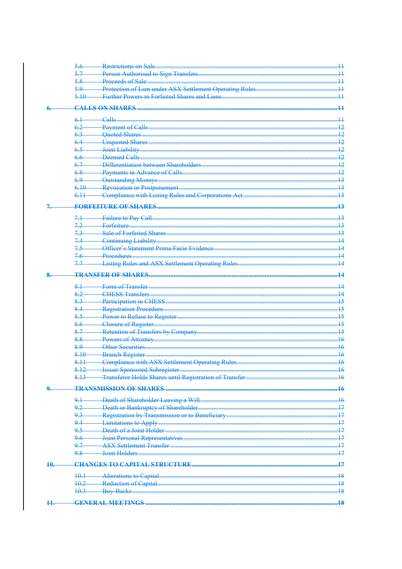| 5.6<br>5.7<br>5.8<br>5.9<br>5.10<br>6 <sup>1</sup><br>$_{\rm{Calls}}$<br>62<br>6.3<br>6.4<br>65<br>6.6<br>67<br>6.8<br>69<br>6.10<br>6.11<br>$7.2 -$ | 11                                       |
|------------------------------------------------------------------------------------------------------------------------------------------------------|------------------------------------------|
|                                                                                                                                                      |                                          |
|                                                                                                                                                      | 44<br>44<br>13                           |
|                                                                                                                                                      |                                          |
|                                                                                                                                                      | $\overline{12}$<br>42<br>$\overline{13}$ |
|                                                                                                                                                      |                                          |
|                                                                                                                                                      |                                          |
|                                                                                                                                                      |                                          |
|                                                                                                                                                      |                                          |
|                                                                                                                                                      |                                          |
|                                                                                                                                                      |                                          |
|                                                                                                                                                      |                                          |
|                                                                                                                                                      |                                          |
|                                                                                                                                                      |                                          |
|                                                                                                                                                      |                                          |
|                                                                                                                                                      |                                          |
|                                                                                                                                                      |                                          |
|                                                                                                                                                      |                                          |
|                                                                                                                                                      | .43                                      |
|                                                                                                                                                      |                                          |
|                                                                                                                                                      | $\overline{13}$                          |
|                                                                                                                                                      | 13                                       |
| 7.3                                                                                                                                                  |                                          |
| <b>Continuing Liability</b><br>74                                                                                                                    |                                          |
| 75                                                                                                                                                   |                                          |
| 76                                                                                                                                                   |                                          |
| 77                                                                                                                                                   |                                          |
|                                                                                                                                                      | . 14                                     |
| 8.1                                                                                                                                                  | $1\Lambda$                               |
| 8.2                                                                                                                                                  |                                          |
| 8.3                                                                                                                                                  | 15                                       |
| 8.4                                                                                                                                                  | 15                                       |
| 85                                                                                                                                                   | 15                                       |
| 8.6                                                                                                                                                  |                                          |
| 8.7                                                                                                                                                  | 15                                       |
| 8.8                                                                                                                                                  |                                          |
| 8.9                                                                                                                                                  |                                          |
| 8.10                                                                                                                                                 |                                          |
| Compliance with ASX Settlement Operating Rules.                                                                                                      | 46                                       |
| 8.11                                                                                                                                                 | 16                                       |
| 8,12                                                                                                                                                 | 46                                       |
| $8.13 -$                                                                                                                                             |                                          |
| <b>TRANSMISSION OF SHARES</b>                                                                                                                        | .46                                      |
| 9.1                                                                                                                                                  | . 16                                     |
| 9.2                                                                                                                                                  |                                          |
| 9.3                                                                                                                                                  | .17                                      |
| 9.4                                                                                                                                                  |                                          |
| جو                                                                                                                                                   | .17                                      |
| 9.6                                                                                                                                                  | $\overline{17}$                          |
| 9.7                                                                                                                                                  |                                          |
| 9.8                                                                                                                                                  | <u> 17</u>                               |
| <b>CHANGES TO CAPITAL STRUCTURE.</b><br>40.                                                                                                          | 17                                       |
|                                                                                                                                                      |                                          |
| $+0.1$                                                                                                                                               | $\overline{18}$                          |
| $+0.2$                                                                                                                                               | 18                                       |
|                                                                                                                                                      | 48                                       |
| $+0.3$                                                                                                                                               |                                          |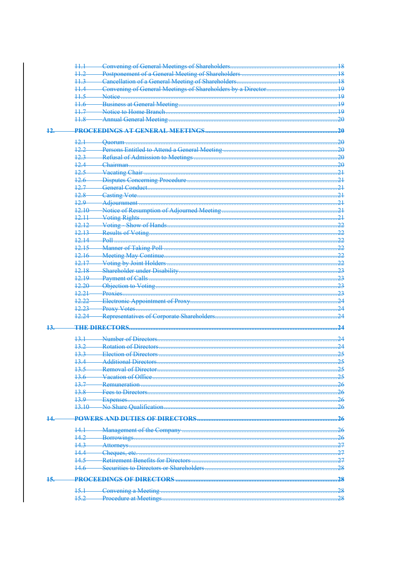|     | $11 - 1$        |                                                             | 18              |
|-----|-----------------|-------------------------------------------------------------|-----------------|
|     | $+1.2$          |                                                             |                 |
|     | 113             | Cancellation of a General Meeting of Shareholders           | 48              |
|     |                 | Convening of General Meetings of Shareholders by a Director | 19              |
|     | $+1.5$          |                                                             | 19              |
|     | $+1.6$          |                                                             | 19              |
|     | $11 - 7$        |                                                             | 19              |
|     | $+1.8$          | <b>Annual General Meeting.</b>                              |                 |
|     |                 |                                                             |                 |
| 12. |                 |                                                             | $-20$           |
|     | 12.1            |                                                             | $-20$           |
|     | 12.2            |                                                             | .20             |
|     | 12.3            |                                                             | .20             |
|     | 12.4            |                                                             | .20             |
|     | 12.5            |                                                             | $-21$           |
|     | 12.6            |                                                             | 21              |
|     | 127             |                                                             | $-21$           |
|     | 12.8            |                                                             | 21              |
|     | م جد            | Adjournment                                                 | 21              |
|     | 12.10           | Notice of Resumption of Adjourned Meeting                   | 21              |
|     | 12.11           |                                                             | .21             |
|     | 12.12           |                                                             | 22              |
|     | 12,13           |                                                             | 22              |
|     | 12.14           |                                                             | 22              |
|     | 12.15           |                                                             |                 |
|     |                 |                                                             | .22             |
|     | 12.16<br>12.17  |                                                             | 22              |
|     | 12.18           |                                                             | 22              |
|     |                 |                                                             | $-23$           |
|     | 12.19           |                                                             | $-23$           |
|     | 12.20           |                                                             | $-23$           |
|     | 12.21           | Proxies                                                     | $-23$           |
|     | <u> 12.22.</u>  |                                                             | 24              |
|     | 12.23           |                                                             | $\overline{24}$ |
|     | 12.24           | -Representatives of Corporate Shareholders                  | 24              |
| 13. |                 | <b>THE DIRECTORS</b>                                        | .24             |
|     |                 | Number of Directors                                         | $-24$           |
|     | 13.1            |                                                             |                 |
|     | 13.2            | <b>Rotation of Directors</b>                                | $-24$           |
|     | 133             | Election of Directors                                       | .25             |
|     | 134             | <b>Additional Directors</b>                                 | .25             |
|     |                 |                                                             | <del>25</del>   |
|     | 136             |                                                             | 25              |
|     | 13.7            |                                                             | .26             |
|     | 13.8            |                                                             | .26             |
|     | 13.9            |                                                             | .26             |
|     | $13.10 -$       |                                                             | -26             |
|     |                 |                                                             | .26             |
|     |                 |                                                             |                 |
|     | 141             |                                                             | $-26$           |
|     | 14.2            |                                                             | 26              |
|     | 14.3            |                                                             | .27             |
|     | 14.4            |                                                             | 27              |
|     | 14.5            |                                                             | .27             |
|     | 14.6            |                                                             | .28             |
|     |                 |                                                             | .28             |
| 15. |                 |                                                             |                 |
|     | <del>15.1</del> |                                                             | .28             |
|     | $15.2 -$        |                                                             |                 |
|     |                 |                                                             |                 |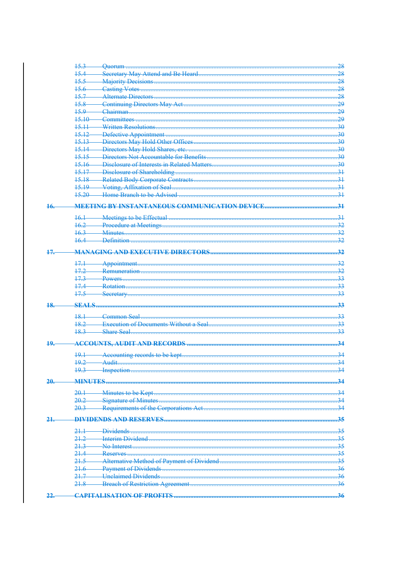|     | 15.3           |                                          | 28               |
|-----|----------------|------------------------------------------|------------------|
|     | 15.4           |                                          | 28               |
|     | ج ج 1          |                                          | 28               |
|     | 15.6           |                                          | .28              |
|     | 15.7           |                                          | .28              |
|     | 15.8           |                                          | $-29$            |
|     | 45.9           |                                          | 29               |
|     | 15.10          |                                          | $-29$            |
|     | 15.11          |                                          | .30              |
|     | 15,12          |                                          | $\overline{30}$  |
|     | 15.13          |                                          | $\overline{.30}$ |
|     | 15.14          |                                          | .30              |
|     | $15.15 -$      |                                          | .30              |
|     | 15.16          |                                          | $\overline{.30}$ |
|     | 1517           |                                          | -34              |
|     | 1518           |                                          | $-31$            |
|     | 15,19          |                                          | 31               |
|     | 15,20          |                                          | $\overline{31}$  |
|     |                |                                          |                  |
| 16. |                |                                          | $\overline{31}$  |
|     | $+6.1$         |                                          | $\overline{31}$  |
|     | 162            | <b>Example 21 Procedure at Meetings.</b> | 32               |
|     | 16.3           | <b>Minutes</b>                           | 32               |
|     | 16.4           | -Definition                              | 32               |
|     |                |                                          |                  |
| 17. |                |                                          | .32              |
|     | 17.1           |                                          | 32               |
|     | 17.2           |                                          | 32               |
|     | 17.3           |                                          | 33               |
|     | 17.4           |                                          | 33               |
|     | 17.5           |                                          | 33               |
|     |                |                                          |                  |
| 18. | <b>SEALS</b>   |                                          | 33               |
|     | 18.1           | Common Seal                              | 33               |
|     | 18.2           |                                          | 33               |
|     | 18.3           |                                          | 33               |
|     |                |                                          |                  |
| 10  |                |                                          | 34               |
|     | 191            |                                          | .34              |
|     | 19.2           |                                          |                  |
|     |                |                                          | .34              |
|     |                |                                          |                  |
| 20  | <b>MINHTES</b> |                                          | 34               |
|     | 20.1           | Minutes to be Kept                       | $\overline{34}$  |
|     | 20.2           | Signature of Minutes.                    | $\overline{34}$  |
|     | 20.3           |                                          | $-34$            |
|     |                |                                          |                  |
| 21  |                |                                          | .35              |
|     | $21 -$         | Dividends                                | 35               |
|     | 21.2           | Interim Dividend                         | 35               |
|     | 213            | No Interest                              | 35               |
|     | 21.4           | Reserves                                 | 35               |
|     | 21.5           |                                          | .35              |
|     | 21.6           |                                          | .36              |
|     | 21.7           | <b>Unclaimed Dividends</b>               | 36               |
|     | 21.8           |                                          | -36              |
|     |                |                                          |                  |
| 22  |                | <b>CAPITALISATION OF PROFITS.</b>        | 36               |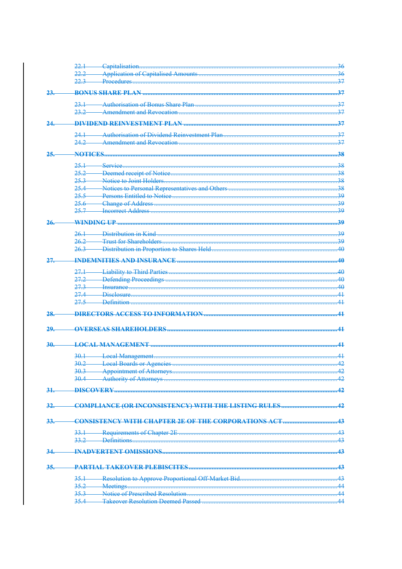|     |                                             | 36              |
|-----|---------------------------------------------|-----------------|
|     |                                             |                 |
|     |                                             | 37              |
| 23  |                                             | 37              |
|     |                                             |                 |
|     | 231                                         | 37              |
|     | 232                                         | $\overline{37}$ |
|     |                                             | 37              |
|     |                                             |                 |
|     |                                             | $\overline{37}$ |
|     |                                             | 27              |
| 25  |                                             | .38             |
|     | 251<br>Service                              | $-38$           |
|     | 252                                         | 38              |
|     | 253                                         | $-38$           |
|     | $254-$                                      | .38             |
|     | 255                                         | 39              |
|     | 25.6                                        | -39             |
|     | 25.7                                        | مج              |
|     |                                             |                 |
| 26  | <b>WINDING IID</b>                          | 30              |
|     | Distribution in Kind                        | $\overline{30}$ |
|     | $262-$                                      | 30              |
|     | $263-$                                      | 40              |
|     |                                             |                 |
| 27  |                                             | 40              |
|     | 271                                         | 40              |
|     | 27.2                                        | 4Δ              |
|     | 273                                         | 40              |
|     | 27 <sub>4</sub>                             | 41              |
|     | $275-$                                      | 41              |
|     |                                             |                 |
| 28  |                                             | $\overline{41}$ |
|     |                                             |                 |
| 20  |                                             | 41              |
| 30. | <b>LOCAL MANACEMENT</b>                     |                 |
|     |                                             |                 |
|     | 30.1                                        | $\overline{41}$ |
|     | <b>Local Boards or Agencies</b><br>$30.2 -$ | $\Lambda$       |
|     |                                             | .42             |
|     |                                             | .42             |
| 31. |                                             |                 |
|     |                                             |                 |
| 32  |                                             |                 |
|     |                                             |                 |
| 33  |                                             |                 |
|     |                                             |                 |
|     |                                             |                 |
|     | 33.2                                        |                 |
|     |                                             |                 |
|     |                                             |                 |
| 35. |                                             |                 |
|     |                                             |                 |
|     | 35.1                                        | .43             |
|     |                                             | $\overline{44}$ |
|     | $35.3 -$                                    | 44              |
|     | $35.4 -$                                    |                 |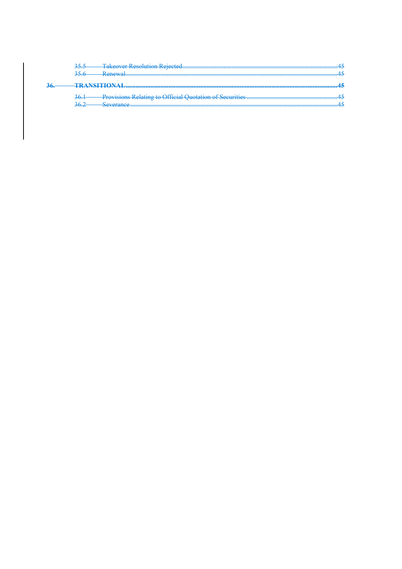|                      | 355<br><del>JJ.J</del><br>256<br>$D_{\text{maxima}}$ |  |
|----------------------|------------------------------------------------------|--|
|                      | <del>53.0</del>                                      |  |
| 36<br><del>ು∪.</del> |                                                      |  |
|                      | 36 <sup>2</sup><br><b>DAVIET</b>                     |  |
|                      | 262<br>Cavarance<br>20074                            |  |
|                      |                                                      |  |
|                      |                                                      |  |
|                      |                                                      |  |
|                      |                                                      |  |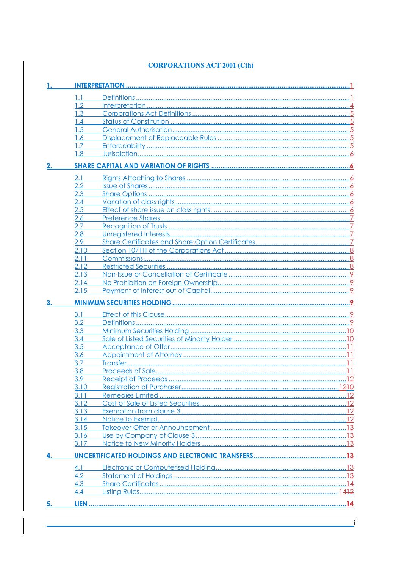### **CORPORATIONS ACT 2001 (Cth)**

| 1. |         |  |
|----|---------|--|
|    | 1.1     |  |
|    | 1.2     |  |
|    | 1.3     |  |
|    | 1.4     |  |
|    | 1.5     |  |
|    | 1.6     |  |
|    | 1.7     |  |
|    | 1.8     |  |
| 2. |         |  |
|    | 2.1     |  |
|    | $2.2\,$ |  |
|    | 2.3     |  |
|    | 2.4     |  |
|    | 2.5     |  |
|    | 2.6     |  |
|    | 2.7     |  |
|    | 2.8     |  |
|    | 2.9     |  |
|    | 2.10    |  |
|    | 2.11    |  |
|    | 2.12    |  |
|    | 2.13    |  |
|    | 2.14    |  |
|    | 2.15    |  |
| 3. |         |  |
|    | 3.1     |  |
|    | 3.2     |  |
|    | 3.3     |  |
|    | 3.4     |  |
|    | 3.5     |  |
|    | 3.6     |  |
|    | 3.7     |  |
|    | 3.8     |  |
|    | 3.9     |  |
|    | 3.10    |  |
|    | 3.11    |  |
|    | 3.12    |  |
|    | 3.13    |  |
|    | 3.14    |  |
|    | 3.15    |  |
|    | 3.16    |  |
|    | 3.17    |  |
|    |         |  |
|    | 4.1     |  |
|    | 4.2     |  |
|    | 4.3     |  |
|    | 4.4     |  |
|    |         |  |
| 5. |         |  |

 $\mathbf{i}$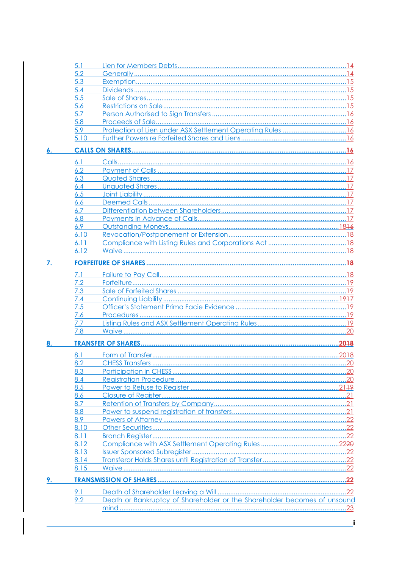|    | 5.1  |                                                                          |     |
|----|------|--------------------------------------------------------------------------|-----|
|    | 5.2  |                                                                          |     |
|    | 5.3  |                                                                          |     |
|    | 5.4  |                                                                          |     |
|    | 5.5  |                                                                          |     |
|    | 5.6  |                                                                          |     |
|    | 5.7  |                                                                          |     |
|    | 5.8  |                                                                          |     |
|    | 5.9  |                                                                          |     |
|    | 5.10 |                                                                          |     |
|    |      |                                                                          |     |
|    | 6.1  |                                                                          |     |
|    | 6.2  |                                                                          |     |
|    | 6.3  |                                                                          |     |
|    | 6.4  |                                                                          |     |
|    | 6.5  |                                                                          |     |
|    | 6.6  |                                                                          |     |
|    | 6.7  |                                                                          |     |
|    | 6.8  |                                                                          |     |
|    | 6.9  |                                                                          |     |
|    | 6.10 |                                                                          |     |
|    | 6.11 |                                                                          |     |
|    | 6.12 |                                                                          |     |
| 7. |      |                                                                          |     |
|    |      |                                                                          |     |
|    | 7.1  |                                                                          |     |
|    | 7.2  |                                                                          |     |
|    | 7.3  |                                                                          |     |
|    | 7.4  |                                                                          |     |
|    | 7.5  |                                                                          |     |
|    | 7.6  |                                                                          |     |
|    | 7.7  |                                                                          |     |
|    | 7.8  |                                                                          |     |
|    |      |                                                                          |     |
|    | 8.1  |                                                                          |     |
|    | 8.2  |                                                                          |     |
|    | 8.3  |                                                                          |     |
|    | 8.4  |                                                                          |     |
|    | 8.5  |                                                                          |     |
|    | 8.6  |                                                                          |     |
|    | 8.7  |                                                                          |     |
|    | 8.8  |                                                                          |     |
|    | 8.9  |                                                                          |     |
|    | 8.10 |                                                                          |     |
|    | 8.11 |                                                                          |     |
|    | 8.12 |                                                                          |     |
|    | 8.13 |                                                                          |     |
|    | 8.14 |                                                                          |     |
|    | 8.15 |                                                                          |     |
| 8. |      |                                                                          | .20 |
|    | 9.1  |                                                                          |     |
|    | 9.2  | Death or Bankruptcy of Shareholder or the Shareholder becomes of unsound |     |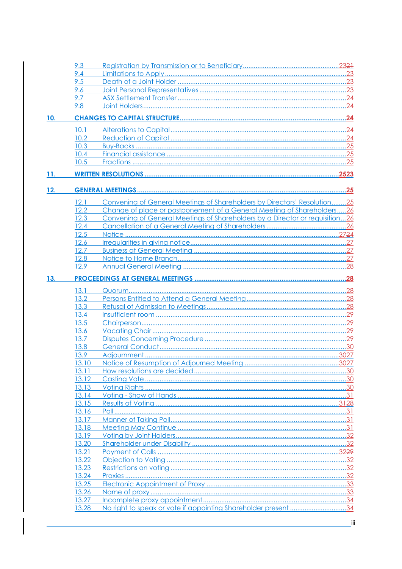|     | 9.3            |                                                                              |  |
|-----|----------------|------------------------------------------------------------------------------|--|
|     | 9.4            |                                                                              |  |
|     | 9.5            |                                                                              |  |
|     | 9.6            |                                                                              |  |
|     | 9.7            |                                                                              |  |
|     | 9.8            |                                                                              |  |
| 10. |                |                                                                              |  |
|     | 10.1           |                                                                              |  |
|     | 10.2           |                                                                              |  |
|     | 10.3           |                                                                              |  |
|     | 10.4           |                                                                              |  |
|     | 10.5           |                                                                              |  |
| 11. |                |                                                                              |  |
| 12. |                |                                                                              |  |
|     | 12.1           | Convening of General Meetings of Shareholders by Directors' Resolution25     |  |
|     | 12.2           | Change of place or postponement of a General Meeting of Shareholders26       |  |
|     | 12.3           | Convening of General Meetings of Shareholders by a Director or requisition26 |  |
|     | 12.4           |                                                                              |  |
|     | 12.5           |                                                                              |  |
|     | 12.6           |                                                                              |  |
|     | 12.7           |                                                                              |  |
|     | 12.8           |                                                                              |  |
|     | 12.9           |                                                                              |  |
| 13. |                |                                                                              |  |
|     | 13.1           |                                                                              |  |
|     | 13.2           |                                                                              |  |
|     | 13.3           |                                                                              |  |
|     | 13.4           |                                                                              |  |
|     | 13.5           |                                                                              |  |
|     | 13.6           |                                                                              |  |
|     | 13.7           |                                                                              |  |
|     | 13.8           |                                                                              |  |
|     | 13.9           |                                                                              |  |
|     | 13.10          |                                                                              |  |
|     | 13.11          |                                                                              |  |
|     | 13.12          |                                                                              |  |
|     | 13.13          |                                                                              |  |
|     | 13.14          |                                                                              |  |
|     | 13.15          |                                                                              |  |
|     | 13.16          |                                                                              |  |
|     | 13.17          |                                                                              |  |
|     | 13.18          |                                                                              |  |
|     | 13.19          |                                                                              |  |
|     | 13.20          |                                                                              |  |
|     | 13.21<br>13.22 |                                                                              |  |
|     | 13.23          |                                                                              |  |
|     | 13.24          |                                                                              |  |
|     | 13.25          |                                                                              |  |
|     | 13.26          |                                                                              |  |
|     | 13.27          |                                                                              |  |
|     | 13.28          | No right to speak or vote if appointing Shareholder present 34               |  |
|     |                |                                                                              |  |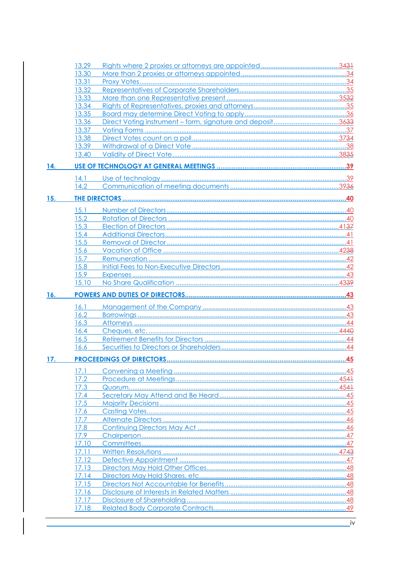|     | 13.29          |                                                            |  |
|-----|----------------|------------------------------------------------------------|--|
|     | 13.30          |                                                            |  |
|     | 13.31          |                                                            |  |
|     | 13.32          |                                                            |  |
|     | 13.33          |                                                            |  |
|     | 13.34          |                                                            |  |
|     | 13.35          |                                                            |  |
|     | 13.36          | Direct Voting instrument – form, signature and deposit3633 |  |
|     | 13.37          |                                                            |  |
|     | 13.38          |                                                            |  |
|     | 13.39          |                                                            |  |
|     | 13.40          |                                                            |  |
| 14. |                |                                                            |  |
|     | 14.1           |                                                            |  |
|     | 14.2           |                                                            |  |
|     |                |                                                            |  |
| 15. |                |                                                            |  |
|     | 15.1           |                                                            |  |
|     | 15.2           |                                                            |  |
|     | 15.3           |                                                            |  |
|     | 15.4           |                                                            |  |
|     | 15.5           |                                                            |  |
|     | 15.6           |                                                            |  |
|     | 15.7           |                                                            |  |
|     | 15.8           |                                                            |  |
|     | 15.9           |                                                            |  |
|     | 15.10          |                                                            |  |
|     |                |                                                            |  |
|     |                |                                                            |  |
| 16. |                |                                                            |  |
|     |                |                                                            |  |
|     | 16.1           |                                                            |  |
|     | 16.2           |                                                            |  |
|     | 16.3           |                                                            |  |
|     | 16.4           |                                                            |  |
|     | 16.5           |                                                            |  |
|     | 16.6           |                                                            |  |
| 17. |                |                                                            |  |
|     | 17.1           |                                                            |  |
|     | 17.2           |                                                            |  |
|     | 17.3           |                                                            |  |
|     | 17.4           |                                                            |  |
|     | 17.5           |                                                            |  |
|     | 17.6           |                                                            |  |
|     | 17.7           |                                                            |  |
|     | 17.8           |                                                            |  |
|     | 17.9           |                                                            |  |
|     | 17.10          |                                                            |  |
|     | 17.11          |                                                            |  |
|     | 17.12          |                                                            |  |
|     | 17.13          |                                                            |  |
|     | 17.14          |                                                            |  |
|     |                |                                                            |  |
|     | 17.15          |                                                            |  |
|     | 17.16          |                                                            |  |
|     | 17.17<br>17.18 |                                                            |  |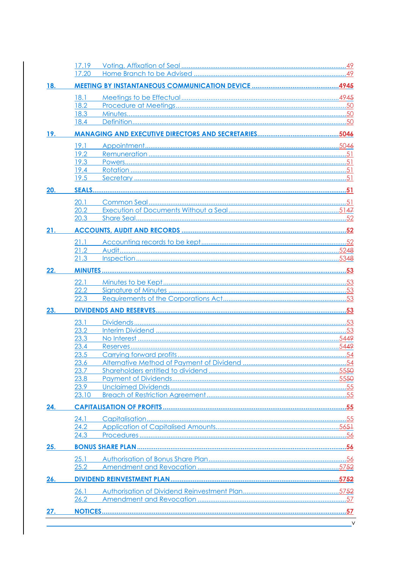|     | 17.19        |  |
|-----|--------------|--|
|     | 17.20        |  |
| 18. |              |  |
|     | 18.1         |  |
|     | 18.2         |  |
|     | 18.3         |  |
|     | 18.4         |  |
| 19. |              |  |
|     | 19.1         |  |
|     | 19.2         |  |
|     | 19.3         |  |
|     | 19.4<br>19.5 |  |
|     |              |  |
| 20. |              |  |
|     | 20.1         |  |
|     | 20.2         |  |
|     | 20.3         |  |
| 21. |              |  |
|     | 21.1         |  |
|     | 21.2         |  |
|     | 21.3         |  |
| 22. |              |  |
|     | 22.1         |  |
|     | 22.2         |  |
|     | 22.3         |  |
| 23. |              |  |
|     | 23.1         |  |
|     | 23.2         |  |
|     | 23.3         |  |
|     | 23.4         |  |
|     | 23.5<br>23.6 |  |
|     | 23.7         |  |
|     | 23.8         |  |
|     | 23.9         |  |
|     | 23.10        |  |
| 24. |              |  |
|     | 24.1         |  |
|     | 24.2         |  |
|     | 24.3         |  |
| 25. |              |  |
|     | 25.1         |  |
|     | 25.2         |  |
| 26. |              |  |
|     | 26.1         |  |
|     | 26.2         |  |
| 27. |              |  |
|     |              |  |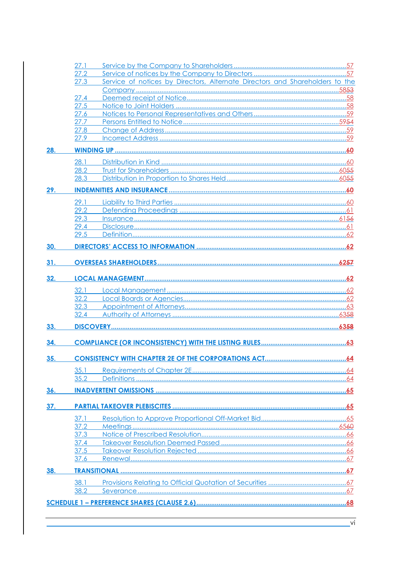|     | 27.1         |                                                                              |  |
|-----|--------------|------------------------------------------------------------------------------|--|
|     | 27.2         |                                                                              |  |
|     | 27.3         | Service of notices by Directors, Alternate Directors and Shareholders to the |  |
|     |              |                                                                              |  |
|     | 27.4         |                                                                              |  |
|     | 27.5         |                                                                              |  |
|     | 27.6         |                                                                              |  |
|     | 27.7         |                                                                              |  |
|     | 27.8         |                                                                              |  |
|     | 27.9         |                                                                              |  |
| 28. |              |                                                                              |  |
|     | 28.1         |                                                                              |  |
|     | 28.2         |                                                                              |  |
|     | 28.3         |                                                                              |  |
| 29. |              |                                                                              |  |
|     | 29.1         |                                                                              |  |
|     | 29.2         |                                                                              |  |
|     | 29.3         |                                                                              |  |
|     | 29.4         |                                                                              |  |
|     | 29.5         |                                                                              |  |
| 30. |              |                                                                              |  |
| 31. |              |                                                                              |  |
|     |              |                                                                              |  |
| 32. |              |                                                                              |  |
|     | 32.1         |                                                                              |  |
|     | 32.2         |                                                                              |  |
|     | 32.3         |                                                                              |  |
|     | 32.4         |                                                                              |  |
| 33. |              |                                                                              |  |
| 34. |              |                                                                              |  |
|     |              |                                                                              |  |
| 35. |              |                                                                              |  |
|     | 35.1         |                                                                              |  |
|     | 35.2         |                                                                              |  |
| 36. |              |                                                                              |  |
| 37. |              |                                                                              |  |
|     |              |                                                                              |  |
|     | 37.1         |                                                                              |  |
|     | 37.2<br>37.3 |                                                                              |  |
|     | 37.4         |                                                                              |  |
|     | 37.5         |                                                                              |  |
|     | 37.6         |                                                                              |  |
|     |              |                                                                              |  |
| 38. |              |                                                                              |  |
|     | 38.1         |                                                                              |  |
|     | 38.2         |                                                                              |  |
|     |              |                                                                              |  |
|     |              |                                                                              |  |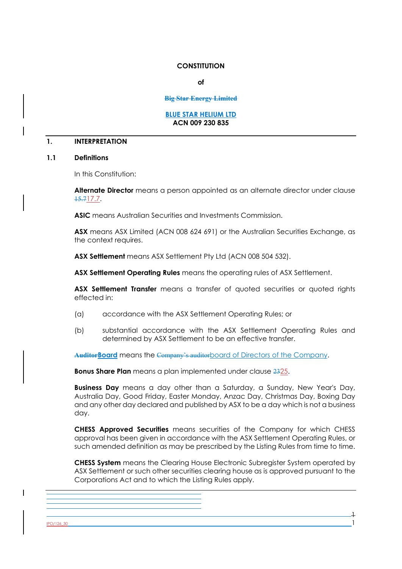#### **CONSTITUTION**

**of** 

#### **Big Star Energy Limited**

#### **BLUE STAR HELIUM LTD ACN 009 230 835**

#### **1. INTERPRETATION**

#### **1.1 Definitions**

In this Constitution:

**Alternate Director** means a person appointed as an alternate director under clause 15.717.7.

**ASIC** means Australian Securities and Investments Commission.

**ASX** means ASX Limited (ACN 008 624 691) or the Australian Securities Exchange, as the context requires.

**ASX Settlement** means ASX Settlement Pty Ltd (ACN 008 504 532).

**ASX Settlement Operating Rules** means the operating rules of ASX Settlement.

ASX Settlement Transfer means a transfer of quoted securities or quoted rights effected in:

- (a) accordance with the ASX Settlement Operating Rules; or
- (b) substantial accordance with the ASX Settlement Operating Rules and determined by ASX Settlement to be an effective transfer.

**AuditorBoard** means the Company's auditorboard of Directors of the Company.

**Bonus Share Plan** means a plan implemented under clause 2325.

**Business Day** means a day other than a Saturday, a Sunday, New Year's Day, Australia Day, Good Friday, Easter Monday, Anzac Day, Christmas Day, Boxing Day and any other day declared and published by ASX to be a day which is not a business day.

**CHESS Approved Securities** means securities of the Company for which CHESS approval has been given in accordance with the ASX Settlement Operating Rules, or such amended definition as may be prescribed by the Listing Rules from time to time.

**CHESS System** means the Clearing House Electronic Subregister System operated by ASX Settlement or such other securities clearing house as is approved pursuant to the Corporations Act and to which the Listing Rules apply.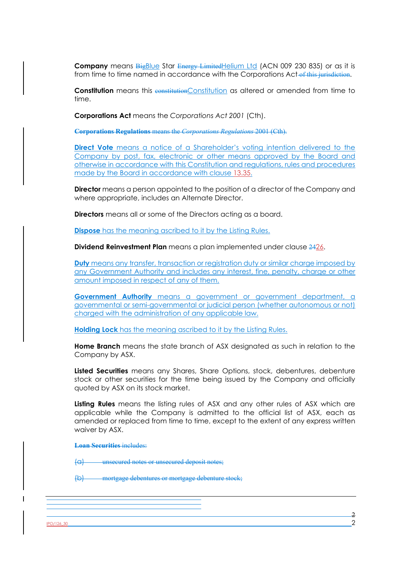**Company** means **BigBlue Star Energy LimitedHelium Ltd (ACN 009 230 835)** or as it is from time to time named in accordance with the Corporations Act of this jurisdiction.

**Constitution** means this **constitution**Constitution as altered or amended from time to time.

**Corporations Act** means the *Corporations Act 2001* (Cth).

**Corporations Regulations** means the *Corporations Regulations* 2001 (Cth).

**Direct Vote** means a notice of a Shareholder's voting intention delivered to the Company by post, fax, electronic or other means approved by the Board and otherwise in accordance with this Constitution and regulations, rules and procedures made by the Board in accordance with clause 13.35.

**Director** means a person appointed to the position of a director of the Company and where appropriate, includes an Alternate Director.

**Directors** means all or some of the Directors acting as a board.

**Dispose** has the meaning ascribed to it by the Listing Rules.

**Dividend Reinvestment Plan** means a plan implemented under clause 2426.

**Duty** means any transfer, transaction or registration duty or similar charge imposed by any Government Authority and includes any interest, fine, penalty, charge or other amount imposed in respect of any of them.

**Government Authority** means a government or government department, a governmental or semi-governmental or judicial person (whether autonomous or not) charged with the administration of any applicable law.

**Holding Lock** has the meaning ascribed to it by the Listing Rules.

**Home Branch** means the state branch of ASX designated as such in relation to the Company by ASX.

**Listed Securities** means any Shares, Share Options, stock, debentures, debenture stock or other securities for the time being issued by the Company and officially quoted by ASX on its stock market.

**Listing Rules** means the listing rules of ASX and any other rules of ASX which are applicable while the Company is admitted to the official list of ASX, each as amended or replaced from time to time, except to the extent of any express written waiver by ASX.

**Loan Securities** includes:

(a) unsecured notes or unsecured deposit notes;

(b) mortgage debentures or mortgage debenture stock;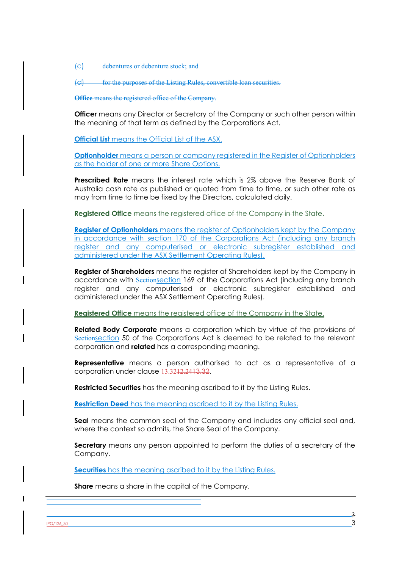(c) debentures or debenture stock; and

(d) for the purposes of the Listing Rules, convertible loan securities.

**Office** means the registered office of the Company.

**Officer** means any Director or Secretary of the Company or such other person within the meaning of that term as defined by the Corporations Act.

**Official List** means the Official List of the ASX.

**Optionholder** means a person or company registered in the Register of Optionholders as the holder of one or more Share Options.

**Prescribed Rate** means the interest rate which is 2% above the Reserve Bank of Australia cash rate as published or quoted from time to time, or such other rate as may from time to time be fixed by the Directors, calculated daily.

**Registered Office** means the registered office of the Company in the State.

**Register of Optionholders** means the register of Optionholders kept by the Company in accordance with section 170 of the Corporations Act (including any branch register and any computerised or electronic subregister established and administered under the ASX Settlement Operating Rules).

**Register of Shareholders** means the register of Shareholders kept by the Company in accordance with Sectionsection 169 of the Corporations Act (including any branch register and any computerised or electronic subregister established and administered under the ASX Settlement Operating Rules).

**Registered Office** means the registered office of the Company in the State.

**Related Body Corporate** means a corporation which by virtue of the provisions of Sectionsection 50 of the Corporations Act is deemed to be related to the relevant corporation and **related** has a corresponding meaning.

**Representative** means a person authorised to act as a representative of a corporation under clause 13.3212.2413.32.

**Restricted Securities** has the meaning ascribed to it by the Listing Rules.

**Restriction Deed** has the meaning ascribed to it by the Listing Rules.

**Seal** means the common seal of the Company and includes any official seal and, where the context so admits, the Share Seal of the Company.

**Secretary** means any person appointed to perform the duties of a secretary of the Company.

**Securities** has the meaning ascribed to it by the Listing Rules.

**Share** means a share in the capital of the Company.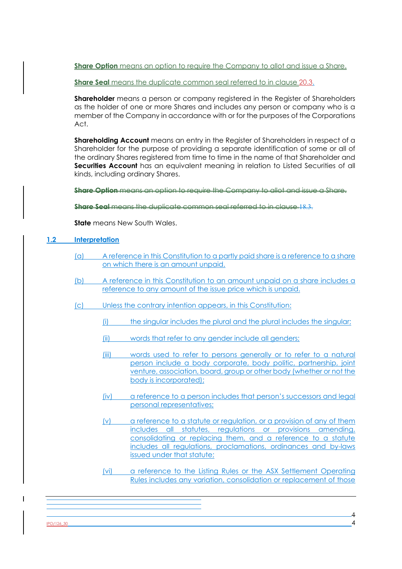**Share Option** means an option to require the Company to allot and issue a Share.

**Share Seal** means the duplicate common seal referred to in clause 20.3.

**Shareholder** means a person or company registered in the Register of Shareholders as the holder of one or more Shares and includes any person or company who is a member of the Company in accordance with or for the purposes of the Corporations Act.

**Shareholding Account** means an entry in the Register of Shareholders in respect of a Shareholder for the purpose of providing a separate identification of some or all of the ordinary Shares registered from time to time in the name of that Shareholder and **Securities Account** has an equivalent meaning in relation to Listed Securities of all kinds, including ordinary Shares.

**Share Option** means an option to require the Company to allot and issue a Share.

**Share Seal** means the duplicate common seal referred to in clause 18.3.

**State** means New South Wales.

## **1.2 Interpretation**

- (a) A reference in this Constitution to a partly paid share is a reference to a share on which there is an amount unpaid.
- (b) A reference in this Constitution to an amount unpaid on a share includes a reference to any amount of the issue price which is unpaid.
- (c) Unless the contrary intention appears, in this Constitution:
	- (i) the singular includes the plural and the plural includes the singular;
	- (ii) words that refer to any gender include all genders;
	- (iii) words used to refer to persons generally or to refer to a natural person include a body corporate, body politic, partnership, joint venture, association, board, group or other body (whether or not the body is incorporated);
	- (iv) a reference to a person includes that person's successors and legal personal representatives;
	- (v) a reference to a statute or regulation, or a provision of any of them includes all statutes, regulations or provisions amending, consolidating or replacing them, and a reference to a statute includes all regulations, proclamations, ordinances and by-laws issued under that statute;
	- (vi) a reference to the Listing Rules or the ASX Settlement Operating Rules includes any variation, consolidation or replacement of those

 $PO/126$ \_30 4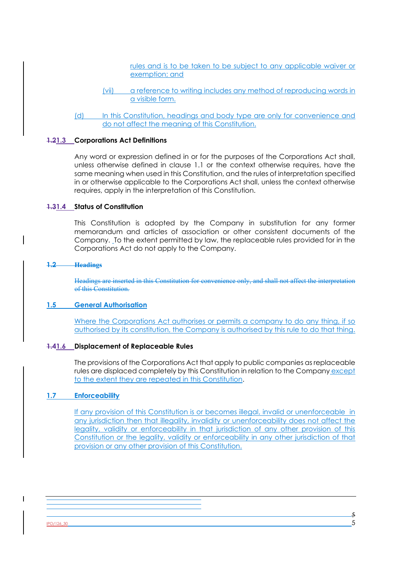rules and is to be taken to be subject to any applicable waiver or exemption; and

- (vii) a reference to writing includes any method of reproducing words in a visible form.
- (d) In this Constitution, headings and body type are only for convenience and do not affect the meaning of this Constitution.

#### **1.21.3 Corporations Act Definitions**

Any word or expression defined in or for the purposes of the Corporations Act shall, unless otherwise defined in clause 1.1 or the context otherwise requires, have the same meaning when used in this Constitution, and the rules of interpretation specified in or otherwise applicable to the Corporations Act shall, unless the context otherwise requires, apply in the interpretation of this Constitution.

#### **1.31.4 Status of Constitution**

This Constitution is adopted by the Company in substitution for any former memorandum and articles of association or other consistent documents of the Company. To the extent permitted by law, the replaceable rules provided for in the Corporations Act do not apply to the Company.

#### **1.2 Headings**

Headings are inserted in this Constitution for convenience only, and shall not affect the interpretation of this Constitution.

#### **1.5 General Authorisation**

Where the Corporations Act authorises or permits a company to do any thing, if so authorised by its constitution, the Company is authorised by this rule to do that thing.

#### **1.41.6 Displacement of Replaceable Rules**

The provisions of the Corporations Act that apply to public companies as replaceable rules are displaced completely by this Constitution in relation to the Company except to the extent they are repeated in this Constitution.

#### **1.7 Enforceability**

If any provision of this Constitution is or becomes illegal, invalid or unenforceable in any jurisdiction then that illegality, invalidity or unenforceability does not affect the legality, validity or enforceability in that jurisdiction of any other provision of this Constitution or the legality, validity or enforceability in any other jurisdiction of that provision or any other provision of this Constitution.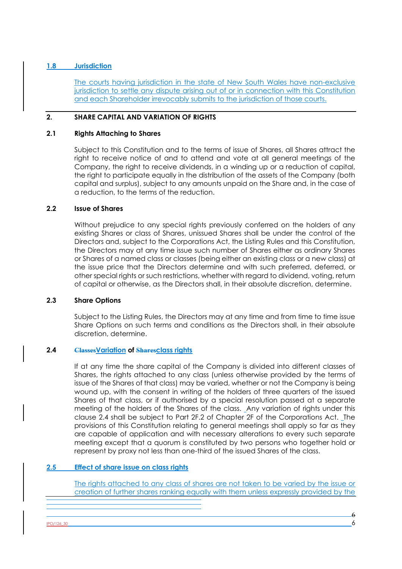## **1.8 Jurisdiction**

The courts having jurisdiction in the state of New South Wales have non-exclusive jurisdiction to settle any dispute arising out of or in connection with this Constitution and each Shareholder irrevocably submits to the jurisdiction of those courts.

## **2. SHARE CAPITAL AND VARIATION OF RIGHTS**

#### **2.1 Rights Attaching to Shares**

Subject to this Constitution and to the terms of issue of Shares, all Shares attract the right to receive notice of and to attend and vote at all general meetings of the Company, the right to receive dividends, in a winding up or a reduction of capital, the right to participate equally in the distribution of the assets of the Company (both capital and surplus), subject to any amounts unpaid on the Share and, in the case of a reduction, to the terms of the reduction.

#### **2.2 Issue of Shares**

Without prejudice to any special rights previously conferred on the holders of any existing Shares or class of Shares, unissued Shares shall be under the control of the Directors and, subject to the Corporations Act, the Listing Rules and this Constitution, the Directors may at any time issue such number of Shares either as ordinary Shares or Shares of a named class or classes (being either an existing class or a new class) at the issue price that the Directors determine and with such preferred, deferred, or other special rights or such restrictions, whether with regard to dividend, voting, return of capital or otherwise, as the Directors shall, in their absolute discretion, determine.

#### **2.3 Share Options**

Subject to the Listing Rules, the Directors may at any time and from time to time issue Share Options on such terms and conditions as the Directors shall, in their absolute discretion, determine.

## **2.4 ClassesVariation of Sharesclass rights**

If at any time the share capital of the Company is divided into different classes of Shares, the rights attached to any class (unless otherwise provided by the terms of issue of the Shares of that class) may be varied, whether or not the Company is being wound up, with the consent in writing of the holders of three quarters of the issued Shares of that class, or if authorised by a special resolution passed at a separate meeting of the holders of the Shares of the class. Any variation of rights under this clause 2.4 shall be subject to Part 2F.2 of Chapter 2F of the Corporations Act. The provisions of this Constitution relating to general meetings shall apply so far as they are capable of application and with necessary alterations to every such separate meeting except that a quorum is constituted by two persons who together hold or represent by proxy not less than one-third of the issued Shares of the class.

## **2.5 Effect of share issue on class rights**

The rights attached to any class of shares are not taken to be varied by the issue or creation of further shares ranking equally with them unless expressly provided by the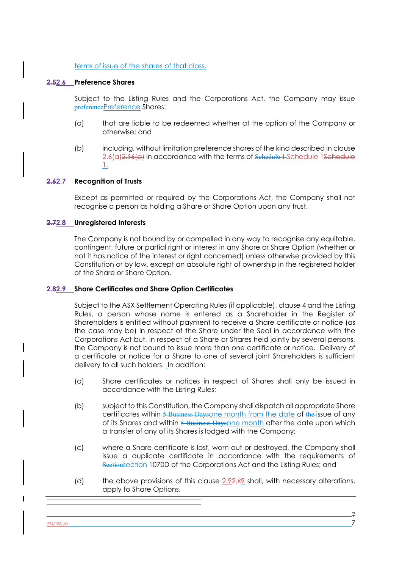#### terms of issue of the shares of that class.

#### **2.52.6 Preference Shares**

Subject to the Listing Rules and the Corporations Act, the Company may issue preferencePreference Shares:

- (a) that are liable to be redeemed whether at the option of the Company or otherwise; and
- (b) including, without limitation preference shares of the kind described in clause 2.6(a) 2.56(a) in accordance with the terms of Schedule 1.Schedule 1Schedule  $\pm$ .

## **2.62.7 Recognition of Trusts**

Except as permitted or required by the Corporations Act, the Company shall not recognise a person as holding a Share or Share Option upon any trust.

## **2.72.8 Unregistered Interests**

The Company is not bound by or compelled in any way to recognise any equitable, contingent, future or partial right or interest in any Share or Share Option (whether or not it has notice of the interest or right concerned) unless otherwise provided by this Constitution or by law, except an absolute right of ownership in the registered holder of the Share or Share Option.

#### **2.82.9 Share Certificates and Share Option Certificates**

Subject to the ASX Settlement Operating Rules (if applicable), clause 4 and the Listing Rules, a person whose name is entered as a Shareholder in the Register of Shareholders is entitled without payment to receive a Share certificate or notice (as the case may be) in respect of the Share under the Seal in accordance with the Corporations Act but, in respect of a Share or Shares held jointly by several persons, the Company is not bound to issue more than one certificate or notice. Delivery of a certificate or notice for a Share to one of several joint Shareholders is sufficient delivery to all such holders. In addition:

- (a) Share certificates or notices in respect of Shares shall only be issued in accordance with the Listing Rules;
- (b) subject to this Constitution, the Company shall dispatch all appropriate Share certificates within 5 Business Daysone month from the date of the issue of any of its Shares and within 5 Business Daysone month after the date upon which a transfer of any of its Shares is lodged with the Company;
- (c) where a Share certificate is lost, worn out or destroyed, the Company shall issue a duplicate certificate in accordance with the requirements of Sectionsection 1070D of the Corporations Act and the Listing Rules; and
- (d) the above provisions of this clause  $2.92.89$  shall, with necessary alterations, apply to Share Options.

 $PO/126,30$   $7$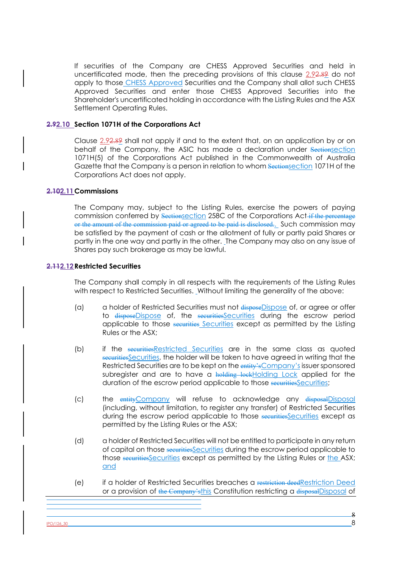If securities of the Company are CHESS Approved Securities and held in uncertificated mode, then the preceding provisions of this clause 2.92.89 do not apply to those CHESS Approved Securities and the Company shall allot such CHESS Approved Securities and enter those CHESS Approved Securities into the Shareholder's uncertificated holding in accordance with the Listing Rules and the ASX Settlement Operating Rules.

#### **2.92.10 Section 1071H of the Corporations Act**

Clause 2.92.89 shall not apply if and to the extent that, on an application by or on behalf of the Company, the ASIC has made a declaration under Sectionsection 1071H(5) of the Corporations Act published in the Commonwealth of Australia Gazette that the Company is a person in relation to whom **Sectionsection** 1071H of the Corporations Act does not apply.

#### **2.102.11Commissions**

The Company may, subject to the Listing Rules, exercise the powers of paying commission conferred by Sectionsection 258C of the Corporations Act if the percentage or the amount of the commission paid or agreed to be paid is disclosed. Such commission may be satisfied by the payment of cash or the allotment of fully or partly paid Shares or partly in the one way and partly in the other. The Company may also on any issue of Shares pay such brokerage as may be lawful.

## **2.112.12Restricted Securities**

The Company shall comply in all respects with the requirements of the Listing Rules with respect to Restricted Securities. Without limiting the generality of the above:

- (a) a holder of Restricted Securities must not disposeDispose of, or agree or offer to disposeDispose of, the securitiesSecurities during the escrow period applicable to those securities Securities except as permitted by the Listing Rules or the ASX;
- (b) if the securitiesRestricted Securities are in the same class as quoted securitiesSecurities, the holder will be taken to have agreed in writing that the Restricted Securities are to be kept on the entity's Company's issuer sponsored subregister and are to have a holding lockholding Lock applied for the duration of the escrow period applicable to those securitiessecurities;
- (c) the entityCompany will refuse to acknowledge any disposalDisposal (including, without limitation, to register any transfer) of Restricted Securities during the escrow period applicable to those securities except as permitted by the Listing Rules or the ASX;
- (d) a holder of Restricted Securities will not be entitled to participate in any return of capital on those securitiesSecurities during the escrow period applicable to those securities Securities except as permitted by the Listing Rules or the ASX; and
- (e) if a holder of Restricted Securities breaches a restriction deedRestriction Deed or a provision of the Company'sthis Constitution restricting a disposal Disposal of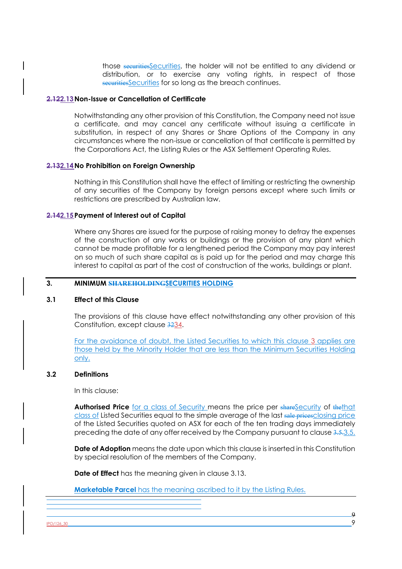those securitiesSecurities, the holder will not be entitled to any dividend or distribution, or to exercise any voting rights, in respect of those securities Securities for so long as the breach continues.

#### **2.122.13Non-Issue or Cancellation of Certificate**

Notwithstanding any other provision of this Constitution, the Company need not issue a certificate, and may cancel any certificate without issuing a certificate in substitution, in respect of any Shares or Share Options of the Company in any circumstances where the non-issue or cancellation of that certificate is permitted by the Corporations Act, the Listing Rules or the ASX Settlement Operating Rules.

#### **2.132.14No Prohibition on Foreign Ownership**

Nothing in this Constitution shall have the effect of limiting or restricting the ownership of any securities of the Company by foreign persons except where such limits or restrictions are prescribed by Australian law.

#### **2.142.15Payment of Interest out of Capital**

Where any Shares are issued for the purpose of raising money to defray the expenses of the construction of any works or buildings or the provision of any plant which cannot be made profitable for a lengthened period the Company may pay interest on so much of such share capital as is paid up for the period and may charge this interest to capital as part of the cost of construction of the works, buildings or plant.

#### **3. MINIMUM SHAREHOLDINGSECURITIES HOLDING**

#### **3.1 Effect of this Clause**

The provisions of this clause have effect notwithstanding any other provision of this Constitution, except clause 3234.

For the avoidance of doubt, the Listed Securities to which this clause 3 applies are those held by the Minority Holder that are less than the Minimum Securities Holding only.

#### **3.2 Definitions**

In this clause:

**Authorised Price** for a class of Security means the price per shareSecurity of thethat class of Listed Securities equal to the simple average of the last sale pricesclosing price of the Listed Securities quoted on ASX for each of the ten trading days immediately preceding the date of any offer received by the Company pursuant to clause 3.5.3.5.

**Date of Adoption** means the date upon which this clause is inserted in this Constitution by special resolution of the members of the Company.

**Date of Effect** has the meaning given in clause 3.13.

**Marketable Parcel** has the meaning ascribed to it by the Listing Rules.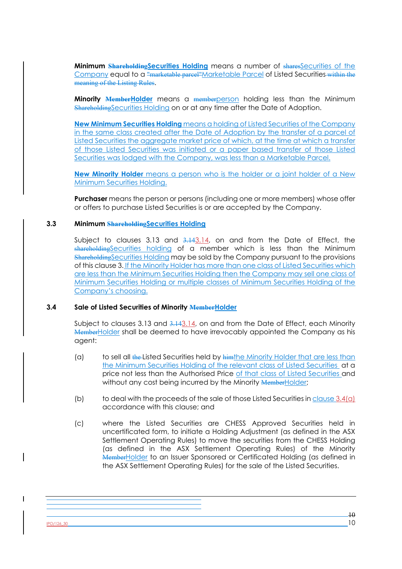**Minimum Shareholding Securities Holding** means a number of sharesSecurities of the Company equal to a "marketable parcel"Marketable Parcel of Listed Securities within the meaning of the Listing Rules.

**Minority MemberHolder** means a memberperson holding less than the Minimum ShareholdingSecurities Holding on or at any time after the Date of Adoption.

**New Minimum Securities Holding** means a holding of Listed Securities of the Company in the same class created after the Date of Adoption by the transfer of a parcel of Listed Securities the aggregate market price of which, at the time at which a transfer of those Listed Securities was initiated or a paper based transfer of those Listed Securities was lodged with the Company, was less than a Marketable Parcel.

**New Minority Holder** means a person who is the holder or a joint holder of a New Minimum Securities Holding.

**Purchaser** means the person or persons (including one or more members) whose offer or offers to purchase Listed Securities is or are accepted by the Company.

#### **3.3 Minimum ShareholdingSecurities Holding**

Subject to clauses 3.13 and  $3.143.14$ , on and from the Date of Effect, the shareholdingSecurities holding of a member which is less than the Minimum ShareholdingSecurities Holding may be sold by the Company pursuant to the provisions of this clause 3. If the Minority Holder has more than one class of Listed Securities which are less than the Minimum Securities Holding then the Company may sell one class of Minimum Securities Holding or multiple classes of Minimum Securities Holding of the Company's choosing.

#### **3.4 Sale of Listed Securities of Minority MemberHolder**

Subject to clauses 3.13 and 3.143.14, on and from the Date of Effect, each Minority MemberHolder shall be deemed to have irrevocably appointed the Company as his agent:

- (a) to sell all the Listed Securities held by  $\frac{1}{2}$  him the Minority Holder that are less than the Minimum Securities Holding of the relevant class of Listed Securities at a price not less than the Authorised Price of that class of Listed Securities and without any cost being incurred by the Minority MemberHolder;
- (b) to deal with the proceeds of the sale of those Listed Securities in clause 3.4(a) accordance with this clause; and
- (c) where the Listed Securities are CHESS Approved Securities held in uncertificated form, to initiate a Holding Adjustment (as defined in the ASX Settlement Operating Rules) to move the securities from the CHESS Holding (as defined in the ASX Settlement Operating Rules) of the Minority MemberHolder to an Issuer Sponsored or Certificated Holding (as defined in the ASX Settlement Operating Rules) for the sale of the Listed Securities.

IPO/126\_30 10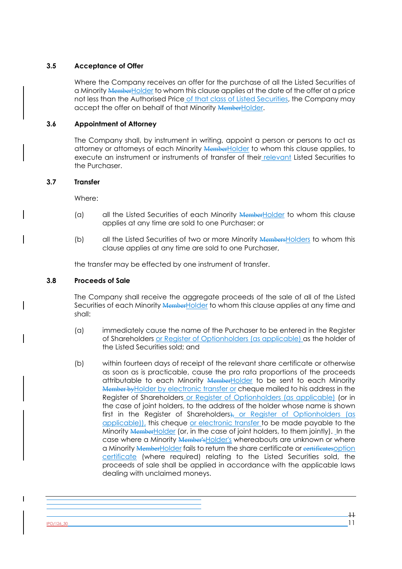## **3.5 Acceptance of Offer**

Where the Company receives an offer for the purchase of all the Listed Securities of a Minority MemberHolder to whom this clause applies at the date of the offer at a price not less than the Authorised Price of that class of Listed Securities, the Company may accept the offer on behalf of that Minority MemberHolder.

## **3.6 Appointment of Attorney**

The Company shall, by instrument in writing, appoint a person or persons to act as attorney or attorneys of each Minority MemberHolder to whom this clause applies, to execute an instrument or instruments of transfer of their relevant Listed Securities to the Purchaser.

#### **3.7 Transfer**

Where:

- (a) all the Listed Securities of each Minority  $M$ emberHolder to whom this clause applies at any time are sold to one Purchaser; or
- (b) all the Listed Securities of two or more Minority MembersHolders to whom this clause applies at any time are sold to one Purchaser,

the transfer may be effected by one instrument of transfer.

#### **3.8 Proceeds of Sale**

The Company shall receive the aggregate proceeds of the sale of all of the Listed Securities of each Minority MemberHolder to whom this clause applies at any time and shall:

- (a) immediately cause the name of the Purchaser to be entered in the Register of Shareholders or Register of Optionholders (as applicable) as the holder of the Listed Securities sold; and
- (b) within fourteen days of receipt of the relevant share certificate or otherwise as soon as is practicable, cause the pro rata proportions of the proceeds attributable to each Minority **MemberHolder** to be sent to each Minority Member by Holder by electronic transfer or cheque mailed to his address in the Register of Shareholders or Register of Optionholders (as applicable) (or in the case of joint holders, to the address of the holder whose name is shown first in the Register of Shareholders), or Register of Optionholders (as applicable)), this cheque or electronic transfer to be made payable to the Minority MemberHolder (or, in the case of joint holders, to them jointly). In the case where a Minority Member's Holder's whereabouts are unknown or where a Minority MemberHolder fails to return the share certificate or certificatesoption certificate (where required) relating to the Listed Securities sold, the proceeds of sale shall be applied in accordance with the applicable laws dealing with unclaimed moneys.

 $PO/126,30$  11

11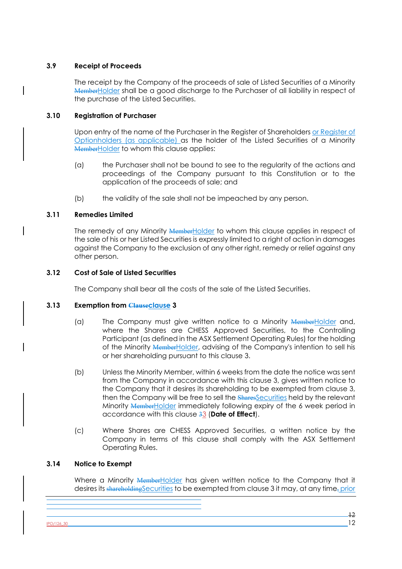## **3.9 Receipt of Proceeds**

The receipt by the Company of the proceeds of sale of Listed Securities of a Minority MemberHolder shall be a good discharge to the Purchaser of all liability in respect of the purchase of the Listed Securities.

## **3.10 Registration of Purchaser**

Upon entry of the name of the Purchaser in the Register of Shareholders or Register of Optionholders (as applicable) as the holder of the Listed Securities of a Minority MemberHolder to whom this clause applies:

- (a) the Purchaser shall not be bound to see to the regularity of the actions and proceedings of the Company pursuant to this Constitution or to the application of the proceeds of sale; and
- (b) the validity of the sale shall not be impeached by any person.

## **3.11 Remedies Limited**

The remedy of any Minority MemberHolder to whom this clause applies in respect of the sale of his or her Listed Securities is expressly limited to a right of action in damages against the Company to the exclusion of any other right, remedy or relief against any other person.

## **3.12 Cost of Sale of Listed Securities**

The Company shall bear all the costs of the sale of the Listed Securities.

#### **3.13 Exemption from Clauseclause 3**

- (a) The Company must give written notice to a Minority MemberHolder and, where the Shares are CHESS Approved Securities, to the Controlling Participant (as defined in the ASX Settlement Operating Rules) for the holding of the Minority MemberHolder, advising of the Company's intention to sell his or her shareholding pursuant to this clause 3.
- (b) Unless the Minority Member, within 6 weeks from the date the notice was sent from the Company in accordance with this clause 3, gives written notice to the Company that it desires its shareholding to be exempted from clause 3, then the Company will be free to sell the **SharesSecurities** held by the relevant Minority MemberHolder immediately following expiry of the 6 week period in accordance with this clause 33 (**Date of Effect**).
- (c) Where Shares are CHESS Approved Securities, a written notice by the Company in terms of this clause shall comply with the ASX Settlement Operating Rules.

## **3.14 Notice to Exempt**

Where a Minority MemberHolder has given written notice to the Company that it desires its shareholding Securities to be exempted from clause 3 it may, at any time, prior

 $PO/126$ \_30 **12** 12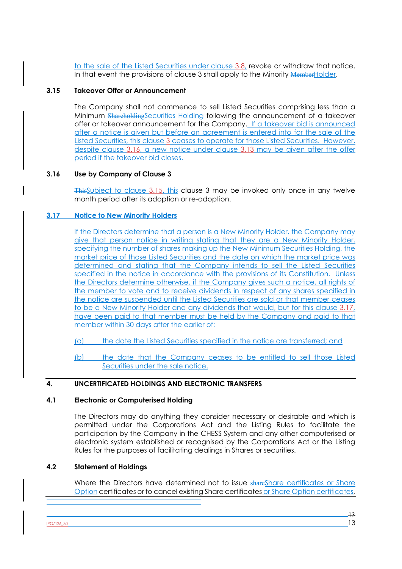to the sale of the Listed Securities under clause 3.8, revoke or withdraw that notice. In that event the provisions of clause 3 shall apply to the Minority MemberHolder.

## **3.15 Takeover Offer or Announcement**

The Company shall not commence to sell Listed Securities comprising less than a Minimum ShareholdingSecurities Holding following the announcement of a takeover offer or takeover announcement for the Company. If a takeover bid is announced after a notice is given but before an agreement is entered into for the sale of the Listed Securities, this clause 3 ceases to operate for those Listed Securities. However, despite clause 3.16, a new notice under clause 3.13 may be given after the offer period if the takeover bid closes.

## **3.16 Use by Company of Clause 3**

ThisSubject to clause 3.15, this clause 3 may be invoked only once in any twelve month period after its adoption or re-adoption.

## **3.17 Notice to New Minority Holders**

If the Directors determine that a person is a New Minority Holder, the Company may give that person notice in writing stating that they are a New Minority Holder, specifying the number of shares making up the New Minimum Securities Holding, the market price of those Listed Securities and the date on which the market price was determined and stating that the Company intends to sell the Listed Securities specified in the notice in accordance with the provisions of its Constitution. Unless the Directors determine otherwise, if the Company gives such a notice, all rights of the member to vote and to receive dividends in respect of any shares specified in the notice are suspended until the Listed Securities are sold or that member ceases to be a New Minority Holder and any dividends that would, but for this clause 3.17, have been paid to that member must be held by the Company and paid to that member within 30 days after the earlier of:

(a) the date the Listed Securities specified in the notice are transferred; and

(b) the date that the Company ceases to be entitled to sell those Listed Securities under the sale notice.

#### **4. UNCERTIFICATED HOLDINGS AND ELECTRONIC TRANSFERS**

#### **4.1 Electronic or Computerised Holding**

The Directors may do anything they consider necessary or desirable and which is permitted under the Corporations Act and the Listing Rules to facilitate the participation by the Company in the CHESS System and any other computerised or electronic system established or recognised by the Corporations Act or the Listing Rules for the purposes of facilitating dealings in Shares or securities.

#### **4.2 Statement of Holdings**

Where the Directors have determined not to issue shareShare certificates or Share Option certificates or to cancel existing Share certificates or Share Option certificates,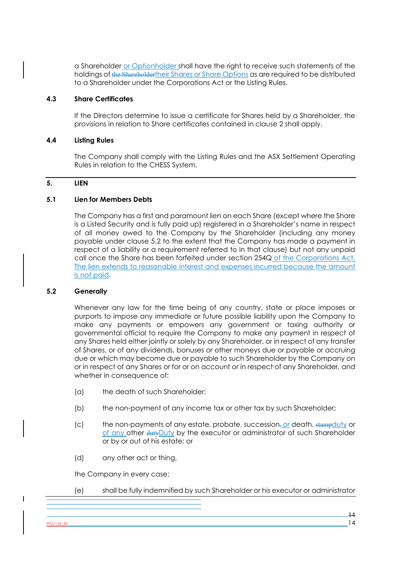a Shareholder or Optionholder shall have the right to receive such statements of the holdings of the Shareholdertheir Shares or Share Options as are required to be distributed to a Shareholder under the Corporations Act or the Listing Rules.

## **4.3 Share Certificates**

If the Directors determine to issue a certificate for Shares held by a Shareholder, the provisions in relation to Share certificates contained in clause 2 shall apply.

### **4.4 Listing Rules**

The Company shall comply with the Listing Rules and the ASX Settlement Operating Rules in relation to the CHESS System.

## **5. LIEN**

## **5.1 Lien for Members Debts**

The Company has a first and paramount lien on each Share (except where the Share is a Listed Security and is fully paid up) registered in a Shareholder's name in respect of all money owed to the Company by the Shareholder (including any money payable under clause 5.2 to the extent that the Company has made a payment in respect of a liability or a requirement referred to in that clause) but not any unpaid call once the Share has been forfeited under section 254Q of the Corporations Act. The lien extends to reasonable interest and expenses incurred because the amount is not paid.

#### **5.2 Generally**

Whenever any law for the time being of any country, state or place imposes or purports to impose any immediate or future possible liability upon the Company to make any payments or empowers any government or taxing authority or governmental official to require the Company to make any payment in respect of any Shares held either jointly or solely by any Shareholder, or in respect of any transfer of Shares, or of any dividends, bonuses or other moneys due or payable or accruing due or which may become due or payable to such Shareholder by the Company on or in respect of any Shares or for or on account or in respect of any Shareholder, and whether in consequence of:

- (a) the death of such Shareholder;
- (b) the non-payment of any income tax or other tax by such Shareholder;
- (c) the non-payments of any estate, probate, succession, or death,  $\frac{1}{2}$  stampduty or of any other dutyDuty by the executor or administrator of such Shareholder or by or out of his estate; or
- (d) any other act or thing,

the Company in every case:

(e) shall be fully indemnified by such Shareholder or his executor or administrator

 $PO/126$ \_30 **14**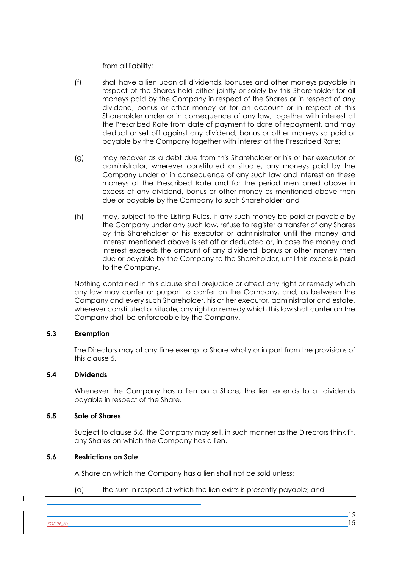from all liability;

- (f) shall have a lien upon all dividends, bonuses and other moneys payable in respect of the Shares held either jointly or solely by this Shareholder for all moneys paid by the Company in respect of the Shares or in respect of any dividend, bonus or other money or for an account or in respect of this Shareholder under or in consequence of any law, together with interest at the Prescribed Rate from date of payment to date of repayment, and may deduct or set off against any dividend, bonus or other moneys so paid or payable by the Company together with interest at the Prescribed Rate;
- (g) may recover as a debt due from this Shareholder or his or her executor or administrator, wherever constituted or situate, any moneys paid by the Company under or in consequence of any such law and interest on these moneys at the Prescribed Rate and for the period mentioned above in excess of any dividend, bonus or other money as mentioned above then due or payable by the Company to such Shareholder; and
- (h) may, subject to the Listing Rules, if any such money be paid or payable by the Company under any such law, refuse to register a transfer of any Shares by this Shareholder or his executor or administrator until the money and interest mentioned above is set off or deducted or, in case the money and interest exceeds the amount of any dividend, bonus or other money then due or payable by the Company to the Shareholder, until this excess is paid to the Company.

Nothing contained in this clause shall prejudice or affect any right or remedy which any law may confer or purport to confer on the Company, and, as between the Company and every such Shareholder, his or her executor, administrator and estate, wherever constituted or situate, any right or remedy which this law shall confer on the Company shall be enforceable by the Company.

#### **5.3 Exemption**

The Directors may at any time exempt a Share wholly or in part from the provisions of this clause 5.

### **5.4 Dividends**

Whenever the Company has a lien on a Share, the lien extends to all dividends payable in respect of the Share.

#### **5.5 Sale of Shares**

Subject to clause 5.6, the Company may sell, in such manner as the Directors think fit, any Shares on which the Company has a lien.

#### **5.6 Restrictions on Sale**

A Share on which the Company has a lien shall not be sold unless:

(a) the sum in respect of which the lien exists is presently payable; and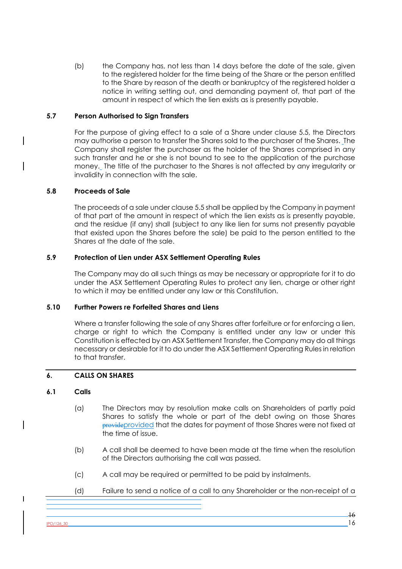(b) the Company has, not less than 14 days before the date of the sale, given to the registered holder for the time being of the Share or the person entitled to the Share by reason of the death or bankruptcy of the registered holder a notice in writing setting out, and demanding payment of, that part of the amount in respect of which the lien exists as is presently payable.

## **5.7 Person Authorised to Sign Transfers**

For the purpose of giving effect to a sale of a Share under clause 5.5, the Directors may authorise a person to transfer the Shares sold to the purchaser of the Shares. The Company shall register the purchaser as the holder of the Shares comprised in any such transfer and he or she is not bound to see to the application of the purchase money. The title of the purchaser to the Shares is not affected by any irregularity or invalidity in connection with the sale.

## **5.8 Proceeds of Sale**

The proceeds of a sale under clause 5.5 shall be applied by the Company in payment of that part of the amount in respect of which the lien exists as is presently payable, and the residue (if any) shall (subject to any like lien for sums not presently payable that existed upon the Shares before the sale) be paid to the person entitled to the Shares at the date of the sale.

## **5.9 Protection of Lien under ASX Settlement Operating Rules**

The Company may do all such things as may be necessary or appropriate for it to do under the ASX Settlement Operating Rules to protect any lien, charge or other right to which it may be entitled under any law or this Constitution.

#### **5.10 Further Powers re Forfeited Shares and Liens**

Where a transfer following the sale of any Shares after forfeiture or for enforcing a lien, charge or right to which the Company is entitled under any law or under this Constitution is effected by an ASX Settlement Transfer, the Company may do all things necessary or desirable for it to do under the ASX Settlement Operating Rules in relation to that transfer.

## **6. CALLS ON SHARES**

#### **6.1 Calls**

- (a) The Directors may by resolution make calls on Shareholders of partly paid Shares to satisfy the whole or part of the debt owing on those Shares provideprovided that the dates for payment of those Shares were not fixed at the time of issue.
- (b) A call shall be deemed to have been made at the time when the resolution of the Directors authorising the call was passed.
- (c) A call may be required or permitted to be paid by instalments.
- (d) Failure to send a notice of a call to any Shareholder or the non-receipt of a

 $PO/126$ \_30 16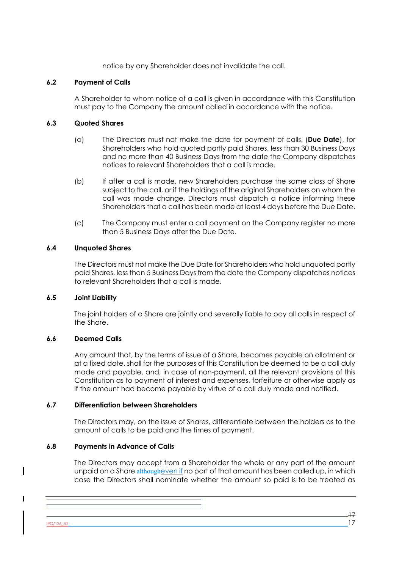notice by any Shareholder does not invalidate the call.

## **6.2 Payment of Calls**

A Shareholder to whom notice of a call is given in accordance with this Constitution must pay to the Company the amount called in accordance with the notice.

## **6.3 Quoted Shares**

- (a) The Directors must not make the date for payment of calls, (**Due Date**), for Shareholders who hold quoted partly paid Shares, less than 30 Business Days and no more than 40 Business Days from the date the Company dispatches notices to relevant Shareholders that a call is made.
- (b) If after a call is made, new Shareholders purchase the same class of Share subject to the call, or if the holdings of the original Shareholders on whom the call was made change, Directors must dispatch a notice informing these Shareholders that a call has been made at least 4 days before the Due Date.
- (c) The Company must enter a call payment on the Company register no more than 5 Business Days after the Due Date.

## **6.4 Unquoted Shares**

The Directors must not make the Due Date for Shareholders who hold unquoted partly paid Shares, less than 5 Business Days from the date the Company dispatches notices to relevant Shareholders that a call is made.

#### **6.5 Joint Liability**

The joint holders of a Share are jointly and severally liable to pay all calls in respect of the Share.

#### **6.6 Deemed Calls**

Any amount that, by the terms of issue of a Share, becomes payable on allotment or at a fixed date, shall for the purposes of this Constitution be deemed to be a call duly made and payable, and, in case of non-payment, all the relevant provisions of this Constitution as to payment of interest and expenses, forfeiture or otherwise apply as if the amount had become payable by virtue of a call duly made and notified.

#### **6.7 Differentiation between Shareholders**

The Directors may, on the issue of Shares, differentiate between the holders as to the amount of calls to be paid and the times of payment.

#### **6.8 Payments in Advance of Calls**

The Directors may accept from a Shareholder the whole or any part of the amount unpaid on a Share althougheven if no part of that amount has been called up, in which case the Directors shall nominate whether the amount so paid is to be treated as

 $PO/126,30$  17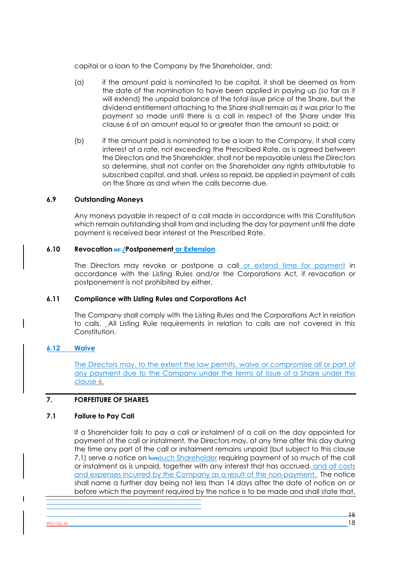capital or a loan to the Company by the Shareholder, and:

- (a) if the amount paid is nominated to be capital, it shall be deemed as from the date of the nomination to have been applied in paying up (so far as it will extend) the unpaid balance of the total issue price of the Share, but the dividend entitlement attaching to the Share shall remain as it was prior to the payment so made until there is a call in respect of the Share under this clause 6 of an amount equal to or greater than the amount so paid; or
- (b) if the amount paid is nominated to be a loan to the Company, it shall carry interest at a rate, not exceeding the Prescribed Rate, as is agreed between the Directors and the Shareholder, shall not be repayable unless the Directors so determine, shall not confer on the Shareholder any rights attributable to subscribed capital, and shall, unless so repaid, be applied in payment of calls on the Share as and when the calls become due.

#### **6.9 Outstanding Moneys**

Any moneys payable in respect of a call made in accordance with this Constitution which remain outstanding shall from and including the day for payment until the date payment is received bear interest at the Prescribed Rate.

## **6.10 Revocation or /Postponement or Extension**

The Directors may revoke or postpone a call or extend time for payment in accordance with the Listing Rules and/or the Corporations Act, if revocation or postponement is not prohibited by either.

#### **6.11 Compliance with Listing Rules and Corporations Act**

The Company shall comply with the Listing Rules and the Corporations Act in relation to calls. All Listing Rule requirements in relation to calls are not covered in this Constitution.

## **6.12 Waive**

The Directors may, to the extent the law permits, waive or compromise all or part of any payment due to the Company under the terms of issue of a Share under this clause 6.

## **7. FORFEITURE OF SHARES**

#### **7.1 Failure to Pay Call**

If a Shareholder fails to pay a call or instalment of a call on the day appointed for payment of the call or instalment, the Directors may, at any time after this day during the time any part of the call or instalment remains unpaid (but subject to this clause 7.1) serve a notice on himsuch Shareholder requiring payment of so much of the call or instalment as is unpaid, together with any interest that has accrued-and all costs and expenses incurred by the Company as a result of the non-payment. The notice shall name a further day being not less than 14 days after the date of notice on or before which the payment required by the notice is to be made and shall state that,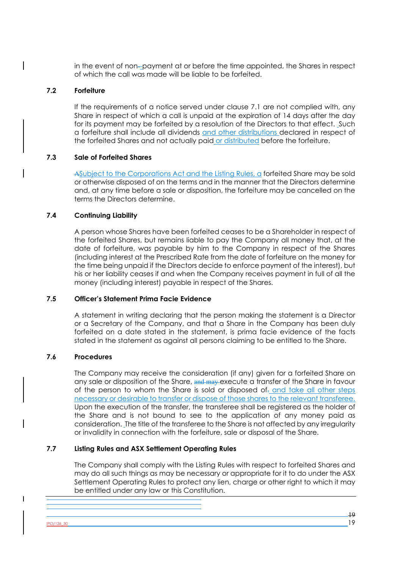in the event of non--payment at or before the time appointed, the Shares in respect of which the call was made will be liable to be forfeited.

#### **7.2 Forfeiture**

If the requirements of a notice served under clause 7.1 are not complied with, any Share in respect of which a call is unpaid at the expiration of 14 days after the day for its payment may be forfeited by a resolution of the Directors to that effect. Such a forfeiture shall include all dividends and other distributions declared in respect of the forfeited Shares and not actually paid or distributed before the forfeiture.

## **7.3 Sale of Forfeited Shares**

ASubject to the Corporations Act and the Listing Rules, a forfeited Share may be sold or otherwise disposed of on the terms and in the manner that the Directors determine and, at any time before a sale or disposition, the forfeiture may be cancelled on the terms the Directors determine.

## **7.4 Continuing Liability**

A person whose Shares have been forfeited ceases to be a Shareholder in respect of the forfeited Shares, but remains liable to pay the Company all money that, at the date of forfeiture, was payable by him to the Company in respect of the Shares (including interest at the Prescribed Rate from the date of forfeiture on the money for the time being unpaid if the Directors decide to enforce payment of the interest), but his or her liability ceases if and when the Company receives payment in full of all the money (including interest) payable in respect of the Shares.

#### **7.5 Officer's Statement Prima Facie Evidence**

A statement in writing declaring that the person making the statement is a Director or a Secretary of the Company, and that a Share in the Company has been duly forfeited on a date stated in the statement, is prima facie evidence of the facts stated in the statement as against all persons claiming to be entitled to the Share.

## **7.6 Procedures**

The Company may receive the consideration (if any) given for a forfeited Share on any sale or disposition of the Share, and may execute a transfer of the Share in favour of the person to whom the Share is sold or disposed of- and take all other steps necessary or desirable to transfer or dispose of those shares to the relevant transferee. Upon the execution of the transfer, the transferee shall be registered as the holder of the Share and is not bound to see to the application of any money paid as consideration. The title of the transferee to the Share is not affected by any irregularity or invalidity in connection with the forfeiture, sale or disposal of the Share.

## **7.7 Listing Rules and ASX Settlement Operating Rules**

The Company shall comply with the Listing Rules with respect to forfeited Shares and may do all such things as may be necessary or appropriate for it to do under the ASX Settlement Operating Rules to protect any lien, charge or other right to which it may be entitled under any law or this Constitution.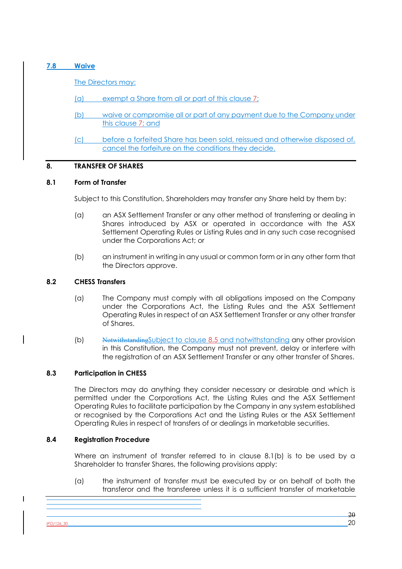### **7.8 Waive**

The Directors may:

- (a) exempt a Share from all or part of this clause 7;
- (b) waive or compromise all or part of any payment due to the Company under this clause 7; and
- (c) before a forfeited Share has been sold, reissued and otherwise disposed of, cancel the forfeiture on the conditions they decide.

## **8. TRANSFER OF SHARES**

## **8.1 Form of Transfer**

Subject to this Constitution, Shareholders may transfer any Share held by them by:

- (a) an ASX Settlement Transfer or any other method of transferring or dealing in Shares introduced by ASX or operated in accordance with the ASX Settlement Operating Rules or Listing Rules and in any such case recognised under the Corporations Act; or
- (b) an instrument in writing in any usual or common form or in any other form that the Directors approve.

## **8.2 CHESS Transfers**

- (a) The Company must comply with all obligations imposed on the Company under the Corporations Act, the Listing Rules and the ASX Settlement Operating Rules in respect of an ASX Settlement Transfer or any other transfer of Shares.
- (b) NotwithstandingSubject to clause 8.5 and notwithstanding any other provision in this Constitution, the Company must not prevent, delay or interfere with the registration of an ASX Settlement Transfer or any other transfer of Shares.

## **8.3 Participation in CHESS**

The Directors may do anything they consider necessary or desirable and which is permitted under the Corporations Act, the Listing Rules and the ASX Settlement Operating Rules to facilitate participation by the Company in any system established or recognised by the Corporations Act and the Listing Rules or the ASX Settlement Operating Rules in respect of transfers of or dealings in marketable securities.

#### **8.4 Registration Procedure**

Where an instrument of transfer referred to in clause 8.1(b) is to be used by a Shareholder to transfer Shares, the following provisions apply:

(a) the instrument of transfer must be executed by or on behalf of both the transferor and the transferee unless it is a sufficient transfer of marketable

 $\frac{180/126 \cdot 30}{20}$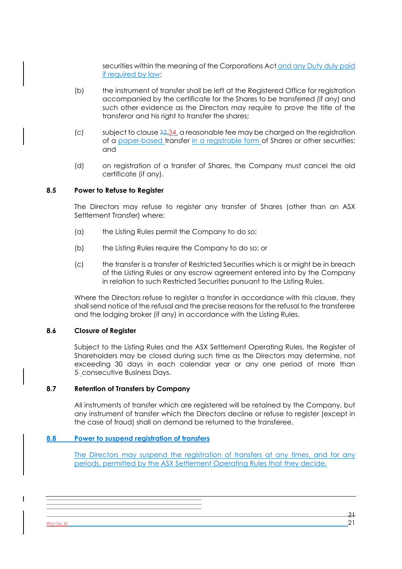securities within the meaning of the Corporations Act and any Duty duly paid if required by law;

- (b) the instrument of transfer shall be left at the Registered Office for registration accompanied by the certificate for the Shares to be transferred (if any) and such other evidence as the Directors may require to prove the title of the transferor and his right to transfer the shares;
- (c) subject to clause  $32,34$ , a reasonable fee may be charged on the registration of a paper-based transfer in a registrable form of Shares or other securities; and
- (d) on registration of a transfer of Shares, the Company must cancel the old certificate (if any).

#### **8.5 Power to Refuse to Register**

The Directors may refuse to register any transfer of Shares (other than an ASX Settlement Transfer) where:

- (a) the Listing Rules permit the Company to do so;
- (b) the Listing Rules require the Company to do so; or
- (c) the transfer is a transfer of Restricted Securities which is or might be in breach of the Listing Rules or any escrow agreement entered into by the Company in relation to such Restricted Securities pursuant to the Listing Rules.

Where the Directors refuse to register a transfer in accordance with this clause, they shall send notice of the refusal and the precise reasons for the refusal to the transferee and the lodging broker (if any) in accordance with the Listing Rules.

#### **8.6 Closure of Register**

Subject to the Listing Rules and the ASX Settlement Operating Rules, the Register of Shareholders may be closed during such time as the Directors may determine, not exceeding 30 days in each calendar year or any one period of more than 5-consecutive Business Days.

## **8.7 Retention of Transfers by Company**

All instruments of transfer which are registered will be retained by the Company, but any instrument of transfer which the Directors decline or refuse to register (except in the case of fraud) shall on demand be returned to the transferee.

#### **8.8 Power to suspend registration of transfers**

The Directors may suspend the registration of transfers at any times, and for any periods, permitted by the ASX Settlement Operating Rules that they decide.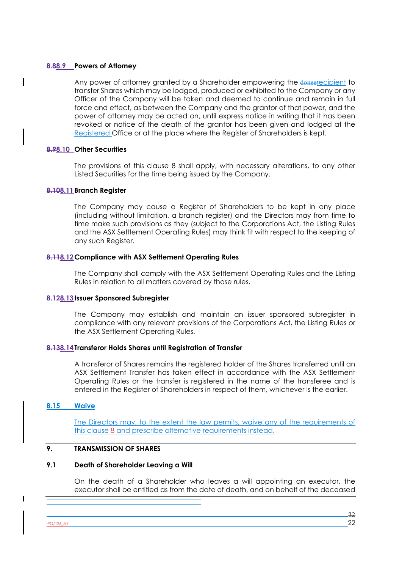#### **8.88.9 Powers of Attorney**

Any power of attorney granted by a Shareholder empowering the donest cipient to transfer Shares which may be lodged, produced or exhibited to the Company or any Officer of the Company will be taken and deemed to continue and remain in full force and effect, as between the Company and the grantor of that power, and the power of attorney may be acted on, until express notice in writing that it has been revoked or notice of the death of the grantor has been given and lodged at the Registered Office or at the place where the Register of Shareholders is kept.

#### **8.98.10 Other Securities**

The provisions of this clause 8 shall apply, with necessary alterations, to any other Listed Securities for the time being issued by the Company.

#### **8.108.11Branch Register**

The Company may cause a Register of Shareholders to be kept in any place (including without limitation, a branch register) and the Directors may from time to time make such provisions as they (subject to the Corporations Act, the Listing Rules and the ASX Settlement Operating Rules) may think fit with respect to the keeping of any such Register.

#### **8.118.12Compliance with ASX Settlement Operating Rules**

The Company shall comply with the ASX Settlement Operating Rules and the Listing Rules in relation to all matters covered by those rules.

#### **8.128.13Issuer Sponsored Subregister**

The Company may establish and maintain an issuer sponsored subregister in compliance with any relevant provisions of the Corporations Act, the Listing Rules or the ASX Settlement Operating Rules.

#### **8.138.14Transferor Holds Shares until Registration of Transfer**

A transferor of Shares remains the registered holder of the Shares transferred until an ASX Settlement Transfer has taken effect in accordance with the ASX Settlement Operating Rules or the transfer is registered in the name of the transferee and is entered in the Register of Shareholders in respect of them, whichever is the earlier.

#### **8.15 Waive**

The Directors may, to the extent the law permits, waive any of the requirements of this clause 8 and prescribe alternative requirements instead.

## **9. TRANSMISSION OF SHARES**

#### **9.1 Death of Shareholder Leaving a Will**

On the death of a Shareholder who leaves a will appointing an executor, the executor shall be entitled as from the date of death, and on behalf of the deceased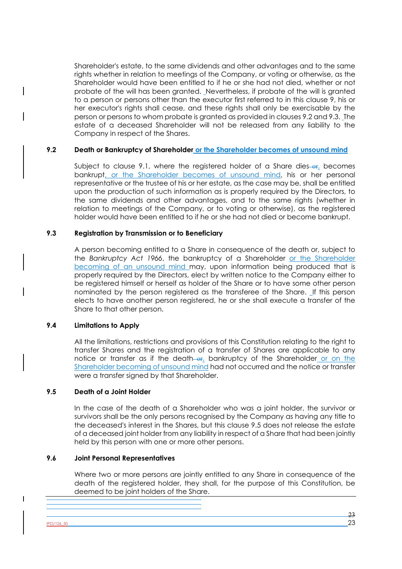Shareholder's estate, to the same dividends and other advantages and to the same rights whether in relation to meetings of the Company, or voting or otherwise, as the Shareholder would have been entitled to if he or she had not died, whether or not probate of the will has been granted. Nevertheless, if probate of the will is granted to a person or persons other than the executor first referred to in this clause 9, his or her executor's rights shall cease, and these rights shall only be exercisable by the person or persons to whom probate is granted as provided in clauses 9.2 and 9.3. The estate of a deceased Shareholder will not be released from any liability to the Company in respect of the Shares.

## **9.2 Death or Bankruptcy of Shareholder or the Shareholder becomes of unsound mind**

Subject to clause 9.1, where the registered holder of a Share dies- $er<sub>L</sub>$  becomes bankrupt, or the Shareholder becomes of unsound mind, his or her personal representative or the trustee of his or her estate, as the case may be, shall be entitled upon the production of such information as is properly required by the Directors, to the same dividends and other advantages, and to the same rights (whether in relation to meetings of the Company, or to voting or otherwise), as the registered holder would have been entitled to if he or she had not died or become bankrupt.

## **9.3 Registration by Transmission or to Beneficiary**

A person becoming entitled to a Share in consequence of the death or, subject to the *Bankruptcy Act 1966*, the bankruptcy of a Shareholder or the Shareholder becoming of an unsound mind may, upon information being produced that is properly required by the Directors, elect by written notice to the Company either to be registered himself or herself as holder of the Share or to have some other person nominated by the person registered as the transferee of the Share. If this person elects to have another person registered, he or she shall execute a transfer of the Share to that other person.

#### **9.4 Limitations to Apply**

All the limitations, restrictions and provisions of this Constitution relating to the right to transfer Shares and the registration of a transfer of Shares are applicable to any notice or transfer as if the death—or, bankruptcy of the Shareholder or on the Shareholder becoming of unsound mind had not occurred and the notice or transfer were a transfer signed by that Shareholder.

#### **9.5 Death of a Joint Holder**

In the case of the death of a Shareholder who was a joint holder, the survivor or survivors shall be the only persons recognised by the Company as having any title to the deceased's interest in the Shares, but this clause 9.5 does not release the estate of a deceased joint holder from any liability in respect of a Share that had been jointly held by this person with one or more other persons.

## **9.6 Joint Personal Representatives**

Where two or more persons are jointly entitled to any Share in consequence of the death of the registered holder, they shall, for the purpose of this Constitution, be deemed to be joint holders of the Share.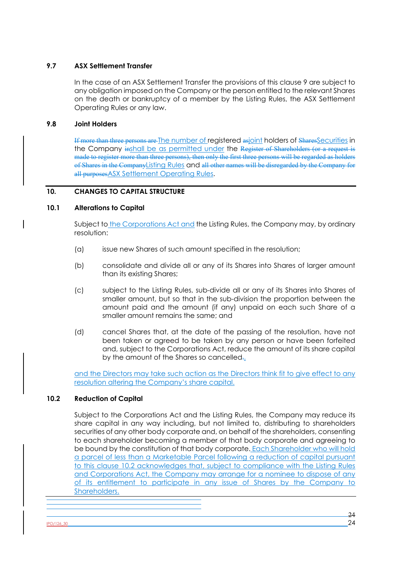# **9.7 ASX Settlement Transfer**

In the case of an ASX Settlement Transfer the provisions of this clause 9 are subject to any obligation imposed on the Company or the person entitled to the relevant Shares on the death or bankruptcy of a member by the Listing Rules, the ASX Settlement Operating Rules or any law.

## **9.8 Joint Holders**

If more than three persons are The number of registered asjoint holders of SharesSecurities in the Company inshall be as permitted under the Register of Shareholders (or a request is made to register more than three persons), then only the first three persons will be regarded as holders of Shares in the CompanyListing Rules and all other names will be disregarded by the Company for all purposes ASX Settlement Operating Rules.

# **10. CHANGES TO CAPITAL STRUCTURE**

## **10.1 Alterations to Capital**

Subject to the Corporations Act and the Listing Rules, the Company may, by ordinary resolution:

- (a) issue new Shares of such amount specified in the resolution;
- (b) consolidate and divide all or any of its Shares into Shares of larger amount than its existing Shares;
- (c) subject to the Listing Rules, sub-divide all or any of its Shares into Shares of smaller amount, but so that in the sub-division the proportion between the amount paid and the amount (if any) unpaid on each such Share of a smaller amount remains the same; and
- (d) cancel Shares that, at the date of the passing of the resolution, have not been taken or agreed to be taken by any person or have been forfeited and, subject to the Corporations Act, reduce the amount of its share capital by the amount of the Shares so cancelled.

and the Directors may take such action as the Directors think fit to give effect to any resolution altering the Company's share capital.

## **10.2 Reduction of Capital**

Subject to the Corporations Act and the Listing Rules, the Company may reduce its share capital in any way including, but not limited to, distributing to shareholders securities of any other body corporate and, on behalf of the shareholders, consenting to each shareholder becoming a member of that body corporate and agreeing to be bound by the constitution of that body corporate. Each Shareholder who will hold a parcel of less than a Marketable Parcel following a reduction of capital pursuant to this clause 10.2 acknowledges that, subject to compliance with the Listing Rules and Corporations Act, the Company may arrange for a nominee to dispose of any of its entitlement to participate in any issue of Shares by the Company to Shareholders.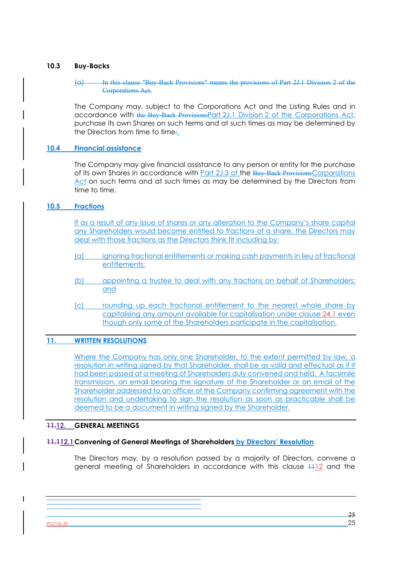## **10.3 Buy-Backs**

#### (a) In this clause "Buy-Back Provisions" means the provisions of Part 2J.1 Division 2 of the Corporations Act.

The Company may, subject to the Corporations Act and the Listing Rules and in accordance with the Buy-Back ProvisionsPart 2J.1 Division 2 of the Corporations Act, purchase its own Shares on such terms and at such times as may be determined by the Directors from time to time:.

## **10.4 Financial assistance**

The Company may give financial assistance to any person or entity for the purchase of its own Shares in accordance with **Part 2J.3 of the Buy-Back Provisions Corporations** Act on such terms and at such times as may be determined by the Directors from time to time.

## **10.5 Fractions**

If as a result of any issue of shares or any alteration to the Company's share capital any Shareholders would become entitled to fractions of a share, the Directors may deal with those fractions as the Directors think fit including by:

- (a) ignoring fractional entitlements or making cash payments in lieu of fractional entitlements;
- (b) appointing a trustee to deal with any fractions on behalf of Shareholders; and
- (c) rounding up each fractional entitlement to the nearest whole share by capitalising any amount available for capitalisation under clause 24.1 even though only some of the Shareholders participate in the capitalisation.

## **11. WRITTEN RESOLUTIONS**

Where the Company has only one Shareholder, to the extent permitted by law, a resolution in writing signed by that Shareholder, shall be as valid and effectual as if it had been passed at a meeting of Shareholders duly convened and held. A facsimile transmission, an email bearing the signature of the Shareholder or an email of the Shareholder addressed to an officer of the Company confirming agreement with the resolution and undertaking to sign the resolution as soon as practicable shall be deemed to be a document in writing signed by the Shareholder.

## **11.12. GENERAL MEETINGS**

## **11.112.1Convening of General Meetings of Shareholders by Directors' Resolution**

The Directors may, by a resolution passed by a majority of Directors, convene a general meeting of Shareholders in accordance with this clause  $\frac{1112}{111}$  and the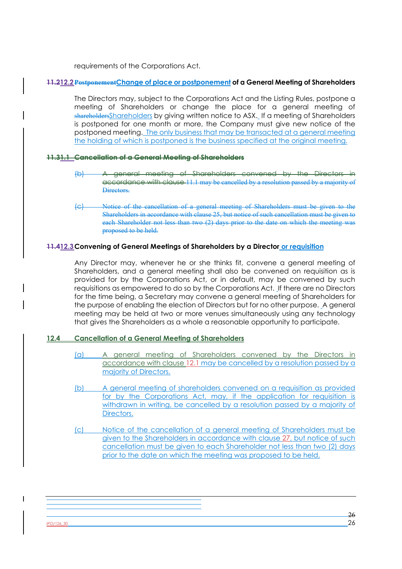requirements of the Corporations Act.

## **11.212.2PostponementChange of place or postponement of a General Meeting of Shareholders**

The Directors may, subject to the Corporations Act and the Listing Rules, postpone a meeting of Shareholders or change the place for a general meeting of shareholdersShareholders by giving written notice to ASX. If a meeting of Shareholders is postponed for one month or more, the Company must give new notice of the postponed meeting. The only business that may be transacted at a general meeting the holding of which is postponed is the business specified at the original meeting.

#### **11.31.1 Cancellation of a General Meeting of Shareholders**

- (b) A general meeting of Shareholders convened by the Directors in accordance with clause 11.1 may be cancelled by a resolution passed by a majority of Directors.
- (c) Notice of the cancellation of a general meeting of Shareholders must be given to the Shareholders in accordance with clause 25, but notice of such cancellation must be given to each Shareholder not less than two (2) days prior to the date on which the meeting was proposed to be held.

## **11.412.3Convening of General Meetings of Shareholders by a Director or requisition**

Any Director may, whenever he or she thinks fit, convene a general meeting of Shareholders, and a general meeting shall also be convened on requisition as is provided for by the Corporations Act, or in default, may be convened by such requisitions as empowered to do so by the Corporations Act. If there are no Directors for the time being, a Secretary may convene a general meeting of Shareholders for the purpose of enabling the election of Directors but for no other purpose. A general meeting may be held at two or more venues simultaneously using any technology that gives the Shareholders as a whole a reasonable opportunity to participate.

## **12.4 Cancellation of a General Meeting of Shareholders**

- (a) A general meeting of Shareholders convened by the Directors in accordance with clause 12.1 may be cancelled by a resolution passed by a majority of Directors.
- (b) A general meeting of shareholders convened on a requisition as provided for by the Corporations Act, may, if the application for requisition is withdrawn in writing, be cancelled by a resolution passed by a majority of Directors.
- (c) Notice of the cancellation of a general meeting of Shareholders must be given to the Shareholders in accordance with clause 27, but notice of such cancellation must be given to each Shareholder not less than two (2) days prior to the date on which the meeting was proposed to be held.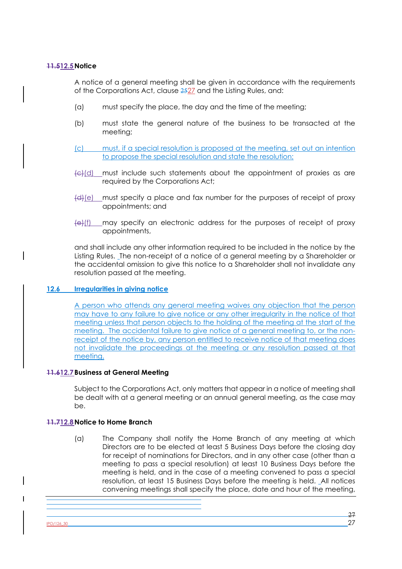## **11.512.5Notice**

A notice of a general meeting shall be given in accordance with the requirements of the Corporations Act, clause 2527 and the Listing Rules, and:

- (a) must specify the place, the day and the time of the meeting;
- (b) must state the general nature of the business to be transacted at the meeting;
- (c) must, if a special resolution is proposed at the meeting, set out an intention to propose the special resolution and state the resolution;
- $\left\{\frac{c}{c}\right\}$  must include such statements about the appointment of proxies as are required by the Corporations Act;
- (d)(e) must specify a place and fax number for the purposes of receipt of proxy appointments; and
- $\left\{\Theta\right\}$ (f) may specify an electronic address for the purposes of receipt of proxy appointments,

and shall include any other information required to be included in the notice by the Listing Rules. The non-receipt of a notice of a general meeting by a Shareholder or the accidental omission to give this notice to a Shareholder shall not invalidate any resolution passed at the meeting.

## **12.6 Irregularities in giving notice**

A person who attends any general meeting waives any objection that the person may have to any failure to give notice or any other irregularity in the notice of that meeting unless that person objects to the holding of the meeting at the start of the meeting. The accidental failure to give notice of a general meeting to, or the nonreceipt of the notice by, any person entitled to receive notice of that meeting does not invalidate the proceedings at the meeting or any resolution passed at that meeting.

## **11.612.7Business at General Meeting**

Subject to the Corporations Act, only matters that appear in a notice of meeting shall be dealt with at a general meeting or an annual general meeting, as the case may be.

## **11.712.8Notice to Home Branch**

(a) The Company shall notify the Home Branch of any meeting at which Directors are to be elected at least 5 Business Days before the closing day for receipt of nominations for Directors, and in any other case (other than a meeting to pass a special resolution) at least 10 Business Days before the meeting is held, and in the case of a meeting convened to pass a special resolution, at least 15 Business Days before the meeting is held. All notices convening meetings shall specify the place, date and hour of the meeting,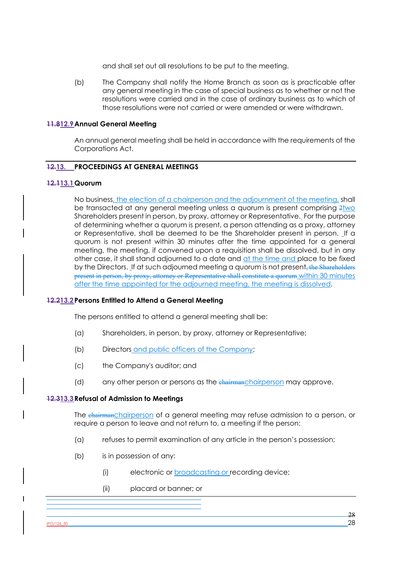and shall set out all resolutions to be put to the meeting.

(b) The Company shall notify the Home Branch as soon as is practicable after any general meeting in the case of special business as to whether or not the resolutions were carried and in the case of ordinary business as to which of those resolutions were not carried or were amended or were withdrawn.

#### **11.812.9Annual General Meeting**

An annual general meeting shall be held in accordance with the requirements of the Corporations Act.

#### **12.13. PROCEEDINGS AT GENERAL MEETINGS**

#### **12.113.1Quorum**

No business, the election of a chairperson and the adjournment of the meeting, shall be transacted at any general meeting unless a quorum is present comprising  $2\frac{1}{2}$ Shareholders present in person, by proxy, attorney or Representative. For the purpose of determining whether a quorum is present, a person attending as a proxy, attorney or Representative, shall be deemed to be the Shareholder present in person. If a quorum is not present within 30 minutes after the time appointed for a general meeting, the meeting, if convened upon a requisition shall be dissolved, but in any other case, it shall stand adjourned to a date and at the time and place to be fixed by the Directors. If at such adjourned meeting a quorum is not present, the Shareholders present in person, by proxy, attorney or Representative shall constitute a quorum within 30 minutes after the time appointed for the adjourned meeting, the meeting is dissolved.

## **12.213.2Persons Entitled to Attend a General Meeting**

The persons entitled to attend a general meeting shall be:

- (a) Shareholders, in person, by proxy, attorney or Representative;
- (b) Directors and public officers of the Company;
- (c) the Company's auditor; and
- (d) any other person or persons as the chairman chairperson may approve.

#### **12.313.3Refusal of Admission to Meetings**

The chairmanchairperson of a general meeting may refuse admission to a person, or require a person to leave and not return to, a meeting if the person:

- (a) refuses to permit examination of any article in the person's possession;
- (b) is in possession of any:
	- (i) electronic or broadcasting or recording device;
	- (ii) placard or banner; or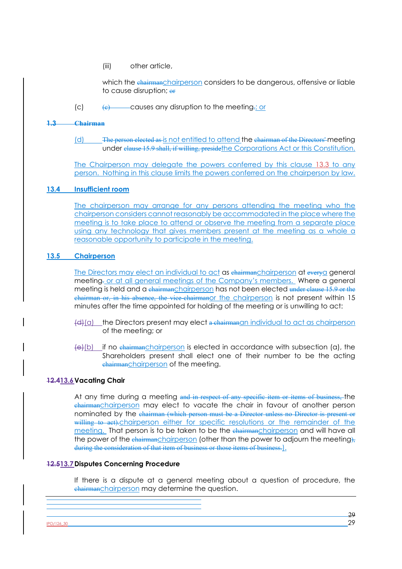(iii) other article,

which the chairmanchairperson considers to be dangerous, offensive or liable to cause disruption; or

(c)  $(e)$  causes any disruption to the meeting.; or

## **1.3 Chairman**

(d) The person elected as is not entitled to attend the chairman of the Directors' meeting under clause 15.9 shall, if willing, preside the Corporations Act or this Constitution.

The Chairperson may delegate the powers conferred by this clause 13.3 to any person. Nothing in this clause limits the powers conferred on the chairperson by law.

#### **13.4 Insufficient room**

The chairperson may arrange for any persons attending the meeting who the chairperson considers cannot reasonably be accommodated in the place where the meeting is to take place to attend or observe the meeting from a separate place using any technology that gives members present at the meeting as a whole a reasonable opportunity to participate in the meeting.

#### **13.5 Chairperson**

The Directors may elect an individual to act as chairmanchairperson at everya general meeting. or at all general meetings of the Company's members. Where a general meeting is held and a chairmanchairperson has not been elected under clause 15.9 or the chairman or, in his absence, the vice-chairmanor the chairperson is not present within 15 minutes after the time appointed for holding of the meeting or is unwilling to act:

- $\left\{ \frac{d}{dx} \right\}$  the Directors present may elect a chairmanan individual to act as chairperson of the meeting; or
- $\Theta$ (b) if no chairmanchairperson is elected in accordance with subsection (a), the Shareholders present shall elect one of their number to be the acting chairmanchairperson of the meeting.

## **12.413.6Vacating Chair**

At any time during a meeting and in respect of any specific item or items of business, the chairmanchairperson may elect to vacate the chair in favour of another person nominated by the chairman (which person must be a Director unless no Director is present or willing to act).chairperson either for specific resolutions or the remainder of the meeting. That person is to be taken to be the chairman chairperson and will have all the power of the chairmanchairperson (other than the power to adjourn the meeting), during the consideration of that item of business or those items of business.).

## **12.513.7Disputes Concerning Procedure**

If there is a dispute at a general meeting about a question of procedure, the chairmanchairperson may determine the question.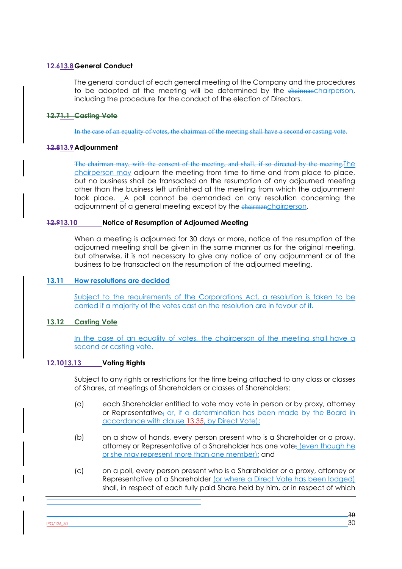# **12.613.8General Conduct**

The general conduct of each general meeting of the Company and the procedures to be adopted at the meeting will be determined by the chairmanchairperson, including the procedure for the conduct of the election of Directors.

## **12.71.1 Casting Vote**

In the case of an equality of votes, the chairman of the meeting shall have a second or casting vote.

## **12.813.9Adjournment**

The chairman may, with the consent of the meeting, and shall, if so directed by the meeting, The chairperson may adjourn the meeting from time to time and from place to place, but no business shall be transacted on the resumption of any adjourned meeting other than the business left unfinished at the meeting from which the adjournment took place. A poll cannot be demanded on any resolution concerning the adjournment of a general meeting except by the chairmanchairperson.

## **12.913.10 Notice of Resumption of Adjourned Meeting**

When a meeting is adjourned for 30 days or more, notice of the resumption of the adjourned meeting shall be given in the same manner as for the original meeting, but otherwise, it is not necessary to give any notice of any adjournment or of the business to be transacted on the resumption of the adjourned meeting.

## **13.11 How resolutions are decided**

Subject to the requirements of the Corporations Act, a resolution is taken to be carried if a majority of the votes cast on the resolution are in favour of it.

# **13.12 Casting Vote**

In the case of an equality of votes, the chairperson of the meeting shall have a second or casting vote.

## **12.1013.13 Voting Rights**

Subject to any rights or restrictions for the time being attached to any class or classes of Shares, at meetings of Shareholders or classes of Shareholders:

- (a) each Shareholder entitled to vote may vote in person or by proxy, attorney or Representative; or, if a determination has been made by the Board in accordance with clause 13.35, by Direct Vote);
- (b) on a show of hands, every person present who is a Shareholder or a proxy, attorney or Representative of a Shareholder has one vote; (even though he or she may represent more than one member); and
- (c) on a poll, every person present who is a Shareholder or a proxy, attorney or Representative of a Shareholder (or where a Direct Vote has been lodged) shall, in respect of each fully paid Share held by him, or in respect of which

 $\frac{180/126 \cdot 30}{20}$  30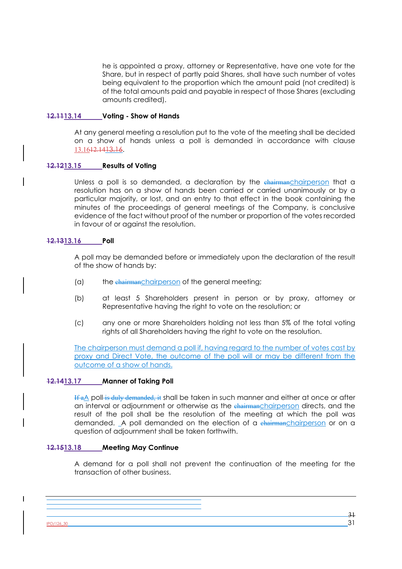he is appointed a proxy, attorney or Representative, have one vote for the Share, but in respect of partly paid Shares, shall have such number of votes being equivalent to the proportion which the amount paid (not credited) is of the total amounts paid and payable in respect of those Shares (excluding amounts credited).

#### **12.1113.14 Voting - Show of Hands**

At any general meeting a resolution put to the vote of the meeting shall be decided on a show of hands unless a poll is demanded in accordance with clause 13.1612.1413.16.

## **12.1213.15 Results of Voting**

Unless a poll is so demanded, a declaration by the chairmanchairperson that a resolution has on a show of hands been carried or carried unanimously or by a particular majority, or lost, and an entry to that effect in the book containing the minutes of the proceedings of general meetings of the Company, is conclusive evidence of the fact without proof of the number or proportion of the votes recorded in favour of or against the resolution.

#### **12.1313.16 Poll**

A poll may be demanded before or immediately upon the declaration of the result of the show of hands by:

- (a) the chairmanchairperson of the general meeting;
- (b) at least 5 Shareholders present in person or by proxy, attorney or Representative having the right to vote on the resolution; or
- (c) any one or more Shareholders holding not less than 5% of the total voting rights of all Shareholders having the right to vote on the resolution.

The chairperson must demand a poll if, having regard to the number of votes cast by proxy and Direct Vote, the outcome of the poll will or may be different from the outcome of a show of hands.

## **12.1413.17 Manner of Taking Poll**

If aA poll is duly demanded, it shall be taken in such manner and either at once or after an interval or adjournment or otherwise as the chairman chairperson directs, and the result of the poll shall be the resolution of the meeting at which the poll was demanded. A poll demanded on the election of a chairmanchairperson or on a question of adjournment shall be taken forthwith.

## **12.1513.18 Meeting May Continue**

A demand for a poll shall not prevent the continuation of the meeting for the transaction of other business.

 $PO/126$ \_30 31

 $\overline{\phantom{a}}$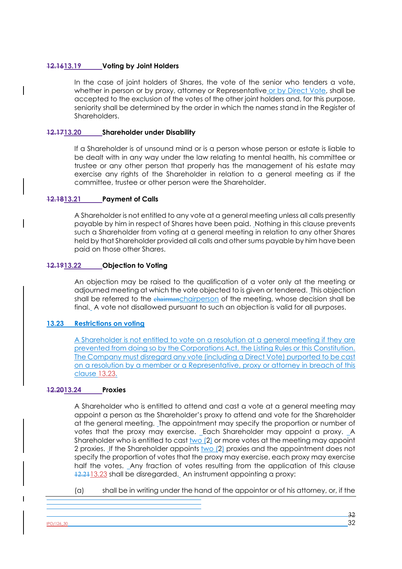## **12.1613.19 Voting by Joint Holders**

In the case of joint holders of Shares, the vote of the senior who tenders a vote, whether in person or by proxy, attorney or Representative or by Direct Vote, shall be accepted to the exclusion of the votes of the other joint holders and, for this purpose, seniority shall be determined by the order in which the names stand in the Register of Shareholders.

## **12.1713.20 Shareholder under Disability**

If a Shareholder is of unsound mind or is a person whose person or estate is liable to be dealt with in any way under the law relating to mental health, his committee or trustee or any other person that properly has the management of his estate may exercise any rights of the Shareholder in relation to a general meeting as if the committee, trustee or other person were the Shareholder.

## **12.1813.21 Payment of Calls**

A Shareholder is not entitled to any vote at a general meeting unless all calls presently payable by him in respect of Shares have been paid. Nothing in this clause prevents such a Shareholder from voting at a general meeting in relation to any other Shares held by that Shareholder provided all calls and other sums payable by him have been paid on those other Shares.

## **12.1913.22 Objection to Voting**

An objection may be raised to the qualification of a voter only at the meeting or adjourned meeting at which the vote objected to is given or tendered. This objection shall be referred to the chairmanchairperson of the meeting, whose decision shall be final. A vote not disallowed pursuant to such an objection is valid for all purposes.

# **13.23 Restrictions on voting**

A Shareholder is not entitled to vote on a resolution at a general meeting if they are prevented from doing so by the Corporations Act, the Listing Rules or this Constitution. The Company must disregard any vote (including a Direct Vote) purported to be cast on a resolution by a member or a Representative, proxy or attorney in breach of this clause 13.23.

## **12.2013.24 Proxies**

A Shareholder who is entitled to attend and cast a vote at a general meeting may appoint a person as the Shareholder's proxy to attend and vote for the Shareholder at the general meeting. The appointment may specify the proportion or number of votes that the proxy may exercise. Each Shareholder may appoint a proxy. A Shareholder who is entitled to cast  $\underline{two}$  (2) or more votes at the meeting may appoint 2 proxies. If the Shareholder appoints two (2) proxies and the appointment does not specify the proportion of votes that the proxy may exercise, each proxy may exercise half the votes. Any fraction of votes resulting from the application of this clause 12.2113.23 shall be disregarded. An instrument appointing a proxy:

(a) shall be in writing under the hand of the appointor or of his attorney, or, if the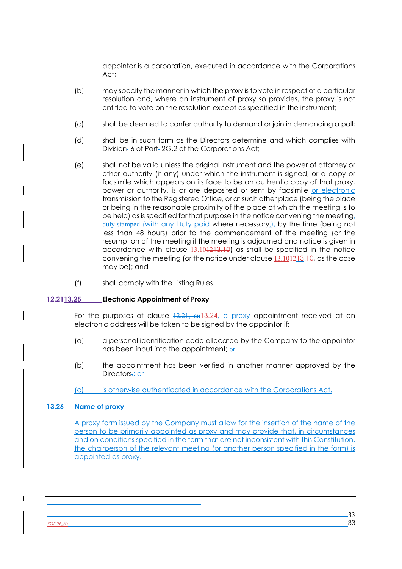appointor is a corporation, executed in accordance with the Corporations Act;

- (b) may specify the manner in which the proxy is to vote in respect of a particular resolution and, where an instrument of proxy so provides, the proxy is not entitled to vote on the resolution except as specified in the instrument;
- (c) shall be deemed to confer authority to demand or join in demanding a poll;
- (d) shall be in such form as the Directors determine and which complies with Division-6 of Part-2G.2 of the Corporations Act;
- (e) shall not be valid unless the original instrument and the power of attorney or other authority (if any) under which the instrument is signed, or a copy or facsimile which appears on its face to be an authentic copy of that proxy, power or authority, is or are deposited or sent by facsimile or electronic transmission to the Registered Office, or at such other place (being the place or being in the reasonable proximity of the place at which the meeting is to be held) as is specified for that purpose in the notice convening the meeting. duly stamped (with any Duty paid where necessary,), by the time (being not less than 48 hours) prior to the commencement of the meeting (or the resumption of the meeting if the meeting is adjourned and notice is given in accordance with clause 13.101213.10) as shall be specified in the notice convening the meeting (or the notice under clause 13.101213.10, as the case may be); and
- (f) shall comply with the Listing Rules.

### **12.2113.25 Electronic Appointment of Proxy**

For the purposes of clause  $\frac{12.21}{12.21}$ ,  $\frac{12.24}{12.21}$ , a proxy appointment received at an electronic address will be taken to be signed by the appointor if:

- (a) a personal identification code allocated by the Company to the appointor has been input into the appointment; or
- (b) the appointment has been verified in another manner approved by the Directors.; or
- (c) is otherwise authenticated in accordance with the Corporations Act.

#### **13.26 Name of proxy**

A proxy form issued by the Company must allow for the insertion of the name of the person to be primarily appointed as proxy and may provide that, in circumstances and on conditions specified in the form that are not inconsistent with this Constitution, the chairperson of the relevant meeting (or another person specified in the form) is appointed as proxy.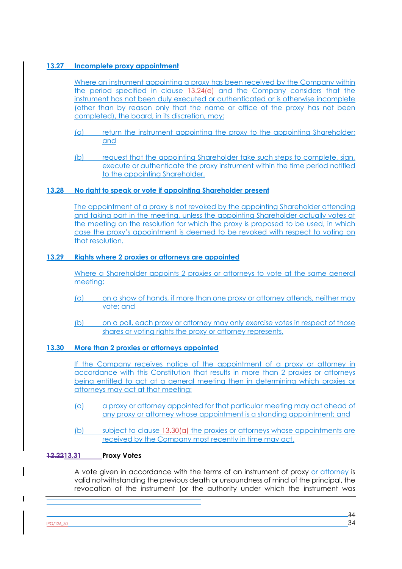# **13.27 Incomplete proxy appointment**

Where an instrument appointing a proxy has been received by the Company within the period specified in clause 13.24(e) and the Company considers that the instrument has not been duly executed or authenticated or is otherwise incomplete (other than by reason only that the name or office of the proxy has not been completed), the board, in its discretion, may:

- (a) return the instrument appointing the proxy to the appointing Shareholder; and
- (b) request that the appointing Shareholder take such steps to complete, sign, execute or authenticate the proxy instrument within the time period notified to the appointing Shareholder.

## **13.28 No right to speak or vote if appointing Shareholder present**

The appointment of a proxy is not revoked by the appointing Shareholder attending and taking part in the meeting, unless the appointing Shareholder actually votes at the meeting on the resolution for which the proxy is proposed to be used, in which case the proxy's appointment is deemed to be revoked with respect to voting on that resolution.

## **13.29 Rights where 2 proxies or attorneys are appointed**

Where a Shareholder appoints 2 proxies or attorneys to vote at the same general meeting:

- (a) on a show of hands, if more than one proxy or attorney attends, neither may vote; and
- (b) on a poll, each proxy or attorney may only exercise votes in respect of those shares or voting rights the proxy or attorney represents.

# **13.30 More than 2 proxies or attorneys appointed**

If the Company receives notice of the appointment of a proxy or attorney in accordance with this Constitution that results in more than 2 proxies or attorneys being entitled to act at a general meeting then in determining which proxies or attorneys may act at that meeting:

- (a) a proxy or attorney appointed for that particular meeting may act ahead of any proxy or attorney whose appointment is a standing appointment; and
- (b) subject to clause 13.30(a) the proxies or attorneys whose appointments are received by the Company most recently in time may act.

## **12.2213.31 Proxy Votes**

A vote given in accordance with the terms of an instrument of proxy or attorney is valid notwithstanding the previous death or unsoundness of mind of the principal, the revocation of the instrument (or the authority under which the instrument was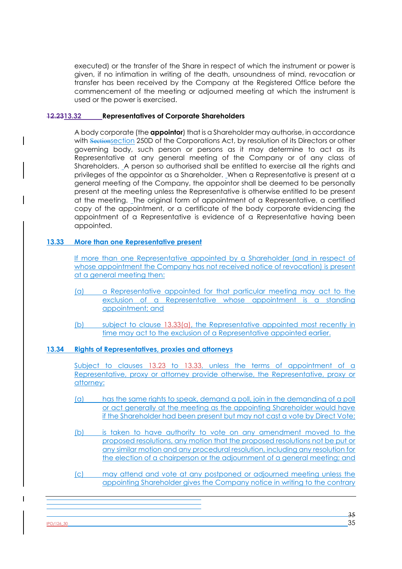executed) or the transfer of the Share in respect of which the instrument or power is given, if no intimation in writing of the death, unsoundness of mind, revocation or transfer has been received by the Company at the Registered Office before the commencement of the meeting or adjourned meeting at which the instrument is used or the power is exercised.

## **12.2313.32 Representatives of Corporate Shareholders**

A body corporate (the **appointor**) that is a Shareholder may authorise, in accordance with Sectionsection 250D of the Corporations Act, by resolution of its Directors or other governing body, such person or persons as it may determine to act as its Representative at any general meeting of the Company or of any class of Shareholders. A person so authorised shall be entitled to exercise all the rights and privileges of the appointor as a Shareholder. When a Representative is present at a general meeting of the Company, the appointor shall be deemed to be personally present at the meeting unless the Representative is otherwise entitled to be present at the meeting. The original form of appointment of a Representative, a certified copy of the appointment, or a certificate of the body corporate evidencing the appointment of a Representative is evidence of a Representative having been appointed.

## **13.33 More than one Representative present**

If more than one Representative appointed by a Shareholder (and in respect of whose appointment the Company has not received notice of revocation) is present at a general meeting then:

- (a) a Representative appointed for that particular meeting may act to the exclusion of a Representative whose appointment is a standing appointment; and
- (b) subject to clause 13.33(a), the Representative appointed most recently in time may act to the exclusion of a Representative appointed earlier.

## **13.34 Rights of Representatives, proxies and attorneys**

Subject to clauses 13.23 to 13.33, unless the terms of appointment of a Representative, proxy or attorney provide otherwise, the Representative, proxy or attorney:

- (a) has the same rights to speak, demand a poll, join in the demanding of a poll or act generally at the meeting as the appointing Shareholder would have if the Shareholder had been present but may not cast a vote by Direct Vote;
- (b) is taken to have authority to vote on any amendment moved to the proposed resolutions, any motion that the proposed resolutions not be put or any similar motion and any procedural resolution, including any resolution for the election of a chairperson or the adjournment of a general meeting; and
- (c) may attend and vote at any postponed or adjourned meeting unless the appointing Shareholder gives the Company notice in writing to the contrary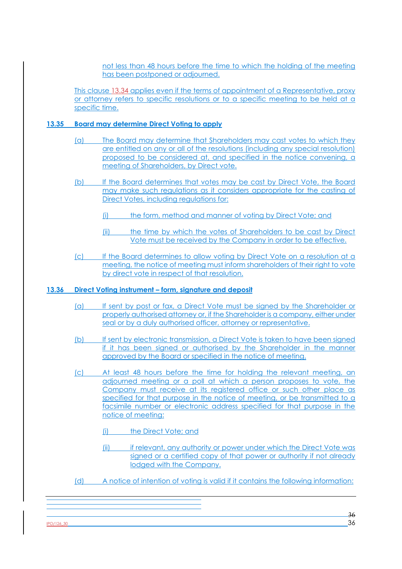not less than 48 hours before the time to which the holding of the meeting has been postponed or adjourned.

This clause 13.34 applies even if the terms of appointment of a Representative, proxy or attorney refers to specific resolutions or to a specific meeting to be held at a specific time.

## **13.35 Board may determine Direct Voting to apply**

- (a) The Board may determine that Shareholders may cast votes to which they are entitled on any or all of the resolutions (including any special resolution) proposed to be considered at, and specified in the notice convening, a meeting of Shareholders, by Direct vote.
- (b) If the Board determines that votes may be cast by Direct Vote, the Board may make such regulations as it considers appropriate for the casting of Direct Votes, including regulations for:
	- (i) the form, method and manner of voting by Direct Vote; and
	- (ii) the time by which the votes of Shareholders to be cast by Direct Vote must be received by the Company in order to be effective.
- (c) If the Board determines to allow voting by Direct Vote on a resolution at a meeting, the notice of meeting must inform shareholders of their right to vote by direct vote in respect of that resolution.

## **13.36 Direct Voting instrument – form, signature and deposit**

- (a) If sent by post or fax, a Direct Vote must be signed by the Shareholder or properly authorised attorney or, if the Shareholder is a company, either under seal or by a duly authorised officer, attorney or representative.
- (b) If sent by electronic transmission, a Direct Vote is taken to have been signed if it has been signed or authorised by the Shareholder in the manner approved by the Board or specified in the notice of meeting.
- (c) At least 48 hours before the time for holding the relevant meeting, an adjourned meeting or a poll at which a person proposes to vote, the Company must receive at its registered office or such other place as specified for that purpose in the notice of meeting, or be transmitted to a facsimile number or electronic address specified for that purpose in the notice of meeting:
	- (i) the Direct Vote; and
	- (ii) if relevant, any authority or power under which the Direct Vote was signed or a certified copy of that power or authority if not already lodged with the Company.
- (d) A notice of intention of voting is valid if it contains the following information:

 $\frac{180/126 \cdot 30}{36}$  36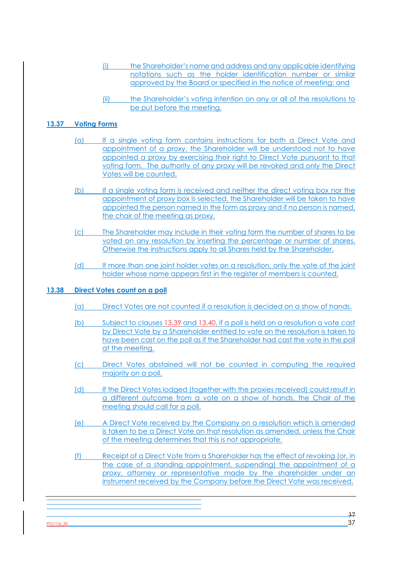- (i) the Shareholder's name and address and any applicable identifying notations such as the holder identification number or similar approved by the Board or specified in the notice of meeting; and
- (ii) the Shareholder's voting intention on any or all of the resolutions to be put before the meeting.

## **13.37 Voting Forms**

- (a) If a single voting form contains instructions for both a Direct Vote and appointment of a proxy, the Shareholder will be understood not to have appointed a proxy by exercising their right to Direct Vote pursuant to that voting form. The authority of any proxy will be revoked and only the Direct Votes will be counted.
- (b) If a single voting form is received and neither the direct voting box nor the appointment of proxy box is selected, the Shareholder will be taken to have appointed the person named in the form as proxy and if no person is named, the chair of the meeting as proxy.
- (c) The Shareholder may include in their voting form the number of shares to be voted on any resolution by inserting the percentage or number of shares. Otherwise the instructions apply to all Shares held by the Shareholder.
- (d) If more than one joint holder votes on a resolution, only the vote of the joint holder whose name appears first in the register of members is counted.

## **13.38 Direct Votes count on a poll**

- (a) Direct Votes are not counted if a resolution is decided on a show of hands.
- (b) Subject to clauses 13.39 and 13.40, if a poll is held on a resolution a vote cast by Direct Vote by a Shareholder entitled to vote on the resolution is taken to have been cast on the poll as if the Shareholder had cast the vote in the poll at the meeting.
- (c) Direct Votes abstained will not be counted in computing the required majority on a poll.
- (d) If the Direct Votes lodged (together with the proxies received) could result in a different outcome from a vote on a show of hands, the Chair of the meeting should call for a poll.
- (e) A Direct Vote received by the Company on a resolution which is amended is taken to be a Direct Vote on that resolution as amended, unless the Chair of the meeting determines that this is not appropriate.
- (f) Receipt of a Direct Vote from a Shareholder has the effect of revoking (or, in the case of a standing appointment, suspending) the appointment of a proxy, attorney or representative made by the shareholder under an instrument received by the Company before the Direct Vote was received.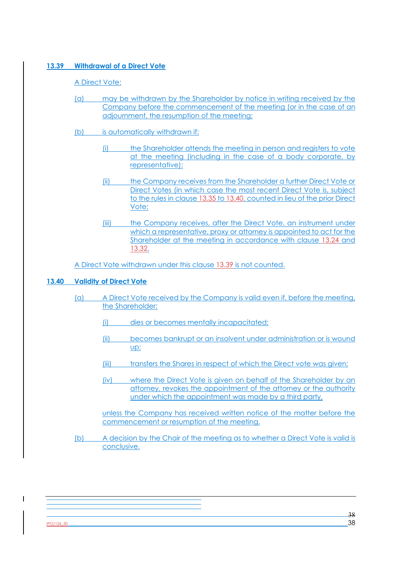# **13.39 Withdrawal of a Direct Vote**

# A Direct Vote:

- (a) may be withdrawn by the Shareholder by notice in writing received by the Company before the commencement of the meeting (or in the case of an adjournment, the resumption of the meeting;
- (b) is automatically withdrawn if:
	- (i) the Shareholder attends the meeting in person and registers to vote at the meeting (including in the case of a body corporate, by representative);
	- (ii) the Company receives from the Shareholder a further Direct Vote or Direct Votes (in which case the most recent Direct Vote is, subject to the rules in clause 13.35 to 13.40, counted in lieu of the prior Direct Vote;
	- (iii) the Company receives, after the Direct Vote, an instrument under which a representative, proxy or attorney is appointed to act for the Shareholder at the meeting in accordance with clause 13.24 and 13.32.

A Direct Vote withdrawn under this clause 13.39 is not counted.

# **13.40 Validity of Direct Vote**

- (a) A Direct Vote received by the Company is valid even if, before the meeting, the Shareholder:
	- (i) dies or becomes mentally incapacitated;
	- (ii) becomes bankrupt or an insolvent under administration or is wound up;
	- (iii) transfers the Shares in respect of which the Direct vote was given;
	- (iv) where the Direct Vote is given on behalf of the Shareholder by an attorney, revokes the appointment of the attorney or the authority under which the appointment was made by a third party,

unless the Company has received written notice of the matter before the commencement or resumption of the meeting.

(b) A decision by the Chair of the meeting as to whether a Direct Vote is valid is conclusive.

 $PO/126$ \_30 38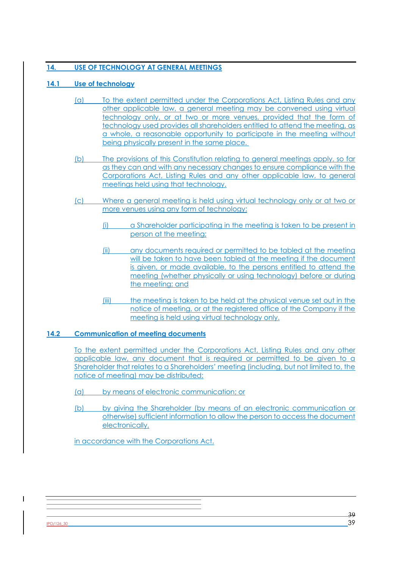# **14. USE OF TECHNOLOGY AT GENERAL MEETINGS**

# **14.1 Use of technology**

- (a) To the extent permitted under the Corporations Act, Listing Rules and any other applicable law, a general meeting may be convened using virtual technology only, or at two or more venues, provided that the form of technology used provides all shareholders entitled to attend the meeting, as a whole, a reasonable opportunity to participate in the meeting without being physically present in the same place.
- (b) The provisions of this Constitution relating to general meetings apply, so far as they can and with any necessary changes to ensure compliance with the Corporations Act, Listing Rules and any other applicable law, to general meetings held using that technology.
- (c) Where a general meeting is held using virtual technology only or at two or more venues using any form of technology:
	- (i) a Shareholder participating in the meeting is taken to be present in person at the meeting;
	- (ii) any documents required or permitted to be tabled at the meeting will be taken to have been tabled at the meeting if the document is given, or made available, to the persons entitled to attend the meeting (whether physically or using technology) before or during the meeting; and
	- (iii) the meeting is taken to be held at the physical venue set out in the notice of meeting, or at the registered office of the Company if the meeting is held using virtual technology only.

# **14.2 Communication of meeting documents**

To the extent permitted under the Corporations Act, Listing Rules and any other applicable law, any document that is required or permitted to be given to a Shareholder that relates to a Shareholders' meeting (including, but not limited to, the notice of meeting) may be distributed:

- (a) by means of electronic communication; or
- (b) by giving the Shareholder (by means of an electronic communication or otherwise) sufficient information to allow the person to access the document electronically,

in accordance with the Corporations Act.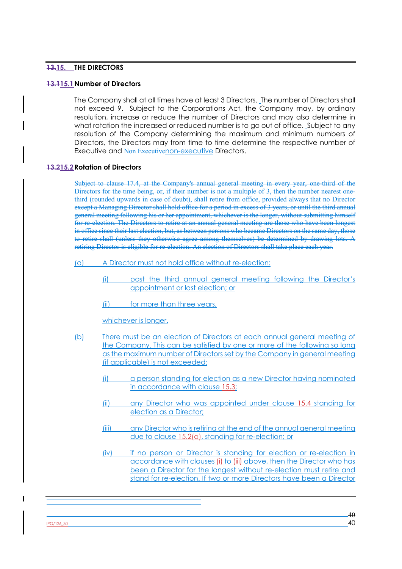# **13.15. THE DIRECTORS**

#### **13.115.1Number of Directors**

The Company shall at all times have at least 3 Directors. The number of Directors shall not exceed 9. Subject to the Corporations Act, the Company may, by ordinary resolution, increase or reduce the number of Directors and may also determine in what rotation the increased or reduced number is to go out of office. Subject to any resolution of the Company determining the maximum and minimum numbers of Directors, the Directors may from time to time determine the respective number of Executive and Non Executivenon-executive Directors.

### **13.215.2Rotation of Directors**

Subject to clause 17.4, at the Company's annual general meeting in every year, one-third of the Directors for the time being, or, if their number is not a multiple of 3, then the number nearest onethird (rounded upwards in case of doubt), shall retire from office, provided always that no Director except a Managing Director shall hold office for a period in excess of 3 years, or until the third annual general meeting following his or her appointment, whichever is the longer, without submitting himself for re-election. The Directors to retire at an annual general meeting are those who have been longest in office since their last election, but, as between persons who became Directors on the same day, those to retire shall (unless they otherwise agree among themselves) be determined by drawing lots. A retiring Director is eligible for re-election. An election of Directors shall take place each year.

(a) A Director must not hold office without re-election:

- (i) past the third annual general meeting following the Director's appointment or last election; or
- (ii) for more than three years,

whichever is longer.

- (b) There must be an election of Directors at each annual general meeting of the Company. This can be satisfied by one or more of the following so long as the maximum number of Directors set by the Company in general meeting (if applicable) is not exceeded:
	- (i) a person standing for election as a new Director having nominated in accordance with clause 15.3;
	- (ii) any Director who was appointed under clause 15.4 standing for election as a Director;
	- (iii) any Director who is retiring at the end of the annual general meeting due to clause 15.2(a), standing for re-election; or
	- (iv) if no person or Director is standing for election or re-election in accordance with clauses (i) to (iii) above, then the Director who has been a Director for the longest without re-election must retire and stand for re-election. If two or more Directors have been a Director

 $\frac{180/126 \cdot 30}{40}$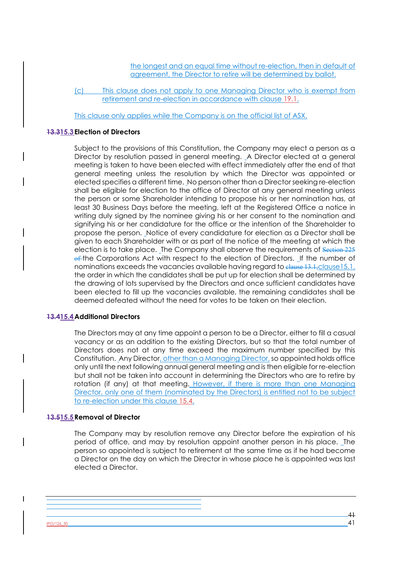the longest and an equal time without re-election, then in default of agreement, the Director to retire will be determined by ballot.

(c) This clause does not apply to one Managing Director who is exempt from retirement and re-election in accordance with clause 19.1.

This clause only applies while the Company is on the official list of ASX.

#### **13.315.3Election of Directors**

Subject to the provisions of this Constitution, the Company may elect a person as a Director by resolution passed in general meeting. A Director elected at a general meeting is taken to have been elected with effect immediately after the end of that general meeting unless the resolution by which the Director was appointed or elected specifies a different time. No person other than a Director seeking re-election shall be eligible for election to the office of Director at any general meeting unless the person or some Shareholder intending to propose his or her nomination has, at least 30 Business Days before the meeting, left at the Registered Office a notice in writing duly signed by the nominee giving his or her consent to the nomination and signifying his or her candidature for the office or the intention of the Shareholder to propose the person. Notice of every candidature for election as a Director shall be given to each Shareholder with or as part of the notice of the meeting at which the election is to take place. The Company shall observe the requirements of Section 225 of the Corporations Act with respect to the election of Directors. If the number of nominations exceeds the vacancies available having regard to clause 13.1, clause 15.1, the order in which the candidates shall be put up for election shall be determined by the drawing of lots supervised by the Directors and once sufficient candidates have been elected to fill up the vacancies available, the remaining candidates shall be deemed defeated without the need for votes to be taken on their election.

## **13.415.4Additional Directors**

The Directors may at any time appoint a person to be a Director, either to fill a casual vacancy or as an addition to the existing Directors, but so that the total number of Directors does not at any time exceed the maximum number specified by this Constitution. Any Director, other than a Managing Director, so appointed holds office only until the next following annual general meeting and is then eligible for re-election but shall not be taken into account in determining the Directors who are to retire by rotation (if any) at that meeting. However, if there is more than one Managing Director, only one of them (nominated by the Directors) is entitled not to be subject to re-election under this clause 15.4.

#### **13.515.5Removal of Director**

The Company may by resolution remove any Director before the expiration of his period of office, and may by resolution appoint another person in his place. The person so appointed is subject to retirement at the same time as if he had become a Director on the day on which the Director in whose place he is appointed was last elected a Director.

 $PO/126,30$  41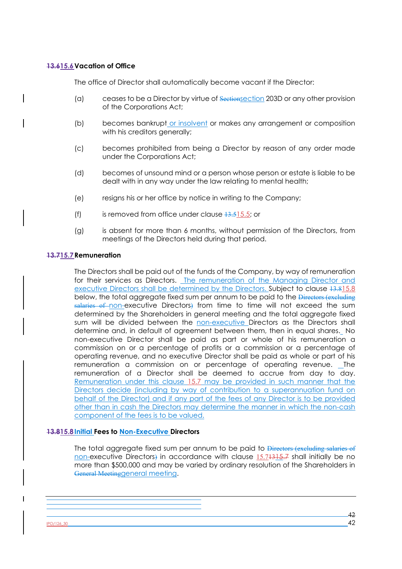## **13.615.6Vacation of Office**

The office of Director shall automatically become vacant if the Director:

- (a) ceases to be a Director by virtue of Sectionsection 203D or any other provision of the Corporations Act;
- (b) becomes bankrupt or insolvent or makes any arrangement or composition with his creditors generally;
- (c) becomes prohibited from being a Director by reason of any order made under the Corporations Act;
- (d) becomes of unsound mind or a person whose person or estate is liable to be dealt with in any way under the law relating to mental health;
- (e) resigns his or her office by notice in writing to the Company;
- (f) is removed from office under clause  $13.515.5$ ; or
- (g) is absent for more than 6 months, without permission of the Directors, from meetings of the Directors held during that period.

#### **13.715.7Remuneration**

The Directors shall be paid out of the funds of the Company, by way of remuneration for their services as Directors. The remuneration of the Managing Director and executive Directors shall be determined by the Directors. Subject to clause 13.815.8 below, the total aggregate fixed sum per annum to be paid to the Directors (excluding salaries of non-executive Directors) from time to time will not exceed the sum determined by the Shareholders in general meeting and the total aggregate fixed sum will be divided between the non-executive Directors as the Directors shall determine and, in default of agreement between them, then in equal shares. No non-executive Director shall be paid as part or whole of his remuneration a commission on or a percentage of profits or a commission or a percentage of operating revenue, and no executive Director shall be paid as whole or part of his remuneration a commission on or percentage of operating revenue. The remuneration of a Director shall be deemed to accrue from day to day. Remuneration under this clause 15.7 may be provided in such manner that the Directors decide (including by way of contribution to a superannuation fund on behalf of the Director) and if any part of the fees of any Director is to be provided other than in cash the Directors may determine the manner in which the non-cash component of the fees is to be valued.

## **13.815.8Initial Fees to Non-Executive Directors**

The total aggregate fixed sum per annum to be paid to Directors (excluding salaries of non-executive Directors) in accordance with clause 15.71315.7 shall initially be no more than \$500,000 and may be varied by ordinary resolution of the Shareholders in General Meetinggeneral meeting.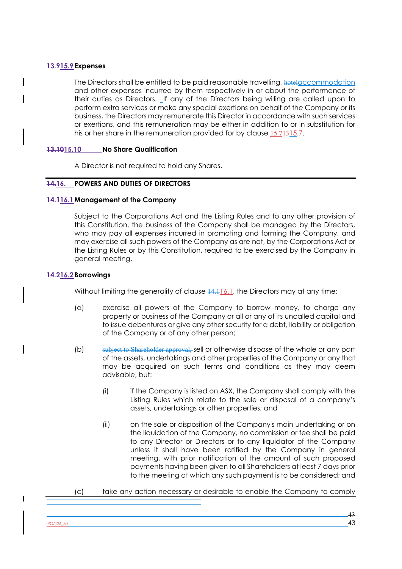## **13.915.9Expenses**

The Directors shall be entitled to be paid reasonable travelling, hotelaccommodation and other expenses incurred by them respectively in or about the performance of their duties as Directors. If any of the Directors being willing are called upon to perform extra services or make any special exertions on behalf of the Company or its business, the Directors may remunerate this Director in accordance with such services or exertions, and this remuneration may be either in addition to or in substitution for his or her share in the remuneration provided for by clause 15.74315.7.

## **13.1015.10 No Share Qualification**

A Director is not required to hold any Shares.

## **14.16. POWERS AND DUTIES OF DIRECTORS**

## **14.116.1Management of the Company**

Subject to the Corporations Act and the Listing Rules and to any other provision of this Constitution, the business of the Company shall be managed by the Directors, who may pay all expenses incurred in promoting and forming the Company, and may exercise all such powers of the Company as are not, by the Corporations Act or the Listing Rules or by this Constitution, required to be exercised by the Company in general meeting.

## **14.216.2Borrowings**

 $\overline{\phantom{a}}$ 

Without limiting the generality of clause  $14.116.1$ , the Directors may at any time:

- (a) exercise all powers of the Company to borrow money, to charge any property or business of the Company or all or any of its uncalled capital and to issue debentures or give any other security for a debt, liability or obligation of the Company or of any other person;
- (b) subject to Shareholder approval, sell or otherwise dispose of the whole or any part of the assets, undertakings and other properties of the Company or any that may be acquired on such terms and conditions as they may deem advisable, but:
	- (i) if the Company is listed on ASX, the Company shall comply with the Listing Rules which relate to the sale or disposal of a company's assets, undertakings or other properties; and
	- (ii) on the sale or disposition of the Company's main undertaking or on the liquidation of the Company, no commission or fee shall be paid to any Director or Directors or to any liquidator of the Company unless it shall have been ratified by the Company in general meeting, with prior notification of the amount of such proposed payments having been given to all Shareholders at least 7 days prior to the meeting at which any such payment is to be considered; and
- (c) take any action necessary or desirable to enable the Company to comply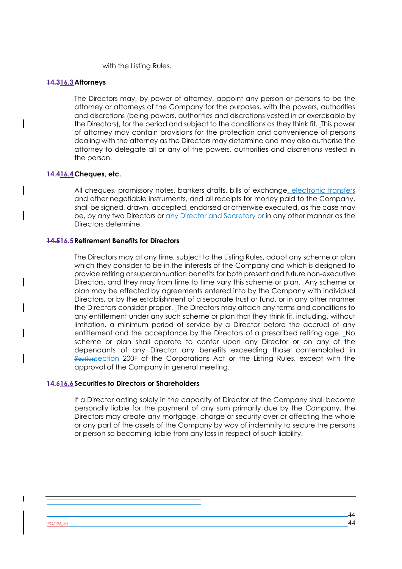with the Listing Rules.

#### **14.316.3Attorneys**

The Directors may, by power of attorney, appoint any person or persons to be the attorney or attorneys of the Company for the purposes, with the powers, authorities and discretions (being powers, authorities and discretions vested in or exercisable by the Directors), for the period and subject to the conditions as they think fit. This power of attorney may contain provisions for the protection and convenience of persons dealing with the attorney as the Directors may determine and may also authorise the attorney to delegate all or any of the powers, authorities and discretions vested in the person.

#### **14.416.4Cheques, etc.**

All cheques, promissory notes, bankers drafts, bills of exchange, electronic transfers and other negotiable instruments, and all receipts for money paid to the Company, shall be signed, drawn, accepted, endorsed or otherwise executed, as the case may be, by any two Directors or any Director and Secretary or in any other manner as the Directors determine.

#### **14.516.5Retirement Benefits for Directors**

The Directors may at any time, subject to the Listing Rules, adopt any scheme or plan which they consider to be in the interests of the Company and which is designed to provide retiring or superannuation benefits for both present and future non-executive Directors, and they may from time to time vary this scheme or plan. Any scheme or plan may be effected by agreements entered into by the Company with individual Directors, or by the establishment of a separate trust or fund, or in any other manner the Directors consider proper. The Directors may attach any terms and conditions to any entitlement under any such scheme or plan that they think fit, including, without limitation, a minimum period of service by a Director before the accrual of any entitlement and the acceptance by the Directors of a prescribed retiring age. No scheme or plan shall operate to confer upon any Director or on any of the dependants of any Director any benefits exceeding those contemplated in Sectionsection 200F of the Corporations Act or the Listing Rules, except with the approval of the Company in general meeting.

#### **14.616.6Securities to Directors or Shareholders**

If a Director acting solely in the capacity of Director of the Company shall become personally liable for the payment of any sum primarily due by the Company, the Directors may create any mortgage, charge or security over or affecting the whole or any part of the assets of the Company by way of indemnity to secure the persons or person so becoming liable from any loss in respect of such liability.

 $PO/126$ \_30 44

 $\overline{\phantom{a}}$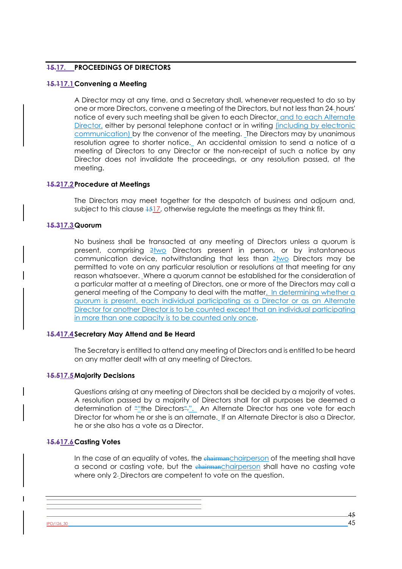## **15.17. PROCEEDINGS OF DIRECTORS**

## **15.117.1Convening a Meeting**

A Director may at any time, and a Secretary shall, whenever requested to do so by one or more Directors, convene a meeting of the Directors, but not less than 24 hours' notice of every such meeting shall be given to each Director, and to each Alternate Director, either by personal telephone contact or in writing (including by electronic communication) by the convenor of the meeting. The Directors may by unanimous resolution agree to shorter notice. An accidental omission to send a notice of a meeting of Directors to any Director or the non-receipt of such a notice by any Director does not invalidate the proceedings, or any resolution passed, at the meeting.

## **15.217.2Procedure at Meetings**

The Directors may meet together for the despatch of business and adjourn and, subject to this clause  $1517$ , otherwise regulate the meetings as they think fit.

## **15.317.3Quorum**

No business shall be transacted at any meeting of Directors unless a quorum is present, comprising  $2\text{two}$  Directors present in person, or by instantaneous communication device, notwithstanding that less than 2two Directors may be permitted to vote on any particular resolution or resolutions at that meeting for any reason whatsoever. Where a quorum cannot be established for the consideration of a particular matter at a meeting of Directors, one or more of the Directors may call a general meeting of the Company to deal with the matter. In determining whether a quorum is present, each individual participating as a Director or as an Alternate Director for another Director is to be counted except that an individual participating in more than one capacity is to be counted only once.

#### **15.417.4Secretary May Attend and Be Heard**

The Secretary is entitled to attend any meeting of Directors and is entitled to be heard on any matter dealt with at any meeting of Directors.

#### **15.517.5Majority Decisions**

Questions arising at any meeting of Directors shall be decided by a majority of votes. A resolution passed by a majority of Directors shall for all purposes be deemed a determination of ""the Directors".". An Alternate Director has one vote for each Director for whom he or she is an alternate. If an Alternate Director is also a Director, he or she also has a vote as a Director.

## **15.617.6Casting Votes**

In the case of an equality of votes, the chairmanchairperson of the meeting shall have a second or casting vote, but the chairmanchairperson shall have no casting vote where only 2-Directors are competent to vote on the question.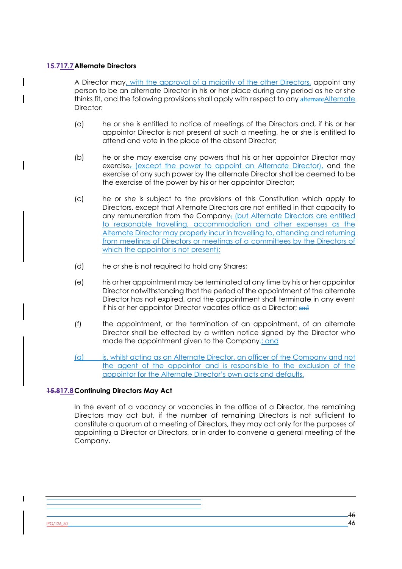## **15.717.7Alternate Directors**

A Director may, with the approval of a majority of the other Directors, appoint any person to be an alternate Director in his or her place during any period as he or she thinks fit, and the following provisions shall apply with respect to any alternate Alternate Director:

- (a) he or she is entitled to notice of meetings of the Directors and, if his or her appointor Director is not present at such a meeting, he or she is entitled to attend and vote in the place of the absent Director;
- (b) he or she may exercise any powers that his or her appointor Director may exercise<sub>s</sub> (except the power to appoint an Alternate Director), and the exercise of any such power by the alternate Director shall be deemed to be the exercise of the power by his or her appointor Director;
- (c) he or she is subject to the provisions of this Constitution which apply to Directors, except that Alternate Directors are not entitled in that capacity to any remuneration from the Company; (but Alternate Directors are entitled to reasonable travelling, accommodation and other expenses as the Alternate Director may properly incur in travelling to, attending and returning from meetings of Directors or meetings of a committees by the Directors of which the appointor is not present);
- (d) he or she is not required to hold any Shares;
- (e) his or her appointment may be terminated at any time by his or her appointor Director notwithstanding that the period of the appointment of the alternate Director has not expired, and the appointment shall terminate in any event if his or her appointor Director vacates office as a Director; and
- (f) the appointment, or the termination of an appointment, of an alternate Director shall be effected by a written notice signed by the Director who made the appointment given to the Company.; and
- (g) is, whilst acting as an Alternate Director, an officer of the Company and not the agent of the appointor and is responsible to the exclusion of the appointor for the Alternate Director's own acts and defaults.

# **15.817.8Continuing Directors May Act**

In the event of a vacancy or vacancies in the office of a Director, the remaining Directors may act but, if the number of remaining Directors is not sufficient to constitute a quorum at a meeting of Directors, they may act only for the purposes of appointing a Director or Directors, or in order to convene a general meeting of the Company.

 $\overline{\phantom{a}}$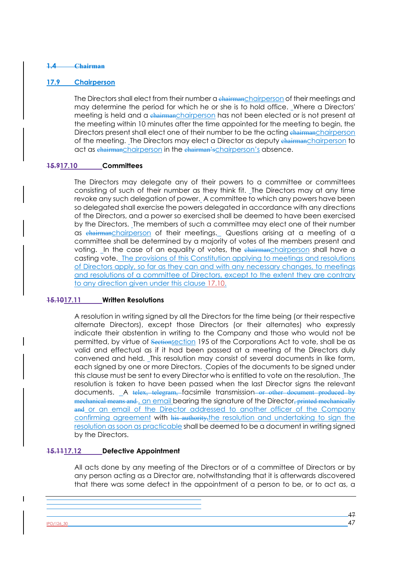#### **1.4 Chairman**

## **17.9 Chairperson**

The Directors shall elect from their number a chairmanchairperson of their meetings and may determine the period for which he or she is to hold office. Where a Directors' meeting is held and a chairmanchairperson has not been elected or is not present at the meeting within 10 minutes after the time appointed for the meeting to begin, the Directors present shall elect one of their number to be the acting chairmanchairperson of the meeting. The Directors may elect a Director as deputy chairmanchairperson to act as chairmanchairperson in the chairman's chairperson's absence.

## **15.917.10 Committees**

The Directors may delegate any of their powers to a committee or committees consisting of such of their number as they think fit. The Directors may at any time revoke any such delegation of power. A committee to which any powers have been so delegated shall exercise the powers delegated in accordance with any directions of the Directors, and a power so exercised shall be deemed to have been exercised by the Directors. The members of such a committee may elect one of their number as chairmanchairperson of their meetings. Questions arising at a meeting of a committee shall be determined by a majority of votes of the members present and voting. In the case of an equality of votes, the chairmanchairperson shall have a casting vote. The provisions of this Constitution applying to meetings and resolutions of Directors apply, so far as they can and with any necessary changes, to meetings and resolutions of a committee of Directors, except to the extent they are contrary to any direction given under this clause 17.10.

## **15.1017.11 Written Resolutions**

A resolution in writing signed by all the Directors for the time being (or their respective alternate Directors), except those Directors (or their alternates) who expressly indicate their abstention in writing to the Company and those who would not be permitted, by virtue of Sectionsection 195 of the Corporations Act to vote, shall be as valid and effectual as if it had been passed at a meeting of the Directors duly convened and held. This resolution may consist of several documents in like form, each signed by one or more Directors. Copies of the documents to be signed under this clause must be sent to every Director who is entitled to vote on the resolution. The resolution is taken to have been passed when the last Director signs the relevant documents. A telex, telegram, facsimile transmission or other document produced by mechanical means and , an email bearing the signature of the Director, printed mechanically and or an email of the Director addressed to another officer of the Company confirming agreement with his authority, the resolution and undertaking to sign the resolution as soon as practicable shall be deemed to be a document in writing signed by the Directors.

# **15.1117.12 Defective Appointment**

All acts done by any meeting of the Directors or of a committee of Directors or by any person acting as a Director are, notwithstanding that it is afterwards discovered that there was some defect in the appointment of a person to be, or to act as, a

 $PO/126,30$  47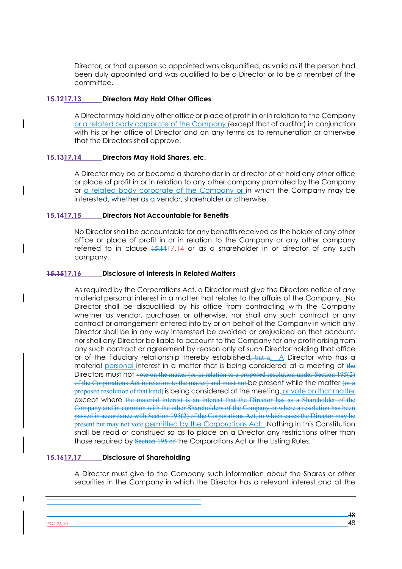Director, or that a person so appointed was disqualified, as valid as if the person had been duly appointed and was qualified to be a Director or to be a member of the committee.

## **15.1217.13 Directors May Hold Other Offices**

A Director may hold any other office or place of profit in or in relation to the Company or a related body corporate of the Company (except that of auditor) in conjunction with his or her office of Director and on any terms as to remuneration or otherwise that the Directors shall approve.

## **15.1317.14 Directors May Hold Shares, etc.**

A Director may be or become a shareholder in or director of or hold any other office or place of profit in or in relation to any other company promoted by the Company or a related body corporate of the Company or in which the Company may be interested, whether as a vendor, shareholder or otherwise.

## **15.1417.15 Directors Not Accountable for Benefits**

No Director shall be accountable for any benefits received as the holder of any other office or place of profit in or in relation to the Company or any other company referred to in clause  $15.1417.14$  or as a shareholder in or director of any such company.

## **15.1517.16 Disclosure of Interests in Related Matters**

As required by the Corporations Act, a Director must give the Directors notice of any material personal interest in a matter that relates to the affairs of the Company. No Director shall be disqualified by his office from contracting with the Company whether as vendor, purchaser or otherwise, nor shall any such contract or any contract or arrangement entered into by or on behalf of the Company in which any Director shall be in any way interested be avoided or prejudiced on that account, nor shall any Director be liable to account to the Company for any profit arising from any such contract or agreement by reason only of such Director holding that office or of the fiduciary relationship thereby established,  $\frac{1}{2}$  but a. A Director who has a material personal interest in a matter that is being considered at a meeting of the Directors must not vote on the matter (or in relation to a proposed resolution under Section 195(2) of the Corporations Act in relation to the matter) and must not be present while the matter (or a proposed resolution of that kind) is being considered at the meeting, or vote on that matter except where the material interest is an interest that the Director has as a Shareholder of the Company and in common with the other Shareholders of the Company or where a resolution has been passed in accordance with Section 195(2) of the Corporations Act, in which cases the Director may be present but may not vote.permitted by the Corporations Act. Nothing in this Constitution shall be read or construed so as to place on a Director any restrictions other than those required by Section 195 of the Corporations Act or the Listing Rules.

## **15.1617.17 Disclosure of Shareholding**

A Director must give to the Company such information about the Shares or other securities in the Company in which the Director has a relevant interest and at the

 $PO/126$ \_30 48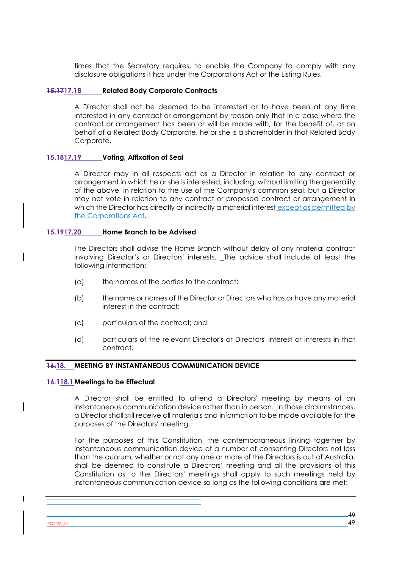times that the Secretary requires, to enable the Company to comply with any disclosure obligations it has under the Corporations Act or the Listing Rules.

## **15.1717.18 Related Body Corporate Contracts**

A Director shall not be deemed to be interested or to have been at any time interested in any contract or arrangement by reason only that in a case where the contract or arrangement has been or will be made with, for the benefit of, or on behalf of a Related Body Corporate, he or she is a shareholder in that Related Body Corporate.

#### **15.1817.19 Voting, Affixation of Seal**

A Director may in all respects act as a Director in relation to any contract or arrangement in which he or she is interested, including, without limiting the generality of the above, in relation to the use of the Company's common seal, but a Director may not vote in relation to any contract or proposed contract or arrangement in which the Director has directly or indirectly a material interest except as permitted by the Corporations Act.

#### **15.1917.20 Home Branch to be Advised**

The Directors shall advise the Home Branch without delay of any material contract involving Director's or Directors' interests. The advice shall include at least the following information:

- (a) the names of the parties to the contract;
- (b) the name or names of the Director or Directors who has or have any material interest in the contract;
- (c) particulars of the contract; and
- (d) particulars of the relevant Director's or Directors' interest or interests in that contract.

## **16.18. MEETING BY INSTANTANEOUS COMMUNICATION DEVICE**

#### **16.118.1Meetings to be Effectual**

A Director shall be entitled to attend a Directors' meeting by means of an instantaneous communication device rather than in person. In those circumstances, a Director shall still receive all materials and information to be made available for the purposes of the Directors' meeting.

For the purposes of this Constitution, the contemporaneous linking together by instantaneous communication device of a number of consenting Directors not less than the quorum, whether or not any one or more of the Directors is out of Australia, shall be deemed to constitute a Directors' meeting and all the provisions of this Constitution as to the Directors' meetings shall apply to such meetings held by instantaneous communication device so long as the following conditions are met:

 $PO/126$ \_30 49

 $\overline{\phantom{a}}$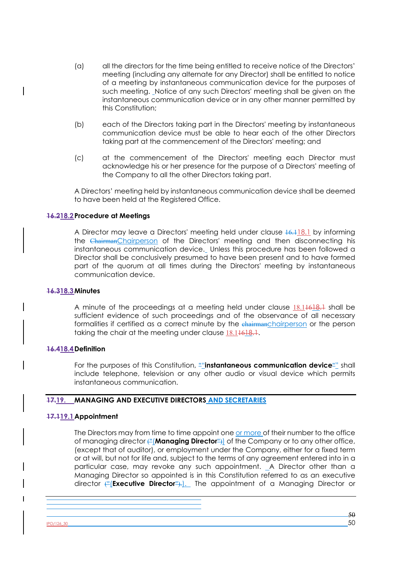- (a) all the directors for the time being entitled to receive notice of the Directors' meeting (including any alternate for any Director) shall be entitled to notice of a meeting by instantaneous communication device for the purposes of such meeting. Notice of any such Directors' meeting shall be given on the instantaneous communication device or in any other manner permitted by this Constitution;
- (b) each of the Directors taking part in the Directors' meeting by instantaneous communication device must be able to hear each of the other Directors taking part at the commencement of the Directors' meeting; and
- (c) at the commencement of the Directors' meeting each Director must acknowledge his or her presence for the purpose of a Directors' meeting of the Company to all the other Directors taking part.

A Directors' meeting held by instantaneous communication device shall be deemed to have been held at the Registered Office.

#### **16.218.2Procedure at Meetings**

A Director may leave a Directors' meeting held under clause  $\frac{16.118.1}{16.1}$  by informing the ChairmanChairperson of the Directors' meeting and then disconnecting his instantaneous communication device. Unless this procedure has been followed a Director shall be conclusively presumed to have been present and to have formed part of the quorum at all times during the Directors' meeting by instantaneous communication device.

#### **16.318.3Minutes**

A minute of the proceedings at a meeting held under clause 18.11618.1 shall be sufficient evidence of such proceedings and of the observance of all necessary formalities if certified as a correct minute by the chairmanchairperson or the person taking the chair at the meeting under clause 18.11618.1.

#### **16.418.4Definition**

For the purposes of this Constitution, ""**instantaneous communication device**"" shall include telephone, television or any other audio or visual device which permits instantaneous communication.

#### **17.19. MANAGING AND EXECUTIVE DIRECTORS AND SECRETARIES**

#### **17.119.1Appointment**

The Directors may from time to time appoint one or more of their number to the office of managing director ("(**Managing Director**")) of the Company or to any other office, (except that of auditor), or employment under the Company, either for a fixed term or at will, but not for life and, subject to the terms of any agreement entered into in a particular case, may revoke any such appointment. A Director other than a Managing Director so appointed is in this Constitution referred to as an executive director ("(**Executive Director**").). The appointment of a Managing Director or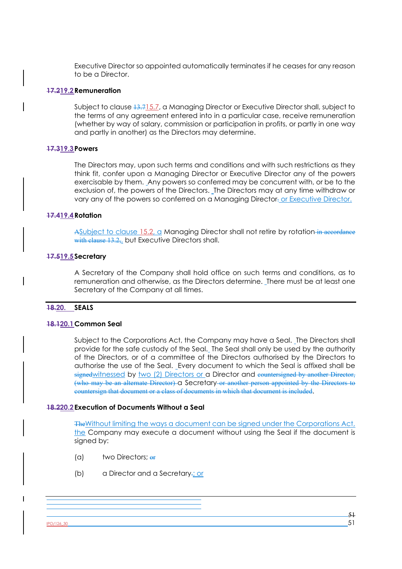Executive Director so appointed automatically terminates if he ceases for any reason to be a Director.

#### **17.219.2Remuneration**

Subject to clause  $13.715.7$ , a Managing Director or Executive Director shall, subject to the terms of any agreement entered into in a particular case, receive remuneration (whether by way of salary, commission or participation in profits, or partly in one way and partly in another) as the Directors may determine.

#### **17.319.3Powers**

The Directors may, upon such terms and conditions and with such restrictions as they think fit, confer upon a Managing Director or Executive Director any of the powers exercisable by them. Any powers so conferred may be concurrent with, or be to the exclusion of, the powers of the Directors. The Directors may at any time withdraw or vary any of the powers so conferred on a Managing Director. or Executive Director.

#### **17.419.4Rotation**

ASubject to clause 15.2,  $\alpha$  Managing Director shall not retire by rotation in accordance with clause 13.2, but Executive Directors shall.

#### **17.519.5Secretary**

A Secretary of the Company shall hold office on such terms and conditions, as to remuneration and otherwise, as the Directors determine. There must be at least one Secretary of the Company at all times.

#### **18.20. SEALS**

#### **18.120.1Common Seal**

Subject to the Corporations Act, the Company may have a Seal. The Directors shall provide for the safe custody of the Seal. The Seal shall only be used by the authority of the Directors, or of a committee of the Directors authorised by the Directors to authorise the use of the Seal. Every document to which the Seal is affixed shall be signedwitnessed by two (2) Directors or a Director and countersigned by another Director, (who may be an alternate Director) a Secretary or another person appointed by the Directors to countersign that document or a class of documents in which that document is included.

#### **18.220.2Execution of Documents Without a Seal**

TheWithout limiting the ways a document can be signed under the Corporations Act, the Company may execute a document without using the Seal if the document is signed by:

- (a) two Directors: or
- (b) a Director and a Secretary.; or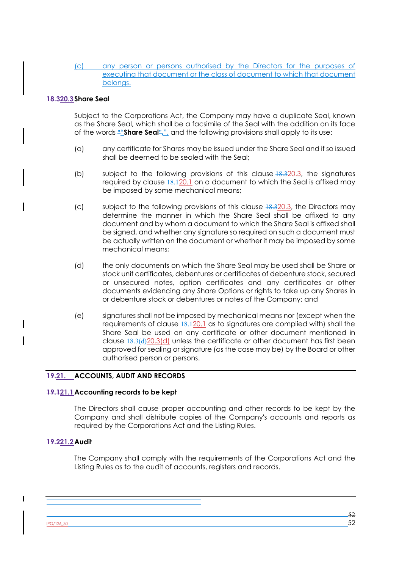## (c) any person or persons authorised by the Directors for the purposes of executing that document or the class of document to which that document belongs.

## **18.320.3Share Seal**

Subject to the Corporations Act, the Company may have a duplicate Seal, known as the Share Seal, which shall be a facsimile of the Seal with the addition on its face of the words ""**Share Seal**",", and the following provisions shall apply to its use:

- (a) any certificate for Shares may be issued under the Share Seal and if so issued shall be deemed to be sealed with the Seal;
- (b) subject to the following provisions of this clause 18.320.3, the signatures required by clause  $18.120.1$  on a document to which the Seal is affixed may be imposed by some mechanical means;
- (c) subject to the following provisions of this clause  $18.320.3$ , the Directors may determine the manner in which the Share Seal shall be affixed to any document and by whom a document to which the Share Seal is affixed shall be signed, and whether any signature so required on such a document must be actually written on the document or whether it may be imposed by some mechanical means;
- (d) the only documents on which the Share Seal may be used shall be Share or stock unit certificates, debentures or certificates of debenture stock, secured or unsecured notes, option certificates and any certificates or other documents evidencing any Share Options or rights to take up any Shares in or debenture stock or debentures or notes of the Company; and
- (e) signatures shall not be imposed by mechanical means nor (except when the requirements of clause 18.120.1 as to signatures are complied with) shall the Share Seal be used on any certificate or other document mentioned in clause  $18.3(4)20.3(d)$  unless the certificate or other document has first been approved for sealing or signature (as the case may be) by the Board or other authorised person or persons.

## **19.21. ACCOUNTS, AUDIT AND RECORDS**

## **19.121.1Accounting records to be kept**

The Directors shall cause proper accounting and other records to be kept by the Company and shall distribute copies of the Company's accounts and reports as required by the Corporations Act and the Listing Rules.

#### **19.221.2Audit**

The Company shall comply with the requirements of the Corporations Act and the Listing Rules as to the audit of accounts, registers and records.

IPO/126\_30 52

 $\overline{\phantom{a}}$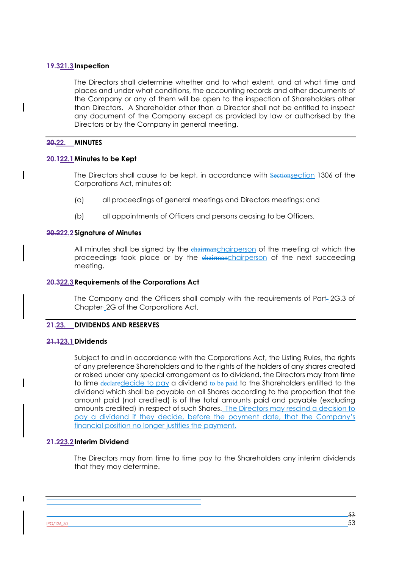#### **19.321.3Inspection**

The Directors shall determine whether and to what extent, and at what time and places and under what conditions, the accounting records and other documents of the Company or any of them will be open to the inspection of Shareholders other than Directors. A Shareholder other than a Director shall not be entitled to inspect any document of the Company except as provided by law or authorised by the Directors or by the Company in general meeting.

#### **20.22. MINUTES**

#### **20.122.1Minutes to be Kept**

The Directors shall cause to be kept, in accordance with Sectionsection 1306 of the Corporations Act, minutes of:

- (a) all proceedings of general meetings and Directors meetings; and
- (b) all appointments of Officers and persons ceasing to be Officers.

#### **20.222.2Signature of Minutes**

All minutes shall be signed by the chairmanchairperson of the meeting at which the proceedings took place or by the chairmanchairperson of the next succeeding meeting.

#### **20.322.3Requirements of the Corporations Act**

The Company and the Officers shall comply with the requirements of Part-2G.3 of Chapter- 2G of the Corporations Act.

## **21.23. DIVIDENDS AND RESERVES**

#### **21.123.1Dividends**

Subject to and in accordance with the Corporations Act, the Listing Rules, the rights of any preference Shareholders and to the rights of the holders of any shares created or raised under any special arrangement as to dividend, the Directors may from time to time declaredecide to pay a dividend to be paid to the Shareholders entitled to the dividend which shall be payable on all Shares according to the proportion that the amount paid (not credited) is of the total amounts paid and payable (excluding amounts credited) in respect of such Shares. The Directors may rescind a decision to pay a dividend if they decide, before the payment date, that the Company's financial position no longer justifies the payment.

## **21.223.2Interim Dividend**

The Directors may from time to time pay to the Shareholders any interim dividends that they may determine.

<u>IPO/126\_30</u> 533 535 536 537 538 537 538 537 538 538 538 538 538 538 548 553 548 553 548 553 548 553 548 553 548 553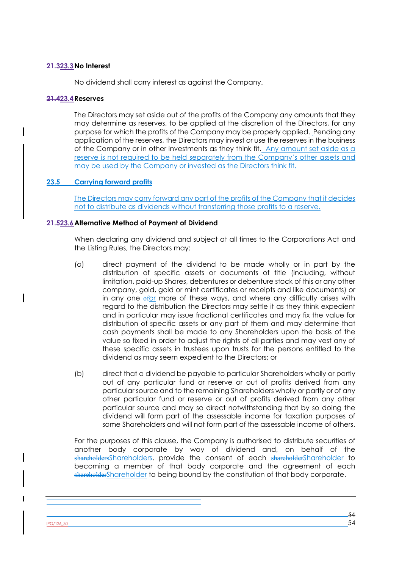### **21.323.3No Interest**

No dividend shall carry interest as against the Company.

#### **21.423.4Reserves**

The Directors may set aside out of the profits of the Company any amounts that they may determine as reserves, to be applied at the discretion of the Directors, for any purpose for which the profits of the Company may be properly applied. Pending any application of the reserves, the Directors may invest or use the reserves in the business of the Company or in other investments as they think fit. Any amount set aside as a reserve is not required to be held separately from the Company's other assets and may be used by the Company or invested as the Directors think fit.

## **23.5 Carrying forward profits**

The Directors may carry forward any part of the profits of the Company that it decides not to distribute as dividends without transferring those profits to a reserve.

#### **21.523.6Alternative Method of Payment of Dividend**

When declaring any dividend and subject at all times to the Corporations Act and the Listing Rules, the Directors may:

- (a) direct payment of the dividend to be made wholly or in part by the distribution of specific assets or documents of title (including, without limitation, paid-up Shares, debentures or debenture stock of this or any other company, gold, gold or mint certificates or receipts and like documents) or in any one  $\frac{1}{\sqrt{2}}$  more of these ways, and where any difficulty arises with regard to the distribution the Directors may settle it as they think expedient and in particular may issue fractional certificates and may fix the value for distribution of specific assets or any part of them and may determine that cash payments shall be made to any Shareholders upon the basis of the value so fixed in order to adjust the rights of all parties and may vest any of these specific assets in trustees upon trusts for the persons entitled to the dividend as may seem expedient to the Directors; or
- (b) direct that a dividend be payable to particular Shareholders wholly or partly out of any particular fund or reserve or out of profits derived from any particular source and to the remaining Shareholders wholly or partly or of any other particular fund or reserve or out of profits derived from any other particular source and may so direct notwithstanding that by so doing the dividend will form part of the assessable income for taxation purposes of some Shareholders and will not form part of the assessable income of others.

For the purposes of this clause, the Company is authorised to distribute securities of another body corporate by way of dividend and, on behalf of the shareholdersShareholders, provide the consent of each shareholderShareholder to becoming a member of that body corporate and the agreement of each shareholderShareholder to being bound by the constitution of that body corporate.

 $\frac{180/126 \cdot 30}{54}$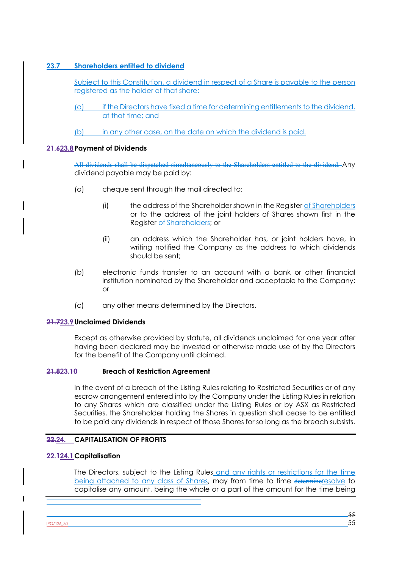# **23.7 Shareholders entitled to dividend**

Subject to this Constitution, a dividend in respect of a Share is payable to the person registered as the holder of that share:

- (a) if the Directors have fixed a time for determining entitlements to the dividend, at that time; and
- (b) in any other case, on the date on which the dividend is paid.

## **21.623.8Payment of Dividends**

All dividends shall be dispatched simultaneously to the Shareholders entitled to the dividend. Any dividend payable may be paid by:

- (a) cheque sent through the mail directed to:
	- (i) the address of the Shareholder shown in the Register of Shareholders or to the address of the joint holders of Shares shown first in the Register of Shareholders; or
	- (ii) an address which the Shareholder has, or joint holders have, in writing notified the Company as the address to which dividends should be sent;
- (b) electronic funds transfer to an account with a bank or other financial institution nominated by the Shareholder and acceptable to the Company; or
- (c) any other means determined by the Directors.

## **21.723.9Unclaimed Dividends**

Except as otherwise provided by statute, all dividends unclaimed for one year after having been declared may be invested or otherwise made use of by the Directors for the benefit of the Company until claimed.

## **21.823.10 Breach of Restriction Agreement**

In the event of a breach of the Listing Rules relating to Restricted Securities or of any escrow arrangement entered into by the Company under the Listing Rules in relation to any Shares which are classified under the Listing Rules or by ASX as Restricted Securities, the Shareholder holding the Shares in question shall cease to be entitled to be paid any dividends in respect of those Shares for so long as the breach subsists.

# **22.24. CAPITALISATION OF PROFITS**

## **22.124.1Capitalisation**

The Directors, subject to the Listing Rules and any rights or restrictions for the time being attached to any class of Shares, may from time to time determineresolve to capitalise any amount, being the whole or a part of the amount for the time being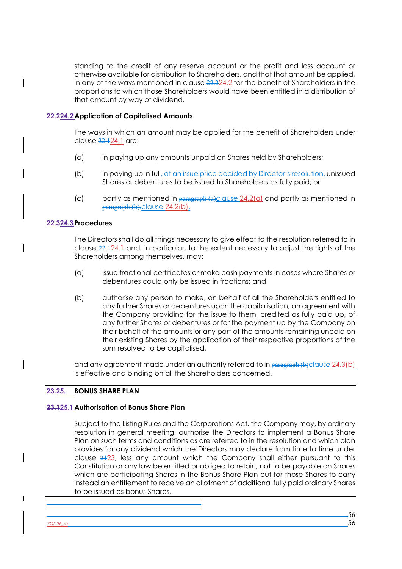standing to the credit of any reserve account or the profit and loss account or otherwise available for distribution to Shareholders, and that that amount be applied, in any of the ways mentioned in clause 22.224.2 for the benefit of Shareholders in the proportions to which those Shareholders would have been entitled in a distribution of that amount by way of dividend.

## **22.224.2Application of Capitalised Amounts**

The ways in which an amount may be applied for the benefit of Shareholders under clause 22.124.1 are:

- (a) in paying up any amounts unpaid on Shares held by Shareholders;
- (b) in paying up in full, at an issue price decided by Director's resolution, unissued Shares or debentures to be issued to Shareholders as fully paid; or
- (c) partly as mentioned in  $\frac{1}{P^2}$  paragraph (a)clause 24.2(a) and partly as mentioned in paragraph (b).clause 24.2(b).

## **22.324.3Procedures**

The Directors shall do all things necessary to give effect to the resolution referred to in clause 22.124.1 and, in particular, to the extent necessary to adjust the rights of the Shareholders among themselves, may:

- (a) issue fractional certificates or make cash payments in cases where Shares or debentures could only be issued in fractions; and
- (b) authorise any person to make, on behalf of all the Shareholders entitled to any further Shares or debentures upon the capitalisation, an agreement with the Company providing for the issue to them, credited as fully paid up, of any further Shares or debentures or for the payment up by the Company on their behalf of the amounts or any part of the amounts remaining unpaid on their existing Shares by the application of their respective proportions of the sum resolved to be capitalised,

and any agreement made under an authority referred to in  $\frac{1}{\text{paragnph (b)}\text{clusive 24.3(b)}}$ is effective and binding on all the Shareholders concerned.

## **23.25. BONUS SHARE PLAN**

## **23.125.1Authorisation of Bonus Share Plan**

Subject to the Listing Rules and the Corporations Act, the Company may, by ordinary resolution in general meeting, authorise the Directors to implement a Bonus Share Plan on such terms and conditions as are referred to in the resolution and which plan provides for any dividend which the Directors may declare from time to time under clause 2123, less any amount which the Company shall either pursuant to this Constitution or any law be entitled or obliged to retain, not to be payable on Shares which are participating Shares in the Bonus Share Plan but for those Shares to carry instead an entitlement to receive an allotment of additional fully paid ordinary Shares to be issued as bonus Shares.

IPO/126\_30 56

 $\overline{\phantom{a}}$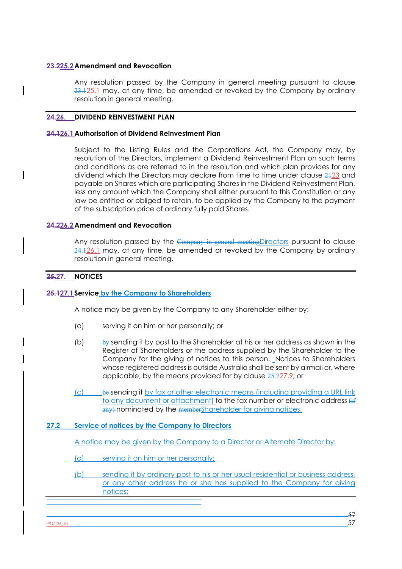#### **23.225.2Amendment and Revocation**

Any resolution passed by the Company in general meeting pursuant to clause  $23.125.1$  may, at any time, be amended or revoked by the Company by ordinary resolution in general meeting.

## **24.26. DIVIDEND REINVESTMENT PLAN**

#### **24.126.1Authorisation of Dividend Reinvestment Plan**

Subject to the Listing Rules and the Corporations Act, the Company may, by resolution of the Directors, implement a Dividend Reinvestment Plan on such terms and conditions as are referred to in the resolution and which plan provides for any dividend which the Directors may declare from time to time under clause 2123 and payable on Shares which are participating Shares in the Dividend Reinvestment Plan, less any amount which the Company shall either pursuant to this Constitution or any law be entitled or obliged to retain, to be applied by the Company to the payment of the subscription price of ordinary fully paid Shares.

#### **24.226.2Amendment and Revocation**

Any resolution passed by the Company in general meeting Directors pursuant to clause 24.126.1 may, at any time, be amended or revoked by the Company by ordinary resolution in general meeting.

## **25.27. NOTICES**

## **25.127.1Service by the Company to Shareholders**

A notice may be given by the Company to any Shareholder either by:

- (a) serving it on him or her personally; or
- (b) by sending it by post to the Shareholder at his or her address as shown in the Register of Shareholders or the address supplied by the Shareholder to the Company for the giving of notices to this person. Notices to Shareholders whose registered address is outside Australia shall be sent by airmail or, where applicable, by the means provided for by clause 25.727.9; or
- (c) be sending it by fax or other electronic means (including providing a URL link to any document or attachment) to the fax number or electronic address  $\frac{d}{dt}$ any) nominated by the member Shareholder for giving notices.

## **27.2 Service of notices by the Company to Directors**

A notice may be given by the Company to a Director or Alternate Director by:

(a) serving it on him or her personally;

(b) sending it by ordinary post to his or her usual residential or business address, or any other address he or she has supplied to the Company for giving notices;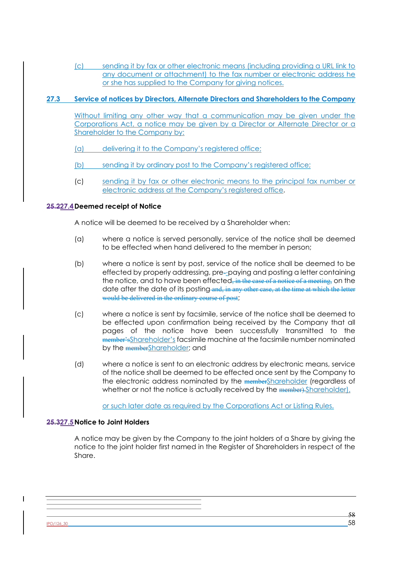(c) sending it by fax or other electronic means (including providing a URL link to any document or attachment) to the fax number or electronic address he or she has supplied to the Company for giving notices.

# **27.3 Service of notices by Directors, Alternate Directors and Shareholders to the Company**

Without limiting any other way that a communication may be given under the Corporations Act, a notice may be given by a Director or Alternate Director or a Shareholder to the Company by:

(a) delivering it to the Company's registered office;

(b) sending it by ordinary post to the Company's registered office;

(c) sending it by fax or other electronic means to the principal fax number or electronic address at the Company's registered office.

# **25.227.4Deemed receipt of Notice**

A notice will be deemed to be received by a Shareholder when:

- (a) where a notice is served personally, service of the notice shall be deemed to be effected when hand delivered to the member in person;
- (b) where a notice is sent by post, service of the notice shall be deemed to be effected by properly addressing, pre--paying and posting a letter containing the notice, and to have been effected, in the case of a notice of a meeting, on the date after the date of its posting and, in any other case, at the time at which the letter would be delivered in the ordinary course of post;
- (c) where a notice is sent by facsimile, service of the notice shall be deemed to be effected upon confirmation being received by the Company that all pages of the notice have been successfully transmitted to the member'sShareholder's facsimile machine at the facsimile number nominated by the memberShareholder; and
- (d) where a notice is sent to an electronic address by electronic means, service of the notice shall be deemed to be effected once sent by the Company to the electronic address nominated by the memberShareholder (regardless of whether or not the notice is actually received by the member). Shareholder),

or such later date as required by the Corporations Act or Listing Rules.

## **25.327.5Notice to Joint Holders**

A notice may be given by the Company to the joint holders of a Share by giving the notice to the joint holder first named in the Register of Shareholders in respect of the Share.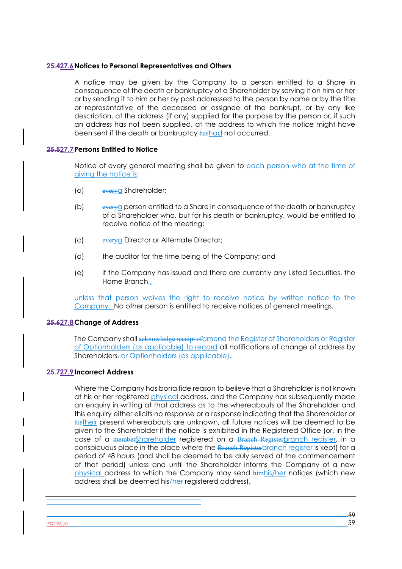#### **25.427.6Notices to Personal Representatives and Others**

A notice may be given by the Company to a person entitled to a Share in consequence of the death or bankruptcy of a Shareholder by serving it on him or her or by sending it to him or her by post addressed to the person by name or by the title or representative of the deceased or assignee of the bankrupt, or by any like description, at the address (if any) supplied for the purpose by the person or, if such an address has not been supplied, at the address to which the notice might have been sent if the death or bankruptcy hashad not occurred.

## **25.527.7Persons Entitled to Notice**

Notice of every general meeting shall be given to each person who at the time of giving the notice is:

- (a) everya Shareholder;
- (b) everya person entitled to a Share in consequence of the death or bankruptcy of a Shareholder who, but for his death or bankruptcy, would be entitled to receive notice of the meeting;
- (c) everya Director or Alternate Director;
- (d) the auditor for the time being of the Company; and
- (e) if the Company has issued and there are currently any Listed Securities, the Home Branch.

unless that person waives the right to receive notice by written notice to the Company. No other person is entitled to receive notices of general meetings.

## **25.627.8Change of Address**

The Company shall acknowledge receipt of amend the Register of Shareholders or Register of Optionholders (as applicable) to record all notifications of change of address by Shareholders. or Optionholders (as applicable).

## **25.727.9Incorrect Address**

Where the Company has bona fide reason to believe that a Shareholder is not known at his or her registered physical address, and the Company has subsequently made an enquiry in writing at that address as to the whereabouts of the Shareholder and this enquiry either elicits no response or a response indicating that the Shareholder or histheir present whereabouts are unknown, all future notices will be deemed to be given to the Shareholder if the notice is exhibited in the Registered Office (or, in the case of a memberShareholder registered on a Branch Registerbranch register, in a conspicuous place in the place where the Branch Registerbranch register is kept) for a period of 48 hours (and shall be deemed to be duly served at the commencement of that period) unless and until the Shareholder informs the Company of a new physical address to which the Company may send himhis/her notices (which new address shall be deemed his/her registered address).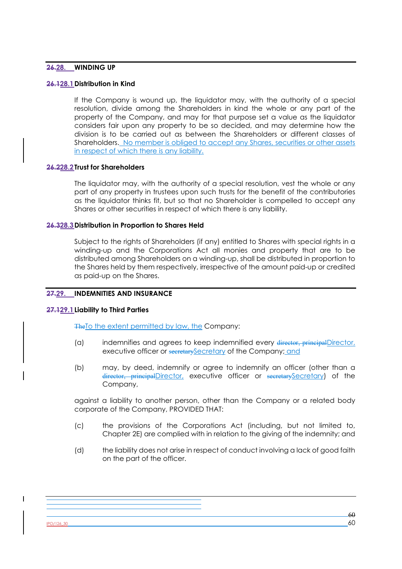# **26.28. WINDING UP**

# **26.128.1Distribution in Kind**

If the Company is wound up, the liquidator may, with the authority of a special resolution, divide among the Shareholders in kind the whole or any part of the property of the Company, and may for that purpose set a value as the liquidator considers fair upon any property to be so decided, and may determine how the division is to be carried out as between the Shareholders or different classes of Shareholders. No member is obliged to accept any Shares, securities or other assets in respect of which there is any liability.

# **26.228.2Trust for Shareholders**

The liquidator may, with the authority of a special resolution, vest the whole or any part of any property in trustees upon such trusts for the benefit of the contributories as the liquidator thinks fit, but so that no Shareholder is compelled to accept any Shares or other securities in respect of which there is any liability.

### **26.328.3Distribution in Proportion to Shares Held**

Subject to the rights of Shareholders (if any) entitled to Shares with special rights in a winding-up and the Corporations Act all monies and property that are to be distributed among Shareholders on a winding-up, shall be distributed in proportion to the Shares held by them respectively, irrespective of the amount paid-up or credited as paid-up on the Shares.

# **27.29. INDEMNITIES AND INSURANCE**

# **27.129.1Liability to Third Parties**

The To the extent permitted by law, the Company:

- (a) indemnifies and agrees to keep indemnified every director, principalDirector, executive officer or secretary Secretary of the Company; and
- (b) may, by deed, indemnify or agree to indemnify an officer (other than a director, principalDirector, executive officer or secretarySecretary) of the Company,

against a liability to another person, other than the Company or a related body corporate of the Company, PROVIDED THAT:

- (c) the provisions of the Corporations Act (including, but not limited to, Chapter 2E) are complied with in relation to the giving of the indemnity; and
- (d) the liability does not arise in respect of conduct involving a lack of good faith on the part of the officer.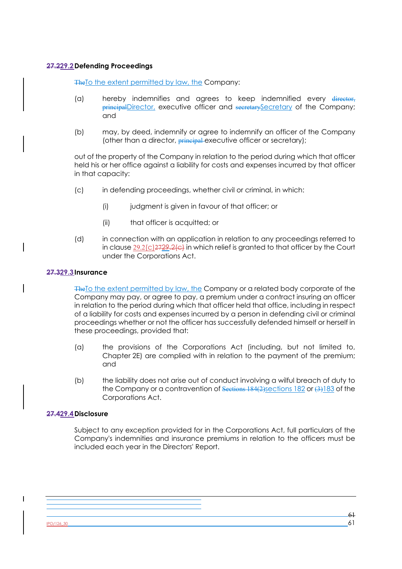# **27.229.2Defending Proceedings**

The To the extent permitted by law, the Company:

- (a) hereby indemnifies and agrees to keep indemnified every director, principalDirector, executive officer and secretarySecretary of the Company; and
- (b) may, by deed, indemnify or agree to indemnify an officer of the Company (other than a director, **principal** executive officer or secretary);

out of the property of the Company in relation to the period during which that officer held his or her office against a liability for costs and expenses incurred by that officer in that capacity:

- (c) in defending proceedings, whether civil or criminal, in which:
	- (i) judgment is given in favour of that officer; or
	- (ii) that officer is acquitted; or
- (d) in connection with an application in relation to any proceedings referred to in clause 29.2(c)2729.2(c) in which relief is granted to that officer by the Court under the Corporations Act.

### **27.329.3Insurance**

The To the extent permitted by law, the Company or a related body corporate of the Company may pay, or agree to pay, a premium under a contract insuring an officer in relation to the period during which that officer held that office, including in respect of a liability for costs and expenses incurred by a person in defending civil or criminal proceedings whether or not the officer has successfully defended himself or herself in these proceedings, provided that:

- (a) the provisions of the Corporations Act (including, but not limited to, Chapter 2E) are complied with in relation to the payment of the premium; and
- (b) the liability does not arise out of conduct involving a wilful breach of duty to the Company or a contravention of Sections 184(2)sections 182 or (3)183 of the Corporations Act.

# **27.429.4Disclosure**

Subject to any exception provided for in the Corporations Act, full particulars of the Company's indemnities and insurance premiums in relation to the officers must be included each year in the Directors' Report.

 $PO/126$ \_30 61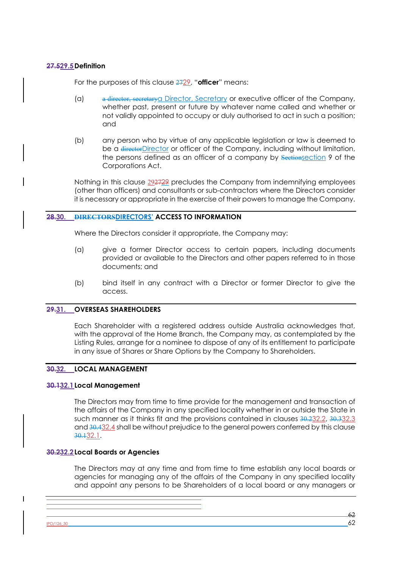### **27.529.5Definition**

For the purposes of this clause 2729, "**officer**" means:

- (a) a director, secretarya Director, Secretary or executive officer of the Company, whether past, present or future by whatever name called and whether or not validly appointed to occupy or duly authorised to act in such a position; and
- (b) any person who by virtue of any applicable legislation or law is deemed to be a directorDirector or officer of the Company, including without limitation, the persons defined as an officer of a company by Sectionsection 9 of the Corporations Act.

Nothing in this clause 292729 precludes the Company from indemnifying employees (other than officers) and consultants or sub-contractors where the Directors consider it is necessary or appropriate in the exercise of their powers to manage the Company.

### **28.30. DIRECTORSDIRECTORS' ACCESS TO INFORMATION**

Where the Directors consider it appropriate, the Company may:

- (a) give a former Director access to certain papers, including documents provided or available to the Directors and other papers referred to in those documents; and
- (b) bind itself in any contract with a Director or former Director to give the access.

#### **29.31. OVERSEAS SHAREHOLDERS**

Each Shareholder with a registered address outside Australia acknowledges that, with the approval of the Home Branch, the Company may, as contemplated by the Listing Rules, arrange for a nominee to dispose of any of its entitlement to participate in any issue of Shares or Share Options by the Company to Shareholders.

# **30.32. LOCAL MANAGEMENT**

#### **30.132.1Local Management**

The Directors may from time to time provide for the management and transaction of the affairs of the Company in any specified locality whether in or outside the State in such manner as it thinks fit and the provisions contained in clauses 30.232.2, 30.332.3 and 30.432.4 shall be without prejudice to the general powers conferred by this clause 30.132.1.

#### **30.232.2Local Boards or Agencies**

The Directors may at any time and from time to time establish any local boards or agencies for managing any of the affairs of the Company in any specified locality and appoint any persons to be Shareholders of a local board or any managers or

 $PO/126$ \_30 62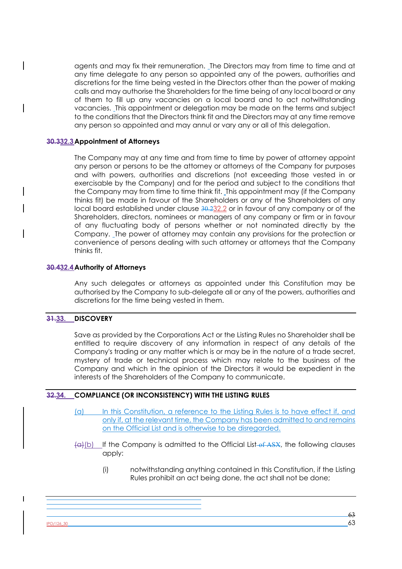agents and may fix their remuneration. The Directors may from time to time and at any time delegate to any person so appointed any of the powers, authorities and discretions for the time being vested in the Directors other than the power of making calls and may authorise the Shareholders for the time being of any local board or any of them to fill up any vacancies on a local board and to act notwithstanding vacancies. This appointment or delegation may be made on the terms and subject to the conditions that the Directors think fit and the Directors may at any time remove any person so appointed and may annul or vary any or all of this delegation.

### **30.332.3Appointment of Attorneys**

The Company may at any time and from time to time by power of attorney appoint any person or persons to be the attorney or attorneys of the Company for purposes and with powers, authorities and discretions (not exceeding those vested in or exercisable by the Company) and for the period and subject to the conditions that the Company may from time to time think fit. This appointment may (if the Company thinks fit) be made in favour of the Shareholders or any of the Shareholders of any local board established under clause 30.232.2 or in favour of any company or of the Shareholders, directors, nominees or managers of any company or firm or in favour of any fluctuating body of persons whether or not nominated directly by the Company. The power of attorney may contain any provisions for the protection or convenience of persons dealing with such attorney or attorneys that the Company thinks fit.

### **30.432.4Authority of Attorneys**

Any such delegates or attorneys as appointed under this Constitution may be authorised by the Company to sub-delegate all or any of the powers, authorities and discretions for the time being vested in them.

# **31.33. DISCOVERY**

Save as provided by the Corporations Act or the Listing Rules no Shareholder shall be entitled to require discovery of any information in respect of any details of the Company's trading or any matter which is or may be in the nature of a trade secret, mystery of trade or technical process which may relate to the business of the Company and which in the opinion of the Directors it would be expedient in the interests of the Shareholders of the Company to communicate.

# **32.34. COMPLIANCE (OR INCONSISTENCY) WITH THE LISTING RULES**

- (a) In this Constitution, a reference to the Listing Rules is to have effect if, and only if, at the relevant time, the Company has been admitted to and remains on the Official List and is otherwise to be disregarded.
- $(a)$ (b) If the Company is admitted to the Official List of ASX, the following clauses apply:
	- (i) notwithstanding anything contained in this Constitution, if the Listing Rules prohibit an act being done, the act shall not be done;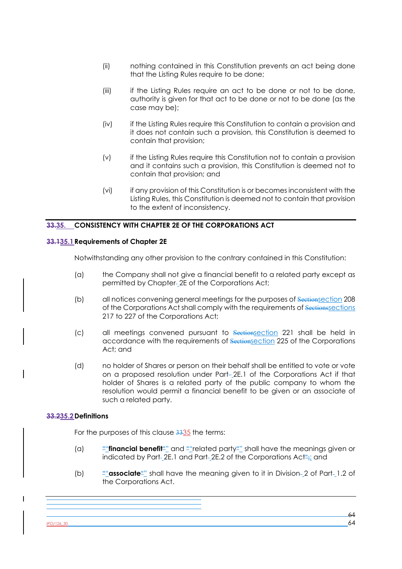- (ii) nothing contained in this Constitution prevents an act being done that the Listing Rules require to be done;
- (iii) if the Listing Rules require an act to be done or not to be done, authority is given for that act to be done or not to be done (as the case may be);
- (iv) if the Listing Rules require this Constitution to contain a provision and it does not contain such a provision, this Constitution is deemed to contain that provision;
- (v) if the Listing Rules require this Constitution not to contain a provision and it contains such a provision, this Constitution is deemed not to contain that provision; and
- (vi) if any provision of this Constitution is or becomes inconsistent with the Listing Rules, this Constitution is deemed not to contain that provision to the extent of inconsistency.

# **33.35. CONSISTENCY WITH CHAPTER 2E OF THE CORPORATIONS ACT**

# **33.135.1Requirements of Chapter 2E**

Notwithstanding any other provision to the contrary contained in this Constitution:

- (a) the Company shall not give a financial benefit to a related party except as permitted by Chapter-2E of the Corporations Act;
- (b) all notices convening general meetings for the purposes of Sectionsection 208 of the Corporations Act shall comply with the requirements of Sections sections 217 to 227 of the Corporations Act;
- (c) all meetings convened pursuant to Sectionsection 221 shall be held in accordance with the requirements of Sectionsection 225 of the Corporations Act; and
- (d) no holder of Shares or person on their behalf shall be entitled to vote or vote on a proposed resolution under Part-2E.1 of the Corporations Act if that holder of Shares is a related party of the public company to whom the resolution would permit a financial benefit to be given or an associate of such a related party.

# **33.235.2Definitions**

For the purposes of this clause 3335 the terms:

- (a) ""**financial benefit**"" and ""related party"" shall have the meanings given or indicated by Part-2E.1 and Part-2E.2 of the Corporations Act<sup>n</sup>; and
- (b)  $\frac{100}{2}$  **"** associate" shall have the meaning given to it in Division-2 of Part-1.2 of the Corporations Act.

 $PO/126$ \_30 64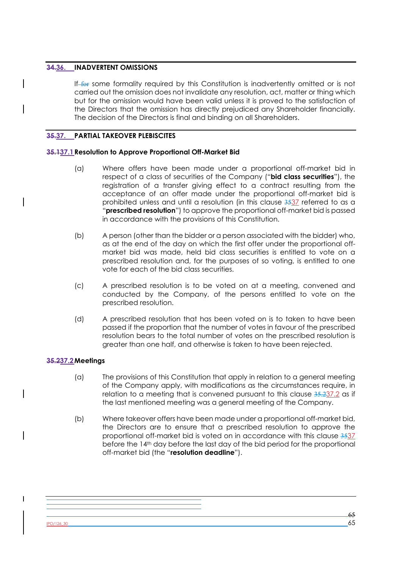# **34.36. INADVERTENT OMISSIONS**

If for some formality required by this Constitution is inadvertently omitted or is not carried out the omission does not invalidate any resolution, act, matter or thing which but for the omission would have been valid unless it is proved to the satisfaction of the Directors that the omission has directly prejudiced any Shareholder financially. The decision of the Directors is final and binding on all Shareholders.

# **35.37. PARTIAL TAKEOVER PLEBISCITES**

# **35.137.1Resolution to Approve Proportional Off-Market Bid**

- (a) Where offers have been made under a proportional off-market bid in respect of a class of securities of the Company ("**bid class securities**"), the registration of a transfer giving effect to a contract resulting from the acceptance of an offer made under the proportional off-market bid is prohibited unless and until a resolution (in this clause 3537 referred to as a "**prescribed resolution**") to approve the proportional off-market bid is passed in accordance with the provisions of this Constitution.
- (b) A person (other than the bidder or a person associated with the bidder) who, as at the end of the day on which the first offer under the proportional offmarket bid was made, held bid class securities is entitled to vote on a prescribed resolution and, for the purposes of so voting, is entitled to one vote for each of the bid class securities.
- (c) A prescribed resolution is to be voted on at a meeting, convened and conducted by the Company, of the persons entitled to vote on the prescribed resolution.
- (d) A prescribed resolution that has been voted on is to taken to have been passed if the proportion that the number of votes in favour of the prescribed resolution bears to the total number of votes on the prescribed resolution is greater than one half, and otherwise is taken to have been rejected.

# **35.237.2Meetings**

- (a) The provisions of this Constitution that apply in relation to a general meeting of the Company apply, with modifications as the circumstances require, in relation to a meeting that is convened pursuant to this clause  $35.237.2$  as if the last mentioned meeting was a general meeting of the Company.
- (b) Where takeover offers have been made under a proportional off-market bid, the Directors are to ensure that a prescribed resolution to approve the proportional off-market bid is voted on in accordance with this clause 3537 before the 14th day before the last day of the bid period for the proportional off-market bid (the "**resolution deadline**").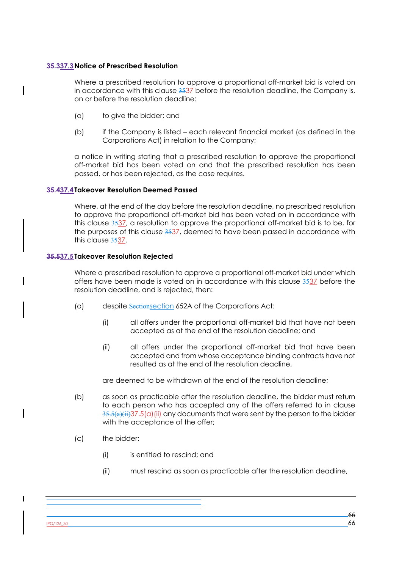# **35.337.3Notice of Prescribed Resolution**

Where a prescribed resolution to approve a proportional off-market bid is voted on in accordance with this clause 3537 before the resolution deadline, the Company is, on or before the resolution deadline:

- (a) to give the bidder; and
- (b) if the Company is listed each relevant financial market (as defined in the Corporations Act) in relation to the Company;

a notice in writing stating that a prescribed resolution to approve the proportional off-market bid has been voted on and that the prescribed resolution has been passed, or has been rejected, as the case requires.

# **35.437.4Takeover Resolution Deemed Passed**

Where, at the end of the day before the resolution deadline, no prescribed resolution to approve the proportional off-market bid has been voted on in accordance with this clause 3537, a resolution to approve the proportional off-market bid is to be, for the purposes of this clause 3537, deemed to have been passed in accordance with this clause 3537.

### **35.537.5Takeover Resolution Rejected**

Where a prescribed resolution to approve a proportional off-market bid under which offers have been made is voted on in accordance with this clause 3537 before the resolution deadline, and is rejected, then:

- (a) despite Sectionsection 652A of the Corporations Act:
	- (i) all offers under the proportional off-market bid that have not been accepted as at the end of the resolution deadline; and
	- (ii) all offers under the proportional off-market bid that have been accepted and from whose acceptance binding contracts have not resulted as at the end of the resolution deadline,

are deemed to be withdrawn at the end of the resolution deadline;

- (b) as soon as practicable after the resolution deadline, the bidder must return to each person who has accepted any of the offers referred to in clause  $35.5(a)(ii)37.5(a)(ii)$  any documents that were sent by the person to the bidder with the acceptance of the offer;
- (c) the bidder:
	- (i) is entitled to rescind; and
	- (ii) must rescind as soon as practicable after the resolution deadline,

 $\overline{\phantom{a}}$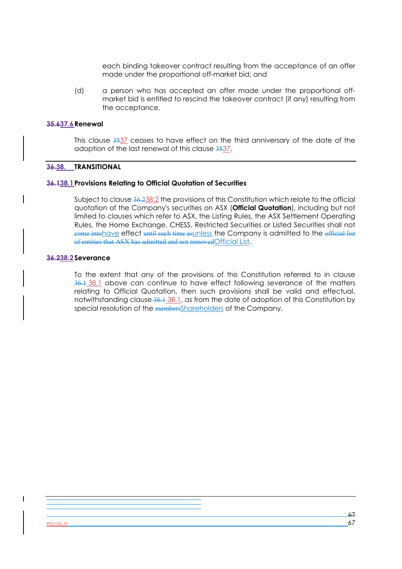each binding takeover contract resulting from the acceptance of an offer made under the proportional off-market bid; and

(d) a person who has accepted an offer made under the proportional offmarket bid is entitled to rescind the takeover contract (if any) resulting from the acceptance.

#### **35.637.6Renewal**

This clause 3537 ceases to have effect on the third anniversary of the date of the adoption of the last renewal of this clause 3537.

# **36.38. TRANSITIONAL**

#### **36.138.1Provisions Relating to Official Quotation of Securities**

Subject to clause 36.238.2 the provisions of this Constitution which relate to the official quotation of the Company's securities on ASX (**Official Quotation**), including but not limited to clauses which refer to ASX, the Listing Rules, the ASX Settlement Operating Rules, the Home Exchange, CHESS, Restricted Securities or Listed Securities shall not come intohave effect until such time asunless the Company is admitted to the official list of entities that ASX has admitted and not removedOfficial List.

#### **36.238.2Severance**

To the extent that any of the provisions of this Constitution referred to in clause 36.1 38.1 above can continue to have effect following severance of the matters relating to Official Quotation, then such provisions shall be valid and effectual, notwithstanding clause 36.1 38.1, as from the date of adoption of this Constitution by special resolution of the membersShareholders of the Company.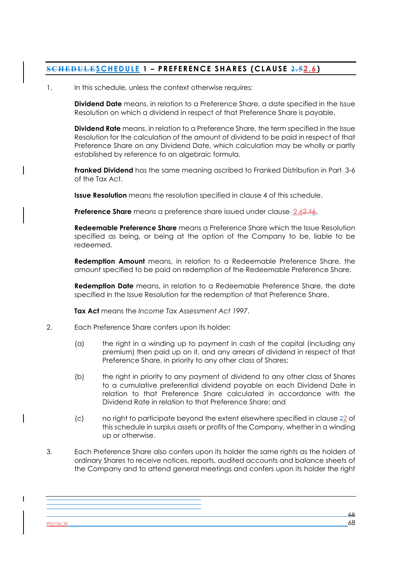# **SCHEDULESCHEDULE 1 – PREFERENCE SHARES (CLAUSE 2.52.6)**

# 1. In this schedule, unless the context otherwise requires:

**Dividend Date** means, in relation to a Preference Share, a date specified in the Issue Resolution on which a dividend in respect of that Preference Share is payable.

**Dividend Rate** means, in relation to a Preference Share, the term specified in the Issue Resolution for the calculation of the amount of dividend to be paid in respect of that Preference Share on any Dividend Date, which calculation may be wholly or partly established by reference to an algebraic formula.

**Franked Dividend** has the same meaning ascribed to Franked Distribution in Part-3-6 of the Tax Act.

**Issue Resolution** means the resolution specified in clause 4 of this schedule.

**Preference Share** means a preference share issued under clause 2.62.56.

**Redeemable Preference Share** means a Preference Share which the Issue Resolution specified as being, or being at the option of the Company to be, liable to be redeemed.

**Redemption Amount** means, in relation to a Redeemable Preference Share, the amount specified to be paid on redemption of the Redeemable Preference Share.

**Redemption Date** means, in relation to a Redeemable Preference Share, the date specified in the Issue Resolution for the redemption of that Preference Share.

**Tax Act** means the *Income Tax Assessment Act 1997*.

- 2. Each Preference Share confers upon its holder:
	- (a) the right in a winding up to payment in cash of the capital (including any premium) then paid up on it, and any arrears of dividend in respect of that Preference Share, in priority to any other class of Shares;
	- (b) the right in priority to any payment of dividend to any other class of Shares to a cumulative preferential dividend payable on each Dividend Date in relation to that Preference Share calculated in accordance with the Dividend Rate in relation to that Preference Share; and
	- (c) no right to participate beyond the extent elsewhere specified in clause  $22$  of this schedule in surplus assets or profits of the Company, whether in a winding up or otherwise.
- 3. Each Preference Share also confers upon its holder the same rights as the holders of ordinary Shares to receive notices, reports, audited accounts and balance sheets of the Company and to attend general meetings and confers upon its holder the right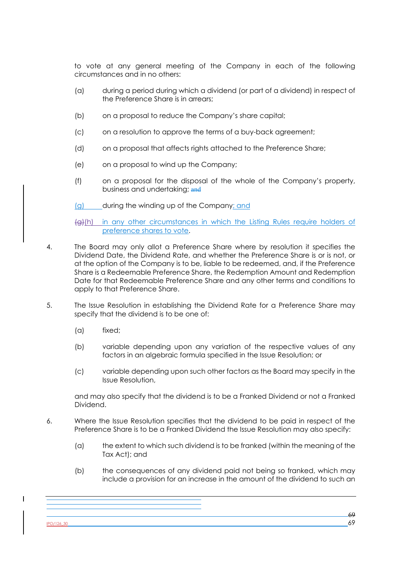to vote at any general meeting of the Company in each of the following circumstances and in no others:

- (a) during a period during which a dividend (or part of a dividend) in respect of the Preference Share is in arrears;
- (b) on a proposal to reduce the Company's share capital;
- (c) on a resolution to approve the terms of a buy-back agreement;
- (d) on a proposal that affects rights attached to the Preference Share;
- (e) on a proposal to wind up the Company;
- (f) on a proposal for the disposal of the whole of the Company's property, business and undertaking; and

(g) during the winding up of the Company; and

(g)(h) in any other circumstances in which the Listing Rules require holders of preference shares to vote.

- 4. The Board may only allot a Preference Share where by resolution it specifies the Dividend Date, the Dividend Rate, and whether the Preference Share is or is not, or at the option of the Company is to be, liable to be redeemed, and, if the Preference Share is a Redeemable Preference Share, the Redemption Amount and Redemption Date for that Redeemable Preference Share and any other terms and conditions to apply to that Preference Share.
- 5. The Issue Resolution in establishing the Dividend Rate for a Preference Share may specify that the dividend is to be one of:
	- (a) fixed;
	- (b) variable depending upon any variation of the respective values of any factors in an algebraic formula specified in the Issue Resolution; or
	- (c) variable depending upon such other factors as the Board may specify in the Issue Resolution,

and may also specify that the dividend is to be a Franked Dividend or not a Franked Dividend.

- 6. Where the Issue Resolution specifies that the dividend to be paid in respect of the Preference Share is to be a Franked Dividend the Issue Resolution may also specify:
	- (a) the extent to which such dividend is to be franked (within the meaning of the Tax Act); and
	- (b) the consequences of any dividend paid not being so franked, which may include a provision for an increase in the amount of the dividend to such an